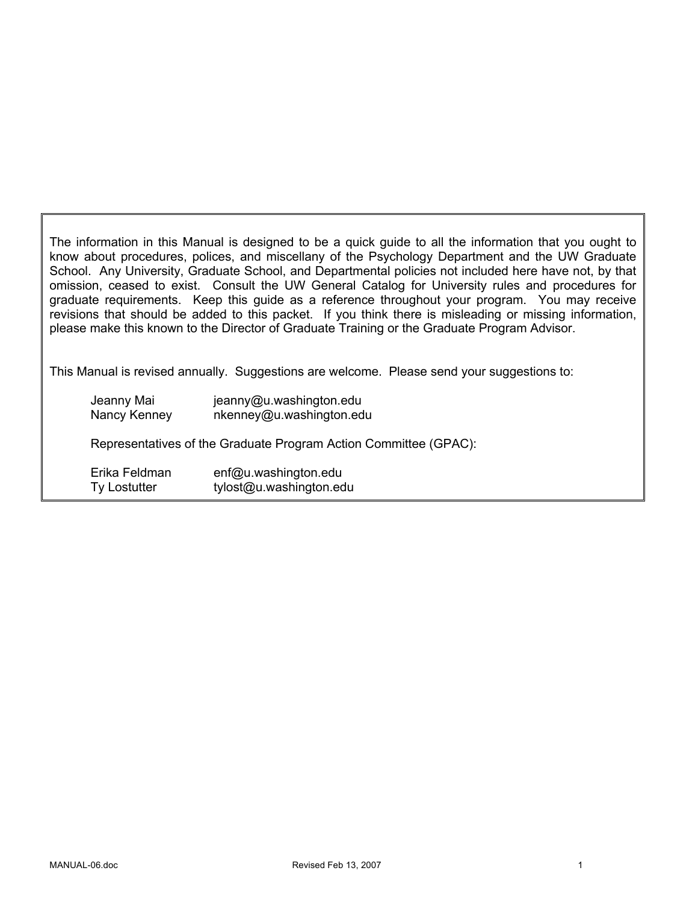The information in this Manual is designed to be a quick guide to all the information that you ought to know about procedures, polices, and miscellany of the Psychology Department and the UW Graduate School. Any University, Graduate School, and Departmental policies not included here have not, by that omission, ceased to exist. Consult the UW General Catalog for University rules and procedures for graduate requirements. Keep this guide as a reference throughout your program. You may receive revisions that should be added to this packet. If you think there is misleading or missing information, please make this known to the Director of Graduate Training or the Graduate Program Advisor.

This Manual is revised annually. Suggestions are welcome. Please send your suggestions to:

| Jeanny Mai                                                       | jeanny@u.washington.edu  |  |
|------------------------------------------------------------------|--------------------------|--|
| Nancy Kenney                                                     | nkenney@u.washington.edu |  |
| Representatives of the Graduate Program Action Committee (GPAC): |                          |  |
| Erika Feldman                                                    | enf@u.washington.edu     |  |
| Ty Lostutter                                                     | tylost@u.washington.edu  |  |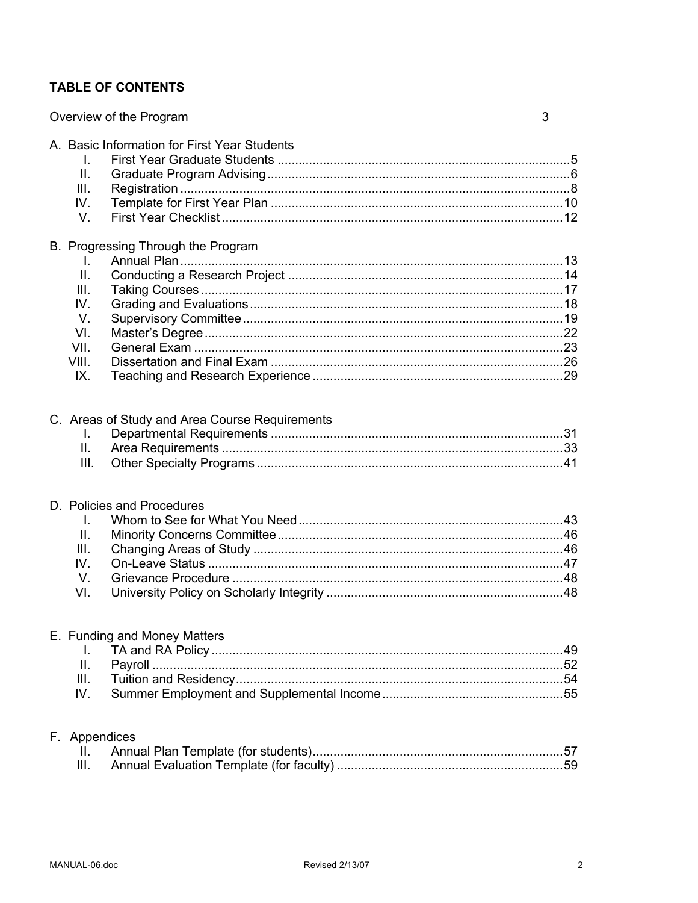# **TABLE OF CONTENTS**

|                                                               | Overview of the Program                        | 3 |
|---------------------------------------------------------------|------------------------------------------------|---|
| I.<br>Ш.<br>III.<br>IV.<br>V.                                 | A. Basic Information for First Year Students   |   |
| I.<br>II.<br>III.<br>IV.<br>V.<br>VI.<br>VII.<br>VIII.<br>IX. | B. Progressing Through the Program             |   |
| I.<br>Ш.<br>III.                                              | C. Areas of Study and Area Course Requirements |   |
| L.<br>II.<br>III.<br>IV.<br>V.<br>VI.                         | D. Policies and Procedures                     |   |
| I.<br>Ш.<br>Ш.<br>IV.                                         | E. Funding and Money Matters                   |   |
| F. Appendices<br>н.<br>III.                                   |                                                |   |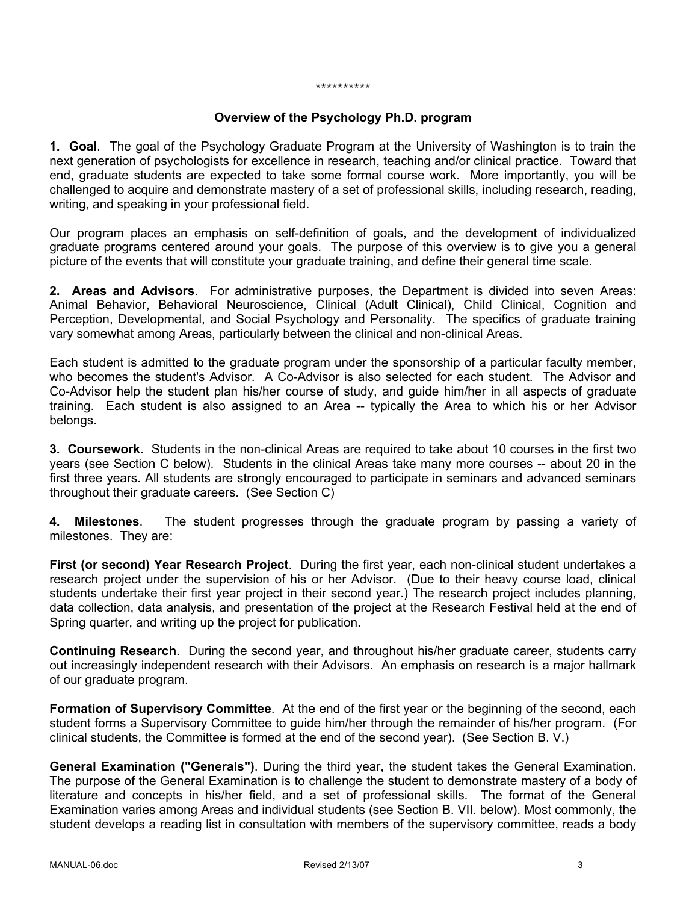#### \*\*\*\*\*\*\*\*\*\*

#### **Overview of the Psychology Ph.D. program**

**1. Goal**. The goal of the Psychology Graduate Program at the University of Washington is to train the next generation of psychologists for excellence in research, teaching and/or clinical practice. Toward that end, graduate students are expected to take some formal course work. More importantly, you will be challenged to acquire and demonstrate mastery of a set of professional skills, including research, reading, writing, and speaking in your professional field.

Our program places an emphasis on self-definition of goals, and the development of individualized graduate programs centered around your goals. The purpose of this overview is to give you a general picture of the events that will constitute your graduate training, and define their general time scale.

**2. Areas and Advisors**. For administrative purposes, the Department is divided into seven Areas: Animal Behavior, Behavioral Neuroscience, Clinical (Adult Clinical), Child Clinical, Cognition and Perception, Developmental, and Social Psychology and Personality. The specifics of graduate training vary somewhat among Areas, particularly between the clinical and non-clinical Areas.

Each student is admitted to the graduate program under the sponsorship of a particular faculty member, who becomes the student's Advisor. A Co-Advisor is also selected for each student. The Advisor and Co-Advisor help the student plan his/her course of study, and guide him/her in all aspects of graduate training. Each student is also assigned to an Area -- typically the Area to which his or her Advisor belongs.

**3. Coursework**. Students in the non-clinical Areas are required to take about 10 courses in the first two years (see Section C below). Students in the clinical Areas take many more courses -- about 20 in the first three years. All students are strongly encouraged to participate in seminars and advanced seminars throughout their graduate careers. (See Section C)

**4. Milestones**. The student progresses through the graduate program by passing a variety of milestones. They are:

**First (or second) Year Research Project**. During the first year, each non-clinical student undertakes a research project under the supervision of his or her Advisor. (Due to their heavy course load, clinical students undertake their first year project in their second year.) The research project includes planning, data collection, data analysis, and presentation of the project at the Research Festival held at the end of Spring quarter, and writing up the project for publication.

**Continuing Research**. During the second year, and throughout his/her graduate career, students carry out increasingly independent research with their Advisors. An emphasis on research is a major hallmark of our graduate program.

**Formation of Supervisory Committee**. At the end of the first year or the beginning of the second, each student forms a Supervisory Committee to guide him/her through the remainder of his/her program. (For clinical students, the Committee is formed at the end of the second year). (See Section B. V.)

**General Examination ("Generals")**. During the third year, the student takes the General Examination. The purpose of the General Examination is to challenge the student to demonstrate mastery of a body of literature and concepts in his/her field, and a set of professional skills. The format of the General Examination varies among Areas and individual students (see Section B. VII. below). Most commonly, the student develops a reading list in consultation with members of the supervisory committee, reads a body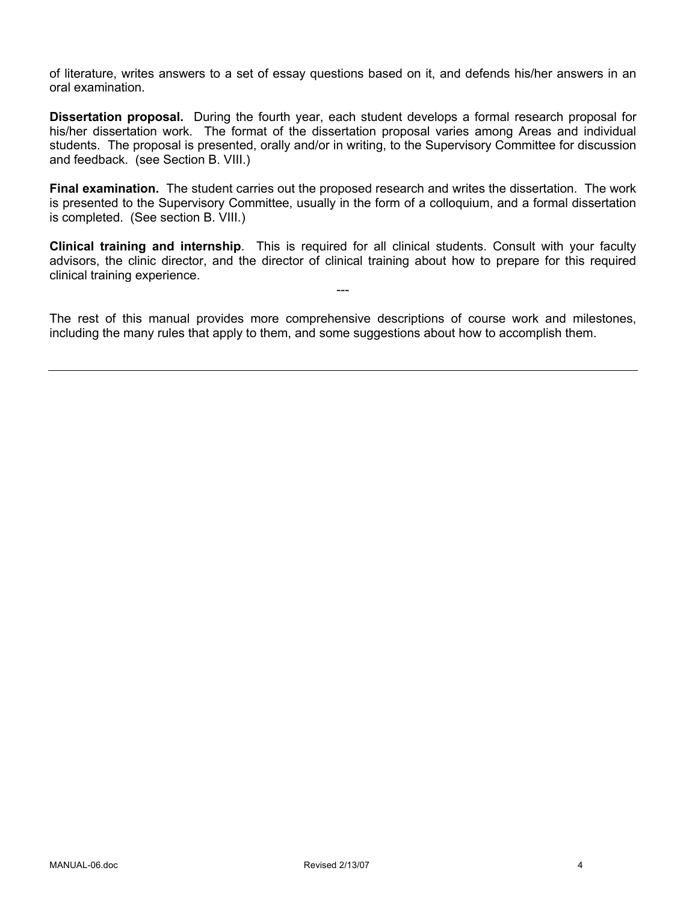of literature, writes answers to a set of essay questions based on it, and defends his/her answers in an oral examination.

**Dissertation proposal.** During the fourth year, each student develops a formal research proposal for his/her dissertation work. The format of the dissertation proposal varies among Areas and individual students. The proposal is presented, orally and/or in writing, to the Supervisory Committee for discussion and feedback. (see Section B. VIII.)

**Final examination.** The student carries out the proposed research and writes the dissertation. The work is presented to the Supervisory Committee, usually in the form of a colloquium, and a formal dissertation is completed. (See section B. VIII.)

**Clinical training and internship**. This is required for all clinical students. Consult with your faculty advisors, the clinic director, and the director of clinical training about how to prepare for this required clinical training experience.

---

The rest of this manual provides more comprehensive descriptions of course work and milestones, including the many rules that apply to them, and some suggestions about how to accomplish them.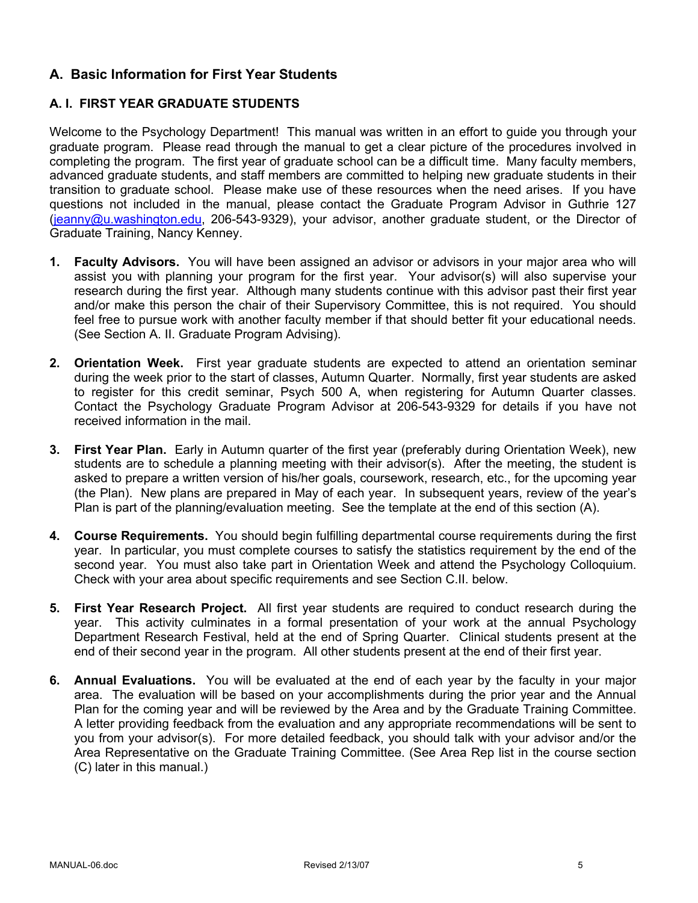# **A. Basic Information for First Year Students**

# **A. I. FIRST YEAR GRADUATE STUDENTS**

Welcome to the Psychology Department! This manual was written in an effort to guide you through your graduate program. Please read through the manual to get a clear picture of the procedures involved in completing the program. The first year of graduate school can be a difficult time. Many faculty members, advanced graduate students, and staff members are committed to helping new graduate students in their transition to graduate school. Please make use of these resources when the need arises. If you have questions not included in the manual, please contact the Graduate Program Advisor in Guthrie 127 (jeanny@u.washington.edu, 206-543-9329), your advisor, another graduate student, or the Director of Graduate Training, Nancy Kenney.

- **1. Faculty Advisors.** You will have been assigned an advisor or advisors in your major area who will assist you with planning your program for the first year. Your advisor(s) will also supervise your research during the first year. Although many students continue with this advisor past their first year and/or make this person the chair of their Supervisory Committee, this is not required. You should feel free to pursue work with another faculty member if that should better fit your educational needs. (See Section A. II. Graduate Program Advising).
- **2. Orientation Week.** First year graduate students are expected to attend an orientation seminar during the week prior to the start of classes, Autumn Quarter. Normally, first year students are asked to register for this credit seminar, Psych 500 A, when registering for Autumn Quarter classes. Contact the Psychology Graduate Program Advisor at 206-543-9329 for details if you have not received information in the mail.
- **3. First Year Plan.** Early in Autumn quarter of the first year (preferably during Orientation Week), new students are to schedule a planning meeting with their advisor(s). After the meeting, the student is asked to prepare a written version of his/her goals, coursework, research, etc., for the upcoming year (the Plan). New plans are prepared in May of each year. In subsequent years, review of the year's Plan is part of the planning/evaluation meeting. See the template at the end of this section (A).
- **4. Course Requirements.** You should begin fulfilling departmental course requirements during the first year. In particular, you must complete courses to satisfy the statistics requirement by the end of the second year. You must also take part in Orientation Week and attend the Psychology Colloquium. Check with your area about specific requirements and see Section C.II. below.
- **5. First Year Research Project.** All first year students are required to conduct research during the year. This activity culminates in a formal presentation of your work at the annual Psychology Department Research Festival, held at the end of Spring Quarter. Clinical students present at the end of their second year in the program. All other students present at the end of their first year.
- **6. Annual Evaluations.** You will be evaluated at the end of each year by the faculty in your major area. The evaluation will be based on your accomplishments during the prior year and the Annual Plan for the coming year and will be reviewed by the Area and by the Graduate Training Committee. A letter providing feedback from the evaluation and any appropriate recommendations will be sent to you from your advisor(s). For more detailed feedback, you should talk with your advisor and/or the Area Representative on the Graduate Training Committee. (See Area Rep list in the course section (C) later in this manual.)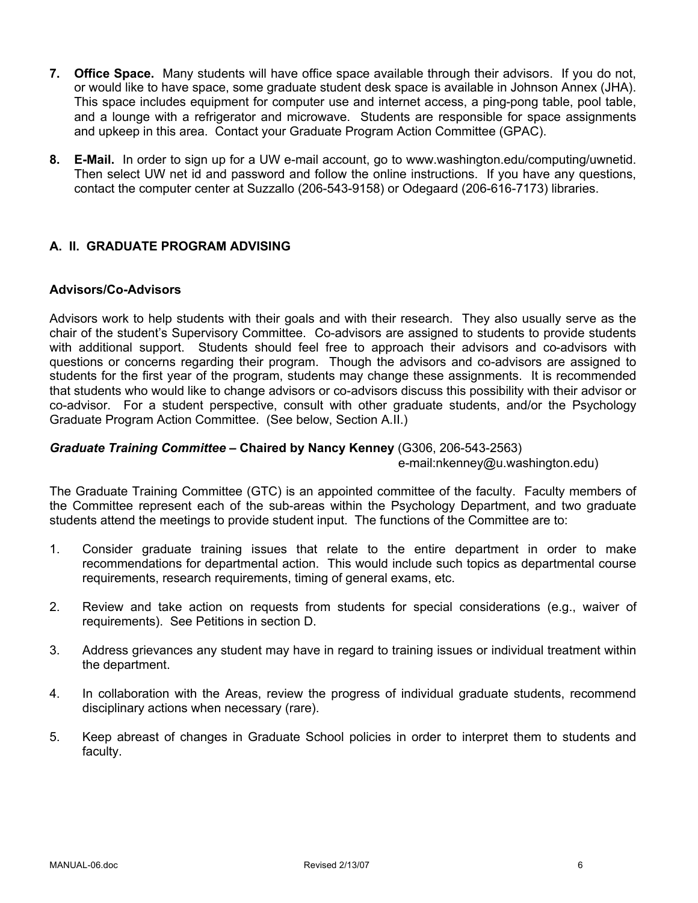- **7. Office Space.** Many students will have office space available through their advisors. If you do not, or would like to have space, some graduate student desk space is available in Johnson Annex (JHA). This space includes equipment for computer use and internet access, a ping-pong table, pool table, and a lounge with a refrigerator and microwave. Students are responsible for space assignments and upkeep in this area. Contact your Graduate Program Action Committee (GPAC).
- **8. E-Mail.** In order to sign up for a UW e-mail account, go to www.washington.edu/computing/uwnetid. Then select UW net id and password and follow the online instructions. If you have any questions, contact the computer center at Suzzallo (206-543-9158) or Odegaard (206-616-7173) libraries.

# **A. II. GRADUATE PROGRAM ADVISING**

#### **Advisors/Co-Advisors**

Advisors work to help students with their goals and with their research. They also usually serve as the chair of the student's Supervisory Committee. Co-advisors are assigned to students to provide students with additional support. Students should feel free to approach their advisors and co-advisors with questions or concerns regarding their program. Though the advisors and co-advisors are assigned to students for the first year of the program, students may change these assignments. It is recommended that students who would like to change advisors or co-advisors discuss this possibility with their advisor or co-advisor. For a student perspective, consult with other graduate students, and/or the Psychology Graduate Program Action Committee. (See below, Section A.II.)

#### *Graduate Training Committee –* **Chaired by Nancy Kenney** (G306, 206-543-2563)

e-mail:nkenney@u.washington.edu)

The Graduate Training Committee (GTC) is an appointed committee of the faculty. Faculty members of the Committee represent each of the sub-areas within the Psychology Department, and two graduate students attend the meetings to provide student input. The functions of the Committee are to:

- 1. Consider graduate training issues that relate to the entire department in order to make recommendations for departmental action. This would include such topics as departmental course requirements, research requirements, timing of general exams, etc.
- 2. Review and take action on requests from students for special considerations (e.g., waiver of requirements). See Petitions in section D.
- 3. Address grievances any student may have in regard to training issues or individual treatment within the department.
- 4. In collaboration with the Areas, review the progress of individual graduate students, recommend disciplinary actions when necessary (rare).
- 5. Keep abreast of changes in Graduate School policies in order to interpret them to students and faculty.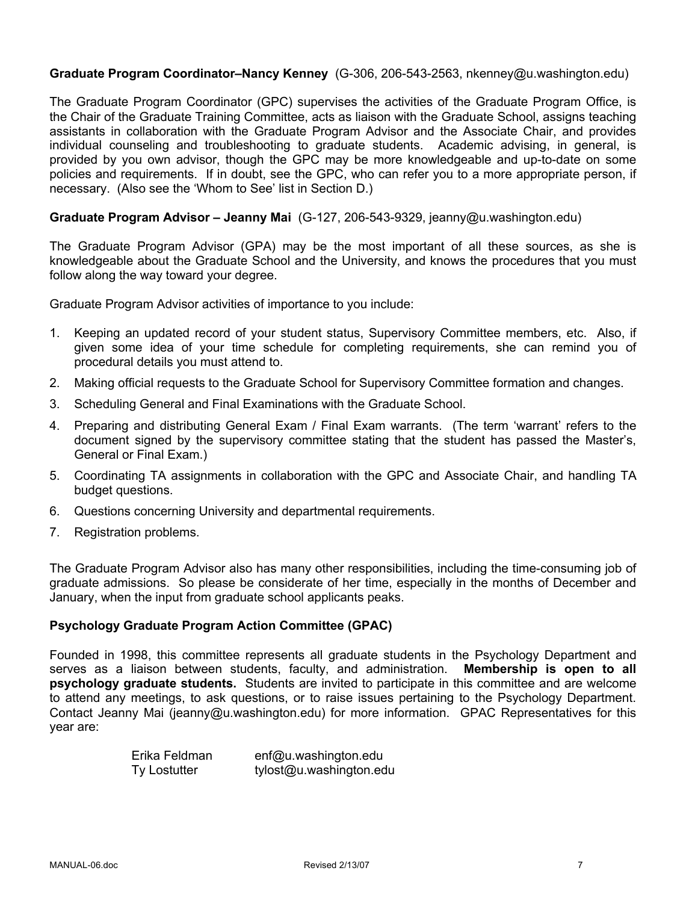#### **Graduate Program Coordinator–Nancy Kenney** (G-306, 206-543-2563, nkenney@u.washington.edu)

The Graduate Program Coordinator (GPC) supervises the activities of the Graduate Program Office, is the Chair of the Graduate Training Committee, acts as liaison with the Graduate School, assigns teaching assistants in collaboration with the Graduate Program Advisor and the Associate Chair, and provides individual counseling and troubleshooting to graduate students. Academic advising, in general, is provided by you own advisor, though the GPC may be more knowledgeable and up-to-date on some policies and requirements. If in doubt, see the GPC, who can refer you to a more appropriate person, if necessary. (Also see the 'Whom to See' list in Section D.)

#### **Graduate Program Advisor – Jeanny Mai** (G-127, 206-543-9329, jeanny@u.washington.edu)

The Graduate Program Advisor (GPA) may be the most important of all these sources, as she is knowledgeable about the Graduate School and the University, and knows the procedures that you must follow along the way toward your degree.

Graduate Program Advisor activities of importance to you include:

- 1. Keeping an updated record of your student status, Supervisory Committee members, etc. Also, if given some idea of your time schedule for completing requirements, she can remind you of procedural details you must attend to.
- 2. Making official requests to the Graduate School for Supervisory Committee formation and changes.
- 3. Scheduling General and Final Examinations with the Graduate School.
- 4. Preparing and distributing General Exam / Final Exam warrants. (The term 'warrant' refers to the document signed by the supervisory committee stating that the student has passed the Master's, General or Final Exam.)
- 5. Coordinating TA assignments in collaboration with the GPC and Associate Chair, and handling TA budget questions.
- 6. Questions concerning University and departmental requirements.
- 7. Registration problems.

The Graduate Program Advisor also has many other responsibilities, including the time-consuming job of graduate admissions. So please be considerate of her time, especially in the months of December and January, when the input from graduate school applicants peaks.

#### **Psychology Graduate Program Action Committee (GPAC)**

Founded in 1998, this committee represents all graduate students in the Psychology Department and serves as a liaison between students, faculty, and administration. **Membership is open to all psychology graduate students.** Students are invited to participate in this committee and are welcome to attend any meetings, to ask questions, or to raise issues pertaining to the Psychology Department. Contact Jeanny Mai (jeanny@u.washington.edu) for more information. GPAC Representatives for this year are:

| Erika Feldman | enf@u.washington.edu    |
|---------------|-------------------------|
| Ty Lostutter  | tylost@u.washington.edu |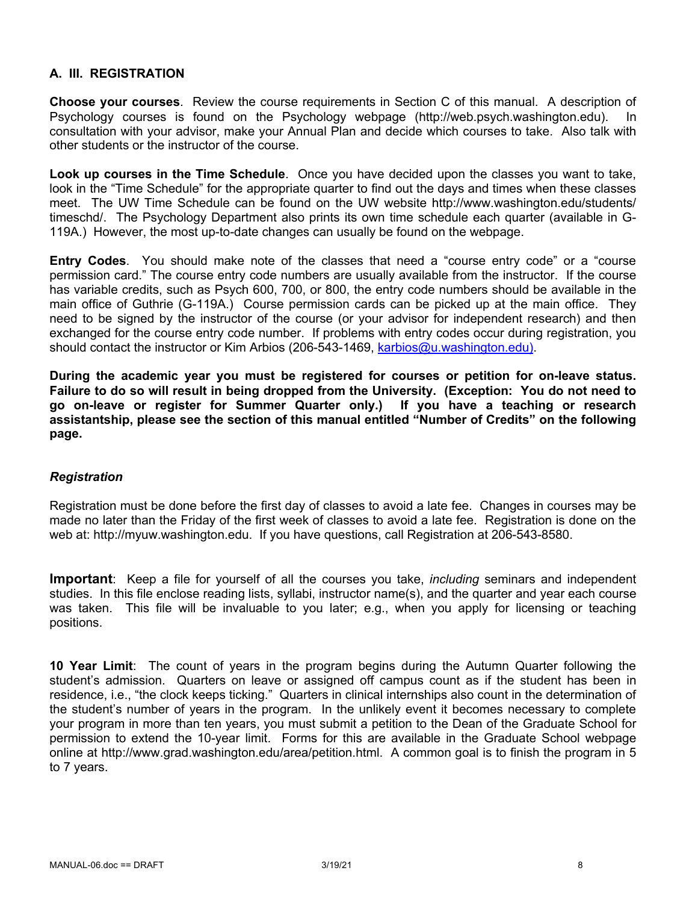# **A. III. REGISTRATION**

**Choose your courses**. Review the course requirements in Section C of this manual. A description of Psychology courses is found on the Psychology webpage (http://web.psych.washington.edu). In consultation with your advisor, make your Annual Plan and decide which courses to take. Also talk with other students or the instructor of the course.

**Look up courses in the Time Schedule**. Once you have decided upon the classes you want to take, look in the "Time Schedule" for the appropriate quarter to find out the days and times when these classes meet. The UW Time Schedule can be found on the UW website http://www.washington.edu/students/ timeschd/. The Psychology Department also prints its own time schedule each quarter (available in G-119A.) However, the most up-to-date changes can usually be found on the webpage.

**Entry Codes**. You should make note of the classes that need a "course entry code" or a "course permission card." The course entry code numbers are usually available from the instructor. If the course has variable credits, such as Psych 600, 700, or 800, the entry code numbers should be available in the main office of Guthrie (G-119A.) Course permission cards can be picked up at the main office. They need to be signed by the instructor of the course (or your advisor for independent research) and then exchanged for the course entry code number. If problems with entry codes occur during registration, you should contact the instructor or Kim Arbios (206-543-1469, karbios@u.washington.edu).

**During the academic year you must be registered for courses or petition for on-leave status. Failure to do so will result in being dropped from the University. (Exception: You do not need to go on-leave or register for Summer Quarter only.) If you have a teaching or research assistantship, please see the section of this manual entitled "Number of Credits" on the following page.**

#### *Registration*

Registration must be done before the first day of classes to avoid a late fee. Changes in courses may be made no later than the Friday of the first week of classes to avoid a late fee. Registration is done on the web at: http://myuw.washington.edu. If you have questions, call Registration at 206-543-8580.

**Important**: Keep a file for yourself of all the courses you take, *including* seminars and independent studies. In this file enclose reading lists, syllabi, instructor name(s), and the quarter and year each course was taken. This file will be invaluable to you later; e.g., when you apply for licensing or teaching positions.

**10 Year Limit**: The count of years in the program begins during the Autumn Quarter following the student's admission. Quarters on leave or assigned off campus count as if the student has been in residence, i.e., "the clock keeps ticking." Quarters in clinical internships also count in the determination of the student's number of years in the program. In the unlikely event it becomes necessary to complete your program in more than ten years, you must submit a petition to the Dean of the Graduate School for permission to extend the 10-year limit. Forms for this are available in the Graduate School webpage online at http://www.grad.washington.edu/area/petition.html. A common goal is to finish the program in 5 to 7 years.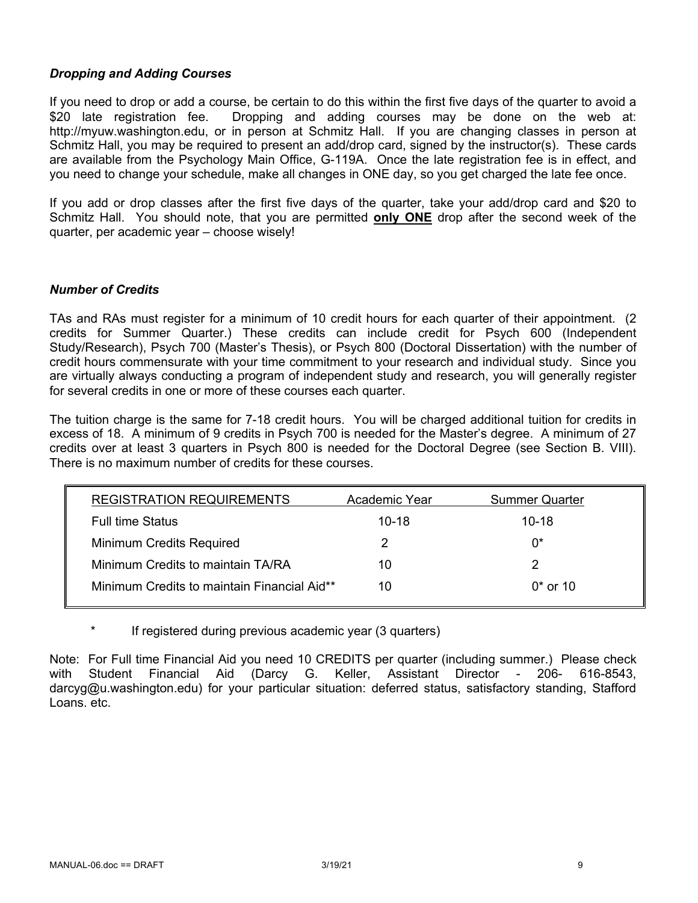# *Dropping and Adding Courses*

If you need to drop or add a course, be certain to do this within the first five days of the quarter to avoid a \$20 late registration fee. Dropping and adding courses may be done on the web at: http://myuw.washington.edu, or in person at Schmitz Hall. If you are changing classes in person at Schmitz Hall, you may be required to present an add/drop card, signed by the instructor(s). These cards are available from the Psychology Main Office, G-119A. Once the late registration fee is in effect, and you need to change your schedule, make all changes in ONE day, so you get charged the late fee once.

If you add or drop classes after the first five days of the quarter, take your add/drop card and \$20 to Schmitz Hall. You should note, that you are permitted **only ONE** drop after the second week of the quarter, per academic year – choose wisely!

## *Number of Credits*

TAs and RAs must register for a minimum of 10 credit hours for each quarter of their appointment. (2 credits for Summer Quarter.) These credits can include credit for Psych 600 (Independent Study/Research), Psych 700 (Master's Thesis), or Psych 800 (Doctoral Dissertation) with the number of credit hours commensurate with your time commitment to your research and individual study. Since you are virtually always conducting a program of independent study and research, you will generally register for several credits in one or more of these courses each quarter.

The tuition charge is the same for 7-18 credit hours. You will be charged additional tuition for credits in excess of 18. A minimum of 9 credits in Psych 700 is needed for the Master's degree. A minimum of 27 credits over at least 3 quarters in Psych 800 is needed for the Doctoral Degree (see Section B. VIII). There is no maximum number of credits for these courses.

| <b>REGISTRATION REQUIREMENTS</b>            | Academic Year | <b>Summer Quarter</b> |
|---------------------------------------------|---------------|-----------------------|
| <b>Full time Status</b>                     | $10 - 18$     | $10 - 18$             |
| Minimum Credits Required                    |               | በ*                    |
| Minimum Credits to maintain TA/RA           | 10            |                       |
| Minimum Credits to maintain Financial Aid** | 10            | $0*$ or 10            |

If registered during previous academic year (3 quarters)

Note: For Full time Financial Aid you need 10 CREDITS per quarter (including summer.) Please check with Student Financial Aid (Darcy G. Keller, Assistant Director - 206- 616-8543, darcyg@u.washington.edu) for your particular situation: deferred status, satisfactory standing, Stafford Loans. etc.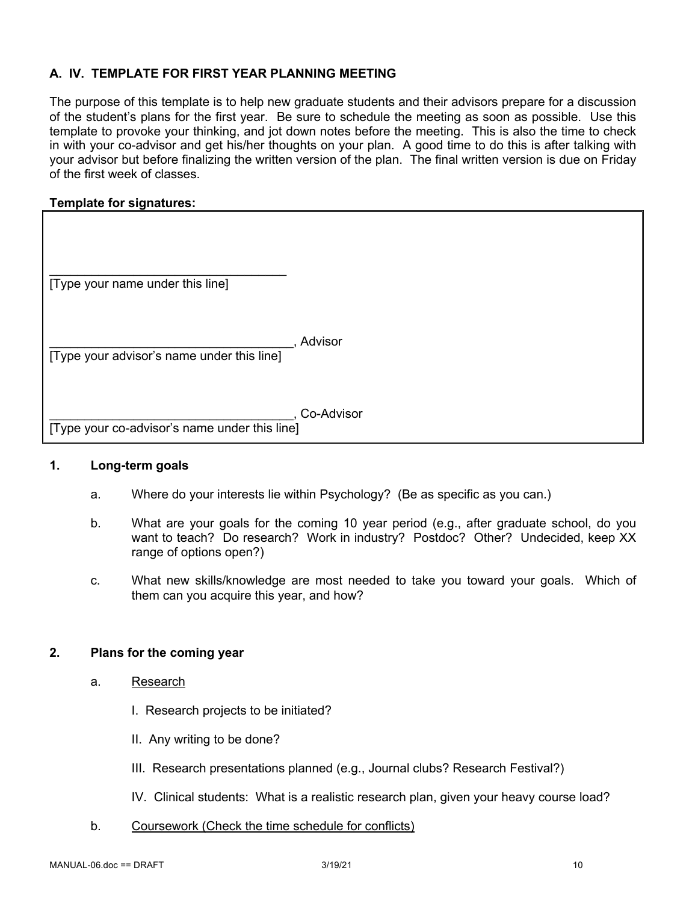# **A. IV. TEMPLATE FOR FIRST YEAR PLANNING MEETING**

The purpose of this template is to help new graduate students and their advisors prepare for a discussion of the student's plans for the first year. Be sure to schedule the meeting as soon as possible. Use this template to provoke your thinking, and jot down notes before the meeting. This is also the time to check in with your co-advisor and get his/her thoughts on your plan. A good time to do this is after talking with your advisor but before finalizing the written version of the plan. The final written version is due on Friday of the first week of classes.

# **Template for signatures:**

| [Type your name under this line]              |            |
|-----------------------------------------------|------------|
| [Type your advisor's name under this line]    | Advisor    |
| [Type your co-advisor's name under this line] | Co-Advisor |

#### **1. Long-term goals**

- a. Where do your interests lie within Psychology? (Be as specific as you can.)
- b. What are your goals for the coming 10 year period (e.g., after graduate school, do you want to teach? Do research? Work in industry? Postdoc? Other? Undecided, keep XX range of options open?)
- c. What new skills/knowledge are most needed to take you toward your goals. Which of them can you acquire this year, and how?

# **2. Plans for the coming year**

- a. Research
	- I. Research projects to be initiated?
	- II. Any writing to be done?
	- III. Research presentations planned (e.g., Journal clubs? Research Festival?)
	- IV. Clinical students: What is a realistic research plan, given your heavy course load?
- b. Coursework (Check the time schedule for conflicts)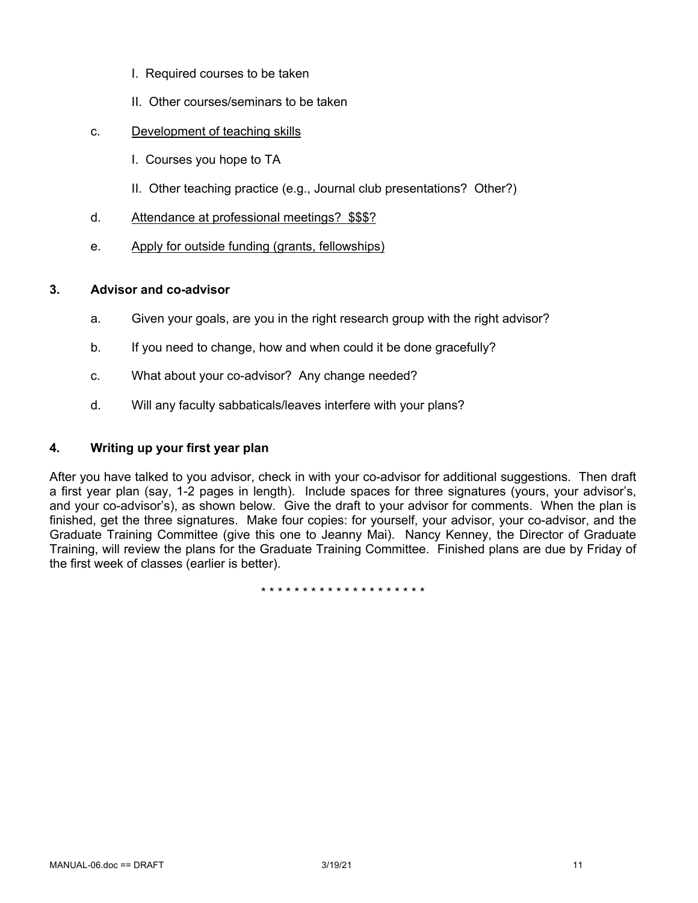- I. Required courses to be taken
- II. Other courses/seminars to be taken
- c. Development of teaching skills
	- I. Courses you hope to TA
	- II. Other teaching practice (e.g., Journal club presentations? Other?)
- d. Attendance at professional meetings? \$\$\$?
- e. Apply for outside funding (grants, fellowships)

#### **3. Advisor and co-advisor**

- a. Given your goals, are you in the right research group with the right advisor?
- b. If you need to change, how and when could it be done gracefully?
- c. What about your co-advisor? Any change needed?
- d. Will any faculty sabbaticals/leaves interfere with your plans?

# **4. Writing up your first year plan**

After you have talked to you advisor, check in with your co-advisor for additional suggestions. Then draft a first year plan (say, 1-2 pages in length). Include spaces for three signatures (yours, your advisor's, and your co-advisor's), as shown below. Give the draft to your advisor for comments. When the plan is finished, get the three signatures. Make four copies: for yourself, your advisor, your co-advisor, and the Graduate Training Committee (give this one to Jeanny Mai). Nancy Kenney, the Director of Graduate Training, will review the plans for the Graduate Training Committee. Finished plans are due by Friday of the first week of classes (earlier is better).

\* \* \* \* \* \* \* \* \* \* \* \* \* \* \* \* \* \* \* \*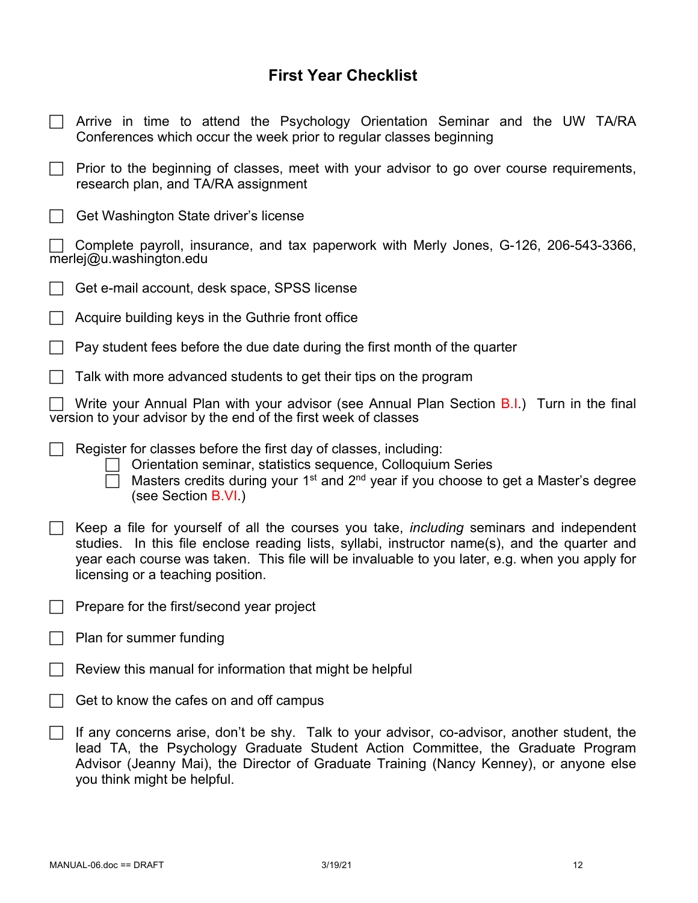# **First Year Checklist**

| Arrive in time to attend the Psychology Orientation Seminar and the UW TA/RA<br>Conferences which occur the week prior to regular classes beginning                                                                                                                                                                                     |  |  |
|-----------------------------------------------------------------------------------------------------------------------------------------------------------------------------------------------------------------------------------------------------------------------------------------------------------------------------------------|--|--|
| Prior to the beginning of classes, meet with your advisor to go over course requirements,<br>research plan, and TA/RA assignment                                                                                                                                                                                                        |  |  |
| Get Washington State driver's license                                                                                                                                                                                                                                                                                                   |  |  |
| Complete payroll, insurance, and tax paperwork with Merly Jones, G-126, 206-543-3366,<br>merlej@u.washington.edu                                                                                                                                                                                                                        |  |  |
| Get e-mail account, desk space, SPSS license                                                                                                                                                                                                                                                                                            |  |  |
| Acquire building keys in the Guthrie front office                                                                                                                                                                                                                                                                                       |  |  |
| Pay student fees before the due date during the first month of the quarter                                                                                                                                                                                                                                                              |  |  |
| Talk with more advanced students to get their tips on the program                                                                                                                                                                                                                                                                       |  |  |
| Write your Annual Plan with your advisor (see Annual Plan Section B.I.) Turn in the final<br>version to your advisor by the end of the first week of classes                                                                                                                                                                            |  |  |
| Register for classes before the first day of classes, including:<br>Orientation seminar, statistics sequence, Colloquium Series<br>Masters credits during your 1 <sup>st</sup> and 2 <sup>nd</sup> year if you choose to get a Master's degree<br>(see Section B.VI.)                                                                   |  |  |
| Keep a file for yourself of all the courses you take, <i>including</i> seminars and independent<br>studies. In this file enclose reading lists, syllabi, instructor name(s), and the quarter and<br>year each course was taken. This file will be invaluable to you later, e.g. when you apply for<br>licensing or a teaching position. |  |  |
| Prepare for the first/second year project                                                                                                                                                                                                                                                                                               |  |  |
| Plan for summer funding                                                                                                                                                                                                                                                                                                                 |  |  |
| Review this manual for information that might be helpful                                                                                                                                                                                                                                                                                |  |  |
| Get to know the cafes on and off campus                                                                                                                                                                                                                                                                                                 |  |  |
| If any concerns arise, don't be shy. Talk to your advisor, co-advisor, another student, the<br>lead TA, the Psychology Graduate Student Action Committee, the Graduate Program<br>Advisor (Jeanny Mai), the Director of Graduate Training (Nancy Kenney), or anyone else<br>you think might be helpful.                                 |  |  |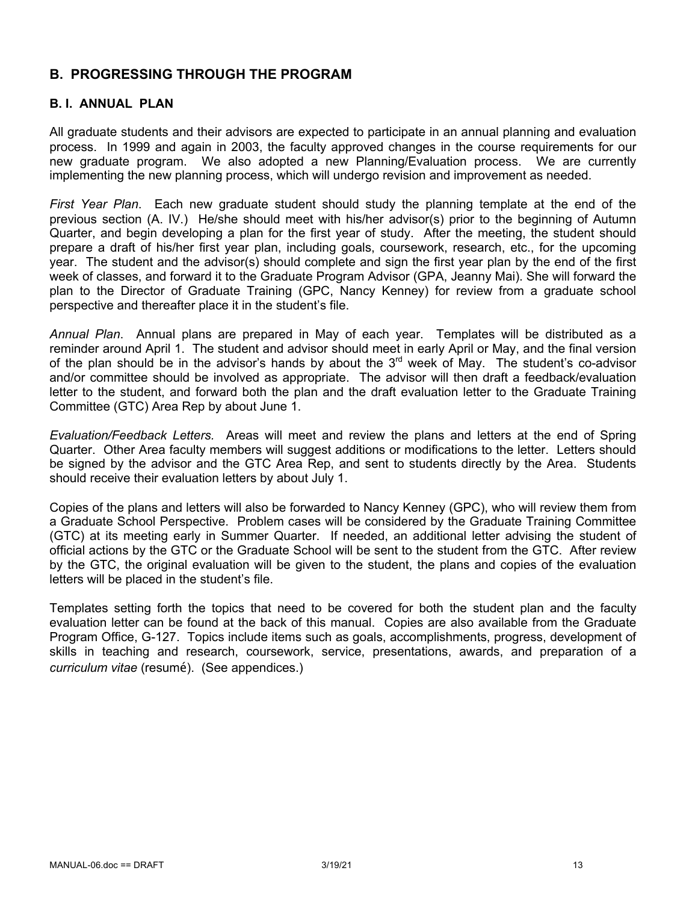# **B. PROGRESSING THROUGH THE PROGRAM**

# **B. I. ANNUAL PLAN**

All graduate students and their advisors are expected to participate in an annual planning and evaluation process. In 1999 and again in 2003, the faculty approved changes in the course requirements for our new graduate program. We also adopted a new Planning/Evaluation process. We are currently implementing the new planning process, which will undergo revision and improvement as needed.

*First Year Plan*. Each new graduate student should study the planning template at the end of the previous section (A. IV.) He/she should meet with his/her advisor(s) prior to the beginning of Autumn Quarter, and begin developing a plan for the first year of study. After the meeting, the student should prepare a draft of his/her first year plan, including goals, coursework, research, etc., for the upcoming year. The student and the advisor(s) should complete and sign the first year plan by the end of the first week of classes, and forward it to the Graduate Program Advisor (GPA, Jeanny Mai). She will forward the plan to the Director of Graduate Training (GPC, Nancy Kenney) for review from a graduate school perspective and thereafter place it in the student's file.

*Annual Plan*. Annual plans are prepared in May of each year. Templates will be distributed as a reminder around April 1. The student and advisor should meet in early April or May, and the final version of the plan should be in the advisor's hands by about the  $3<sup>rd</sup>$  week of May. The student's co-advisor and/or committee should be involved as appropriate. The advisor will then draft a feedback/evaluation letter to the student, and forward both the plan and the draft evaluation letter to the Graduate Training Committee (GTC) Area Rep by about June 1.

*Evaluation/Feedback Letters.* Areas will meet and review the plans and letters at the end of Spring Quarter. Other Area faculty members will suggest additions or modifications to the letter. Letters should be signed by the advisor and the GTC Area Rep, and sent to students directly by the Area. Students should receive their evaluation letters by about July 1.

Copies of the plans and letters will also be forwarded to Nancy Kenney (GPC), who will review them from a Graduate School Perspective. Problem cases will be considered by the Graduate Training Committee (GTC) at its meeting early in Summer Quarter. If needed, an additional letter advising the student of official actions by the GTC or the Graduate School will be sent to the student from the GTC. After review by the GTC, the original evaluation will be given to the student, the plans and copies of the evaluation letters will be placed in the student's file.

Templates setting forth the topics that need to be covered for both the student plan and the faculty evaluation letter can be found at the back of this manual. Copies are also available from the Graduate Program Office, G-127. Topics include items such as goals, accomplishments, progress, development of skills in teaching and research, coursework, service, presentations, awards, and preparation of a *curriculum vitae* (resumé). (See appendices.)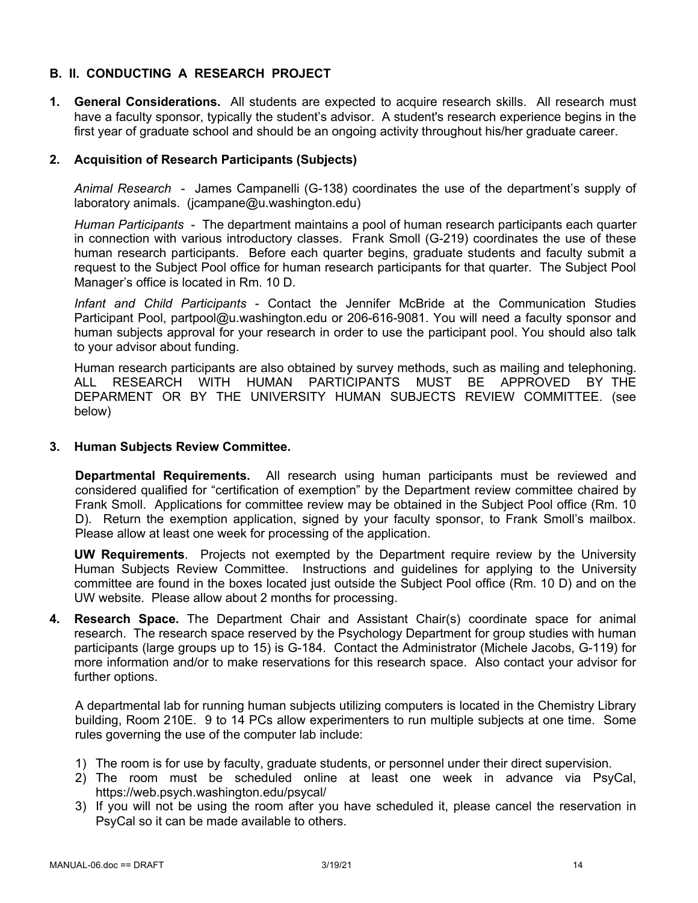# **B. II. CONDUCTING A RESEARCH PROJECT**

**1. General Considerations.** All students are expected to acquire research skills. All research must have a faculty sponsor, typically the student's advisor. A student's research experience begins in the first year of graduate school and should be an ongoing activity throughout his/her graduate career.

# **2. Acquisition of Research Participants (Subjects)**

*Animal Research* - James Campanelli (G-138) coordinates the use of the department's supply of laboratory animals. (jcampane@u.washington.edu)

*Human Participants* - The department maintains a pool of human research participants each quarter in connection with various introductory classes. Frank Smoll (G-219) coordinates the use of these human research participants. Before each quarter begins, graduate students and faculty submit a request to the Subject Pool office for human research participants for that quarter. The Subject Pool Manager's office is located in Rm. 10 D.

*Infant and Child Participants* - Contact the Jennifer McBride at the Communication Studies Participant Pool, partpool@u.washington.edu or 206-616-9081. You will need a faculty sponsor and human subjects approval for your research in order to use the participant pool. You should also talk to your advisor about funding.

Human research participants are also obtained by survey methods, such as mailing and telephoning. ALL RESEARCH WITH HUMAN PARTICIPANTS MUST BE APPROVED BY THE DEPARMENT OR BY THE UNIVERSITY HUMAN SUBJECTS REVIEW COMMITTEE. (see below)

#### **3. Human Subjects Review Committee.**

**Departmental Requirements.** All research using human participants must be reviewed and considered qualified for "certification of exemption" by the Department review committee chaired by Frank Smoll. Applications for committee review may be obtained in the Subject Pool office (Rm. 10 D). Return the exemption application, signed by your faculty sponsor, to Frank Smoll's mailbox. Please allow at least one week for processing of the application.

**UW Requirements**. Projects not exempted by the Department require review by the University Human Subjects Review Committee. Instructions and guidelines for applying to the University committee are found in the boxes located just outside the Subject Pool office (Rm. 10 D) and on the UW website. Please allow about 2 months for processing.

**4. Research Space.** The Department Chair and Assistant Chair(s) coordinate space for animal research. The research space reserved by the Psychology Department for group studies with human participants (large groups up to 15) is G-184. Contact the Administrator (Michele Jacobs, G-119) for more information and/or to make reservations for this research space. Also contact your advisor for further options.

A departmental lab for running human subjects utilizing computers is located in the Chemistry Library building, Room 210E. 9 to 14 PCs allow experimenters to run multiple subjects at one time. Some rules governing the use of the computer lab include:

- 1) The room is for use by faculty, graduate students, or personnel under their direct supervision.
- 2) The room must be scheduled online at least one week in advance via PsyCal, https://web.psych.washington.edu/psycal/
- 3) If you will not be using the room after you have scheduled it, please cancel the reservation in PsyCal so it can be made available to others.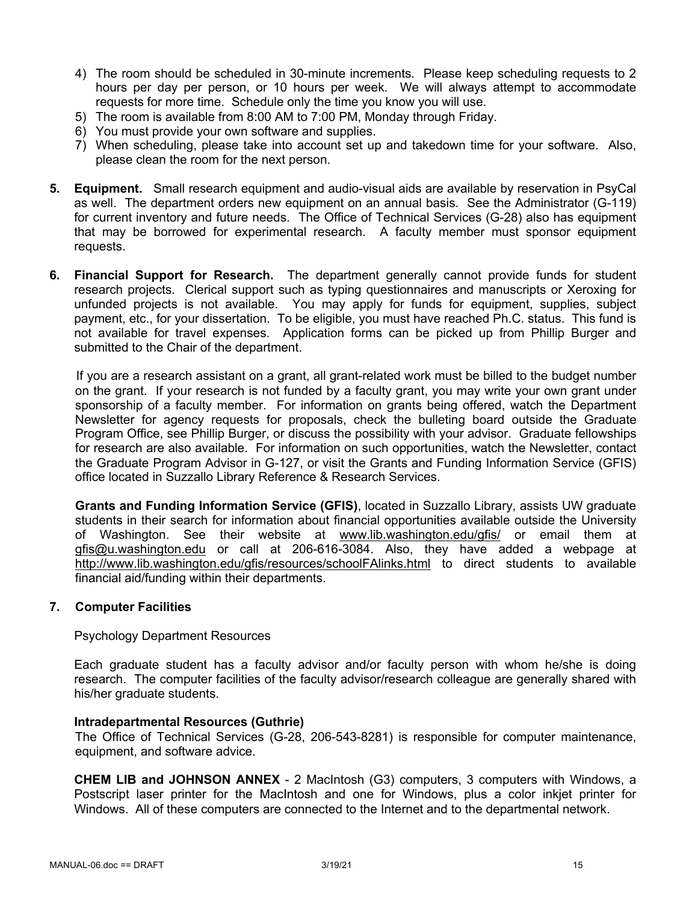- 4) The room should be scheduled in 30-minute increments. Please keep scheduling requests to 2 hours per day per person, or 10 hours per week. We will always attempt to accommodate requests for more time. Schedule only the time you know you will use.
- 5) The room is available from 8:00 AM to 7:00 PM, Monday through Friday.
- 6) You must provide your own software and supplies.
- 7) When scheduling, please take into account set up and takedown time for your software. Also, please clean the room for the next person.
- **5. Equipment.** Small research equipment and audio-visual aids are available by reservation in PsyCal as well. The department orders new equipment on an annual basis. See the Administrator (G-119) for current inventory and future needs. The Office of Technical Services (G-28) also has equipment that may be borrowed for experimental research. A faculty member must sponsor equipment requests.
- **6. Financial Support for Research.** The department generally cannot provide funds for student research projects. Clerical support such as typing questionnaires and manuscripts or Xeroxing for unfunded projects is not available. You may apply for funds for equipment, supplies, subject payment, etc., for your dissertation. To be eligible, you must have reached Ph.C. status. This fund is not available for travel expenses. Application forms can be picked up from Phillip Burger and submitted to the Chair of the department.

If you are a research assistant on a grant, all grant-related work must be billed to the budget number on the grant. If your research is not funded by a faculty grant, you may write your own grant under sponsorship of a faculty member. For information on grants being offered, watch the Department Newsletter for agency requests for proposals, check the bulleting board outside the Graduate Program Office, see Phillip Burger, or discuss the possibility with your advisor. Graduate fellowships for research are also available. For information on such opportunities, watch the Newsletter, contact the Graduate Program Advisor in G-127, or visit the Grants and Funding Information Service (GFIS) office located in Suzzallo Library Reference & Research Services.

**Grants and Funding Information Service (GFIS)**, located in Suzzallo Library, assists UW graduate students in their search for information about financial opportunities available outside the University of Washington. See their website at www.lib.washington.edu/gfis/ or email them at gfis@u.washington.edu or call at 206-616-3084. Also, they have added a webpage at http://www.lib.washington.edu/gfis/resources/schoolFAlinks.html to direct students to available financial aid/funding within their departments.

#### **7. Computer Facilities**

Psychology Department Resources

Each graduate student has a faculty advisor and/or faculty person with whom he/she is doing research. The computer facilities of the faculty advisor/research colleague are generally shared with his/her graduate students.

#### **Intradepartmental Resources (Guthrie)**

The Office of Technical Services (G-28, 206-543-8281) is responsible for computer maintenance, equipment, and software advice.

**CHEM LIB and JOHNSON ANNEX** - 2 MacIntosh (G3) computers, 3 computers with Windows, a Postscript laser printer for the MacIntosh and one for Windows, plus a color inkjet printer for Windows. All of these computers are connected to the Internet and to the departmental network.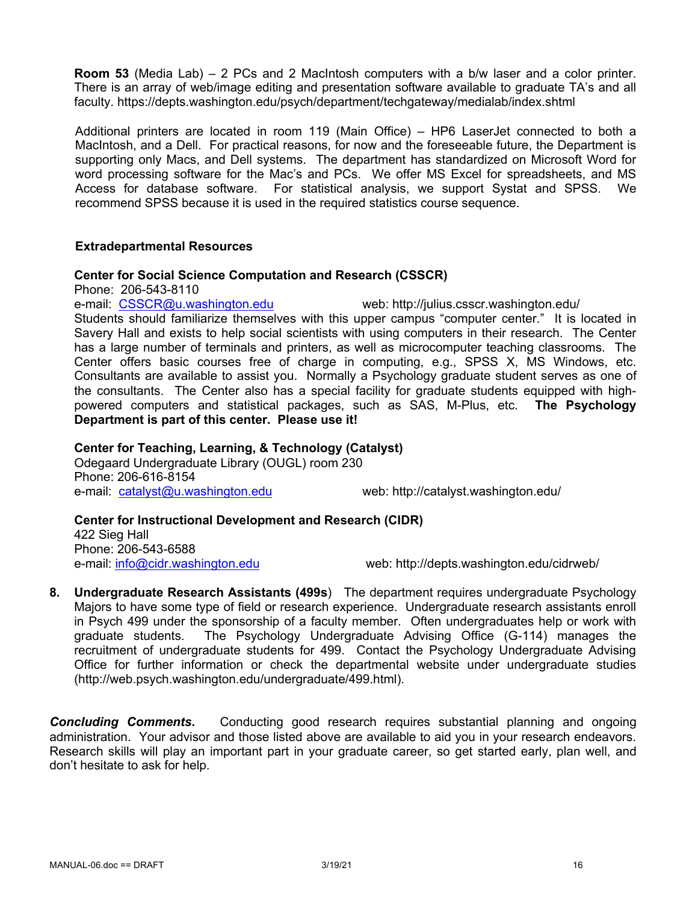**Room 53** (Media Lab) – 2 PCs and 2 MacIntosh computers with a b/w laser and a color printer. There is an array of web/image editing and presentation software available to graduate TA's and all faculty. https://depts.washington.edu/psych/department/techgateway/medialab/index.shtml

Additional printers are located in room 119 (Main Office) – HP6 LaserJet connected to both a MacIntosh, and a Dell. For practical reasons, for now and the foreseeable future, the Department is supporting only Macs, and Dell systems. The department has standardized on Microsoft Word for word processing software for the Mac's and PCs. We offer MS Excel for spreadsheets, and MS Access for database software. For statistical analysis, we support Systat and SPSS. We recommend SPSS because it is used in the required statistics course sequence.

## **Extradepartmental Resources**

#### **Center for Social Science Computation and Research (CSSCR)**

Phone: 206-543-8110

e-mail: CSSCR@u.washington.edu web: http://julius.csscr.washington.edu/ Students should familiarize themselves with this upper campus "computer center." It is located in Savery Hall and exists to help social scientists with using computers in their research. The Center has a large number of terminals and printers, as well as microcomputer teaching classrooms. The Center offers basic courses free of charge in computing, e.g., SPSS X, MS Windows, etc. Consultants are available to assist you. Normally a Psychology graduate student serves as one of the consultants. The Center also has a special facility for graduate students equipped with highpowered computers and statistical packages, such as SAS, M-Plus, etc. **The Psychology Department is part of this center. Please use it!**

## **Center for Teaching, Learning, & Technology (Catalyst)**

Odegaard Undergraduate Library (OUGL) room 230 Phone: 206-616-8154 e-mail: catalyst@u.washington.edu web: http://catalyst.washington.edu/

**Center for Instructional Development and Research (CIDR)** 422 Sieg Hall Phone: 206-543-6588 e-mail: info@cidr.washington.edu web: http://depts.washington.edu/cidrweb/

**8. Undergraduate Research Assistants (499s**) The department requires undergraduate Psychology Majors to have some type of field or research experience. Undergraduate research assistants enroll in Psych 499 under the sponsorship of a faculty member. Often undergraduates help or work with graduate students. The Psychology Undergraduate Advising Office (G-114) manages the recruitment of undergraduate students for 499. Contact the Psychology Undergraduate Advising Office for further information or check the departmental website under undergraduate studies (http://web.psych.washington.edu/undergraduate/499.html).

**Concluding Comments.** Conducting good research requires substantial planning and ongoing administration. Your advisor and those listed above are available to aid you in your research endeavors. Research skills will play an important part in your graduate career, so get started early, plan well, and don't hesitate to ask for help.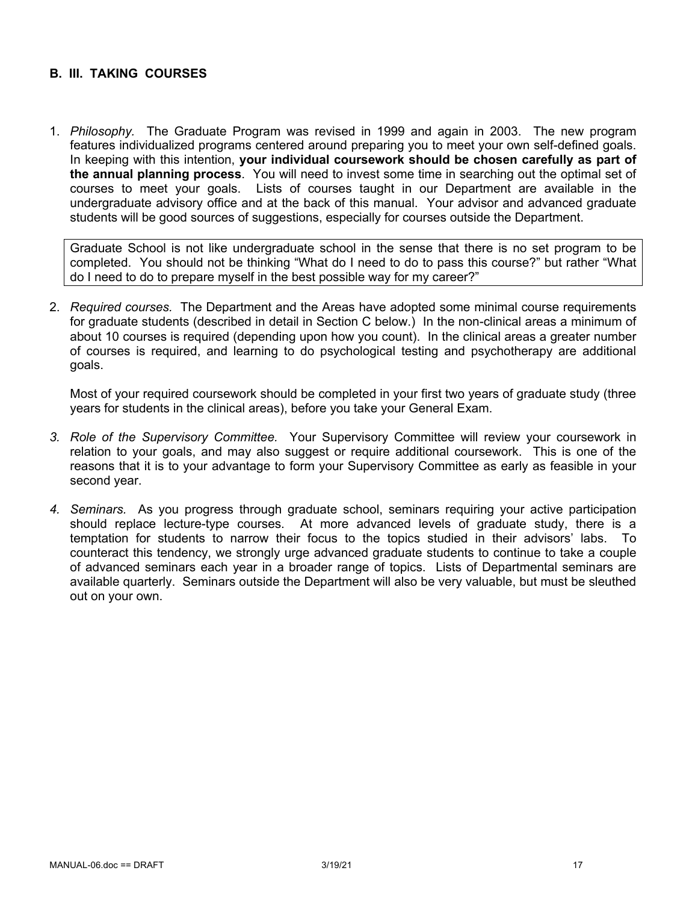# **B. III. TAKING COURSES**

1. *Philosophy.* The Graduate Program was revised in 1999 and again in 2003. The new program features individualized programs centered around preparing you to meet your own self-defined goals. In keeping with this intention, **your individual coursework should be chosen carefully as part of the annual planning process**. You will need to invest some time in searching out the optimal set of courses to meet your goals. Lists of courses taught in our Department are available in the undergraduate advisory office and at the back of this manual. Your advisor and advanced graduate students will be good sources of suggestions, especially for courses outside the Department.

Graduate School is not like undergraduate school in the sense that there is no set program to be completed. You should not be thinking "What do I need to do to pass this course?" but rather "What do I need to do to prepare myself in the best possible way for my career?"

2. *Required courses.* The Department and the Areas have adopted some minimal course requirements for graduate students (described in detail in Section C below.) In the non-clinical areas a minimum of about 10 courses is required (depending upon how you count). In the clinical areas a greater number of courses is required, and learning to do psychological testing and psychotherapy are additional goals.

Most of your required coursework should be completed in your first two years of graduate study (three years for students in the clinical areas), before you take your General Exam.

- *3. Role of the Supervisory Committee.* Your Supervisory Committee will review your coursework in relation to your goals, and may also suggest or require additional coursework. This is one of the reasons that it is to your advantage to form your Supervisory Committee as early as feasible in your second year.
- *4. Seminars.* As you progress through graduate school, seminars requiring your active participation should replace lecture-type courses. At more advanced levels of graduate study, there is a temptation for students to narrow their focus to the topics studied in their advisors' labs. To counteract this tendency, we strongly urge advanced graduate students to continue to take a couple of advanced seminars each year in a broader range of topics. Lists of Departmental seminars are available quarterly. Seminars outside the Department will also be very valuable, but must be sleuthed out on your own.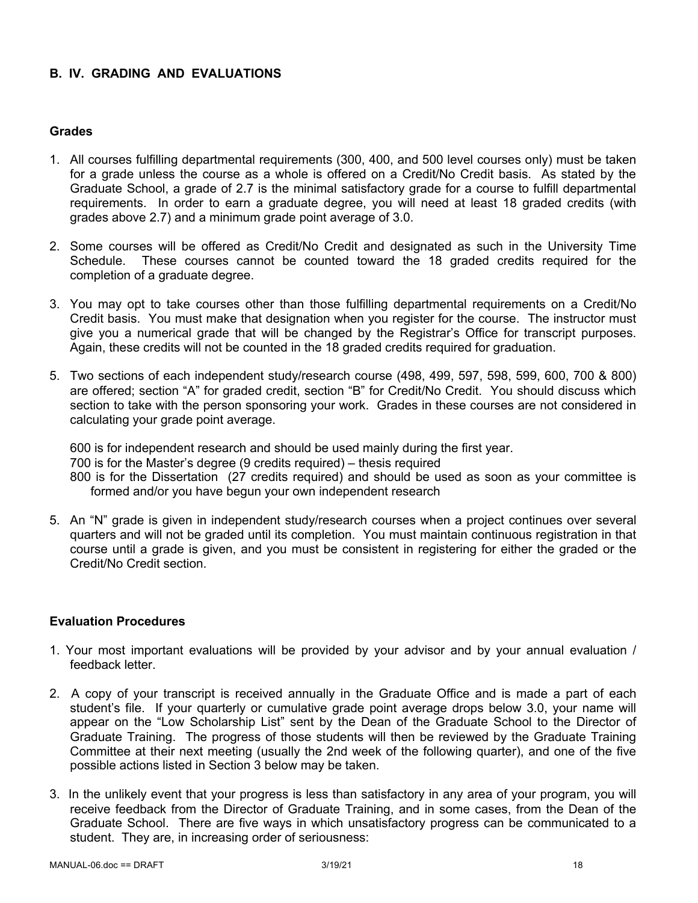# **B. IV. GRADING AND EVALUATIONS**

# **Grades**

- 1. All courses fulfilling departmental requirements (300, 400, and 500 level courses only) must be taken for a grade unless the course as a whole is offered on a Credit/No Credit basis. As stated by the Graduate School, a grade of 2.7 is the minimal satisfactory grade for a course to fulfill departmental requirements. In order to earn a graduate degree, you will need at least 18 graded credits (with grades above 2.7) and a minimum grade point average of 3.0.
- 2. Some courses will be offered as Credit/No Credit and designated as such in the University Time Schedule. These courses cannot be counted toward the 18 graded credits required for the completion of a graduate degree.
- 3. You may opt to take courses other than those fulfilling departmental requirements on a Credit/No Credit basis. You must make that designation when you register for the course. The instructor must give you a numerical grade that will be changed by the Registrar's Office for transcript purposes. Again, these credits will not be counted in the 18 graded credits required for graduation.
- 5. Two sections of each independent study/research course (498, 499, 597, 598, 599, 600, 700 & 800) are offered; section "A" for graded credit, section "B" for Credit/No Credit. You should discuss which section to take with the person sponsoring your work. Grades in these courses are not considered in calculating your grade point average.

600 is for independent research and should be used mainly during the first year. 700 is for the Master's degree (9 credits required) – thesis required 800 is for the Dissertation (27 credits required) and should be used as soon as your committee is formed and/or you have begun your own independent research

5. An "N" grade is given in independent study/research courses when a project continues over several quarters and will not be graded until its completion. You must maintain continuous registration in that course until a grade is given, and you must be consistent in registering for either the graded or the Credit/No Credit section.

#### **Evaluation Procedures**

- 1. Your most important evaluations will be provided by your advisor and by your annual evaluation / feedback letter.
- 2. A copy of your transcript is received annually in the Graduate Office and is made a part of each student's file. If your quarterly or cumulative grade point average drops below 3.0, your name will appear on the "Low Scholarship List" sent by the Dean of the Graduate School to the Director of Graduate Training. The progress of those students will then be reviewed by the Graduate Training Committee at their next meeting (usually the 2nd week of the following quarter), and one of the five possible actions listed in Section 3 below may be taken.
- 3. In the unlikely event that your progress is less than satisfactory in any area of your program, you will receive feedback from the Director of Graduate Training, and in some cases, from the Dean of the Graduate School. There are five ways in which unsatisfactory progress can be communicated to a student. They are, in increasing order of seriousness: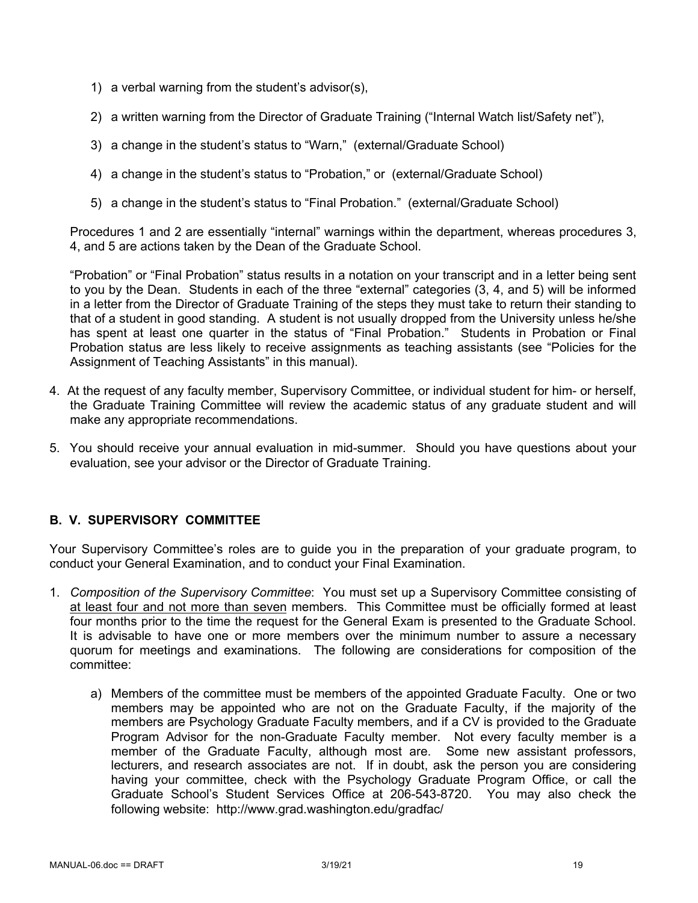- 1) a verbal warning from the student's advisor(s),
- 2) a written warning from the Director of Graduate Training ("Internal Watch list/Safety net"),
- 3) a change in the student's status to "Warn," (external/Graduate School)
- 4) a change in the student's status to "Probation," or (external/Graduate School)
- 5) a change in the student's status to "Final Probation." (external/Graduate School)

Procedures 1 and 2 are essentially "internal" warnings within the department, whereas procedures 3, 4, and 5 are actions taken by the Dean of the Graduate School.

"Probation" or "Final Probation" status results in a notation on your transcript and in a letter being sent to you by the Dean. Students in each of the three "external" categories (3, 4, and 5) will be informed in a letter from the Director of Graduate Training of the steps they must take to return their standing to that of a student in good standing. A student is not usually dropped from the University unless he/she has spent at least one quarter in the status of "Final Probation." Students in Probation or Final Probation status are less likely to receive assignments as teaching assistants (see "Policies for the Assignment of Teaching Assistants" in this manual).

- 4. At the request of any faculty member, Supervisory Committee, or individual student for him- or herself, the Graduate Training Committee will review the academic status of any graduate student and will make any appropriate recommendations.
- 5. You should receive your annual evaluation in mid-summer. Should you have questions about your evaluation, see your advisor or the Director of Graduate Training.

# **B. V. SUPERVISORY COMMITTEE**

Your Supervisory Committee's roles are to guide you in the preparation of your graduate program, to conduct your General Examination, and to conduct your Final Examination.

- 1. *Composition of the Supervisory Committee*: You must set up a Supervisory Committee consisting of at least four and not more than seven members. This Committee must be officially formed at least four months prior to the time the request for the General Exam is presented to the Graduate School. It is advisable to have one or more members over the minimum number to assure a necessary quorum for meetings and examinations. The following are considerations for composition of the committee:
	- a) Members of the committee must be members of the appointed Graduate Faculty. One or two members may be appointed who are not on the Graduate Faculty, if the majority of the members are Psychology Graduate Faculty members, and if a CV is provided to the Graduate Program Advisor for the non-Graduate Faculty member. Not every faculty member is a member of the Graduate Faculty, although most are. Some new assistant professors, lecturers, and research associates are not. If in doubt, ask the person you are considering having your committee, check with the Psychology Graduate Program Office, or call the Graduate School's Student Services Office at 206-543-8720. You may also check the following website: http://www.grad.washington.edu/gradfac/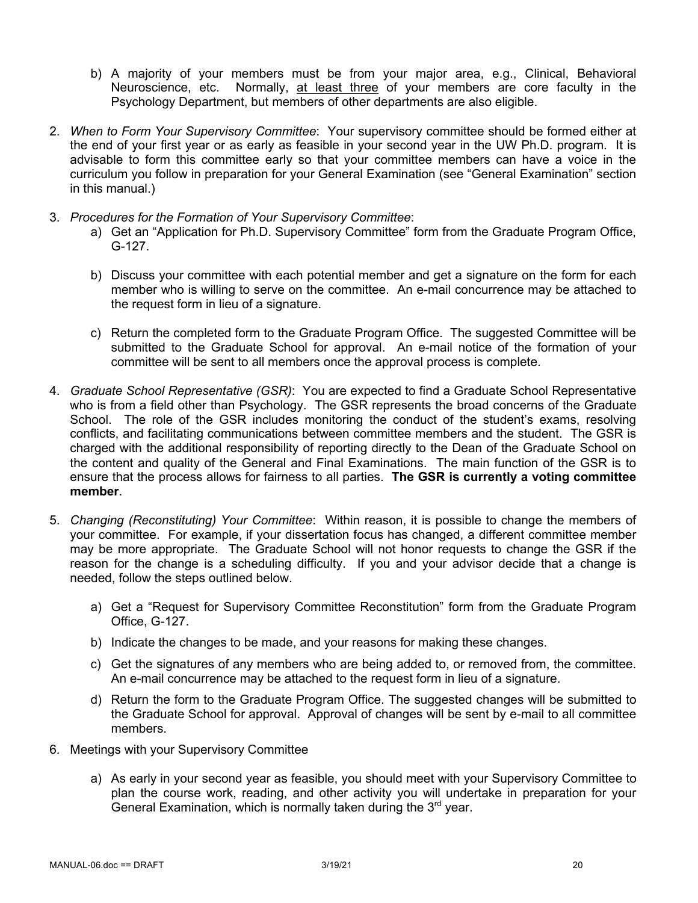- b) A majority of your members must be from your major area, e.g., Clinical, Behavioral Neuroscience, etc. Normally, at least three of your members are core faculty in the Psychology Department, but members of other departments are also eligible.
- 2. *When to Form Your Supervisory Committee*: Your supervisory committee should be formed either at the end of your first year or as early as feasible in your second year in the UW Ph.D. program. It is advisable to form this committee early so that your committee members can have a voice in the curriculum you follow in preparation for your General Examination (see "General Examination" section in this manual.)
- 3. *Procedures for the Formation of Your Supervisory Committee*:
	- a) Get an "Application for Ph.D. Supervisory Committee" form from the Graduate Program Office, G-127.
	- b) Discuss your committee with each potential member and get a signature on the form for each member who is willing to serve on the committee. An e-mail concurrence may be attached to the request form in lieu of a signature.
	- c) Return the completed form to the Graduate Program Office. The suggested Committee will be submitted to the Graduate School for approval. An e-mail notice of the formation of your committee will be sent to all members once the approval process is complete.
- 4. *Graduate School Representative (GSR)*: You are expected to find a Graduate School Representative who is from a field other than Psychology. The GSR represents the broad concerns of the Graduate School. The role of the GSR includes monitoring the conduct of the student's exams, resolving conflicts, and facilitating communications between committee members and the student. The GSR is charged with the additional responsibility of reporting directly to the Dean of the Graduate School on the content and quality of the General and Final Examinations. The main function of the GSR is to ensure that the process allows for fairness to all parties. **The GSR is currently a voting committee member**.
- 5. *Changing (Reconstituting) Your Committee*: Within reason, it is possible to change the members of your committee. For example, if your dissertation focus has changed, a different committee member may be more appropriate. The Graduate School will not honor requests to change the GSR if the reason for the change is a scheduling difficulty. If you and your advisor decide that a change is needed, follow the steps outlined below.
	- a) Get a "Request for Supervisory Committee Reconstitution" form from the Graduate Program Office, G-127.
	- b) Indicate the changes to be made, and your reasons for making these changes.
	- c) Get the signatures of any members who are being added to, or removed from, the committee. An e-mail concurrence may be attached to the request form in lieu of a signature.
	- d) Return the form to the Graduate Program Office. The suggested changes will be submitted to the Graduate School for approval. Approval of changes will be sent by e-mail to all committee members.
- 6. Meetings with your Supervisory Committee
	- a) As early in your second year as feasible, you should meet with your Supervisory Committee to plan the course work, reading, and other activity you will undertake in preparation for your General Examination, which is normally taken during the  $3<sup>rd</sup>$  year.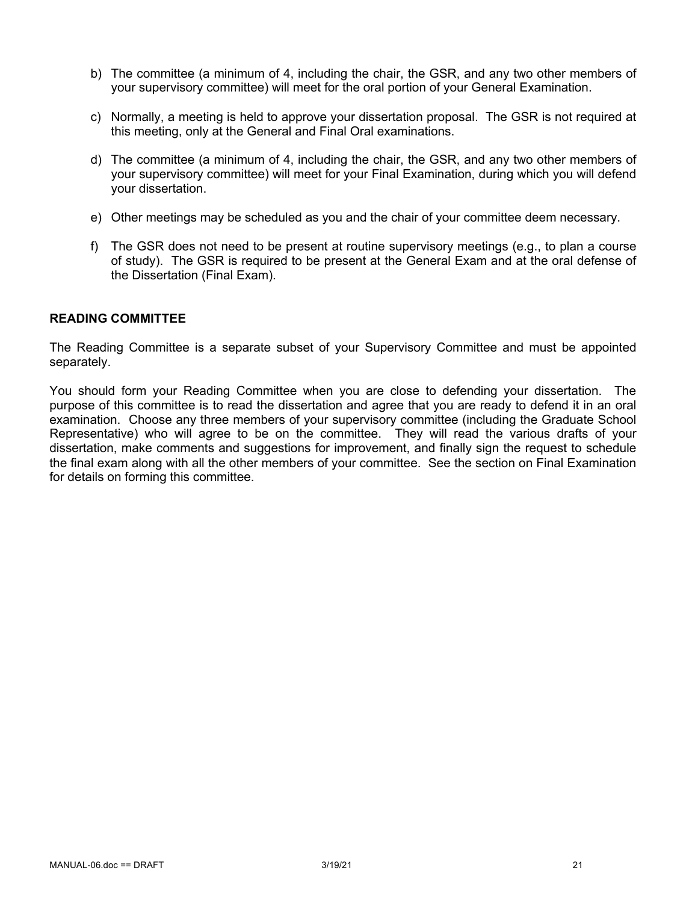- b) The committee (a minimum of 4, including the chair, the GSR, and any two other members of your supervisory committee) will meet for the oral portion of your General Examination.
- c) Normally, a meeting is held to approve your dissertation proposal. The GSR is not required at this meeting, only at the General and Final Oral examinations.
- d) The committee (a minimum of 4, including the chair, the GSR, and any two other members of your supervisory committee) will meet for your Final Examination, during which you will defend your dissertation.
- e) Other meetings may be scheduled as you and the chair of your committee deem necessary.
- f) The GSR does not need to be present at routine supervisory meetings (e.g., to plan a course of study). The GSR is required to be present at the General Exam and at the oral defense of the Dissertation (Final Exam).

#### **READING COMMITTEE**

The Reading Committee is a separate subset of your Supervisory Committee and must be appointed separately.

You should form your Reading Committee when you are close to defending your dissertation. The purpose of this committee is to read the dissertation and agree that you are ready to defend it in an oral examination. Choose any three members of your supervisory committee (including the Graduate School Representative) who will agree to be on the committee. They will read the various drafts of your dissertation, make comments and suggestions for improvement, and finally sign the request to schedule the final exam along with all the other members of your committee. See the section on Final Examination for details on forming this committee.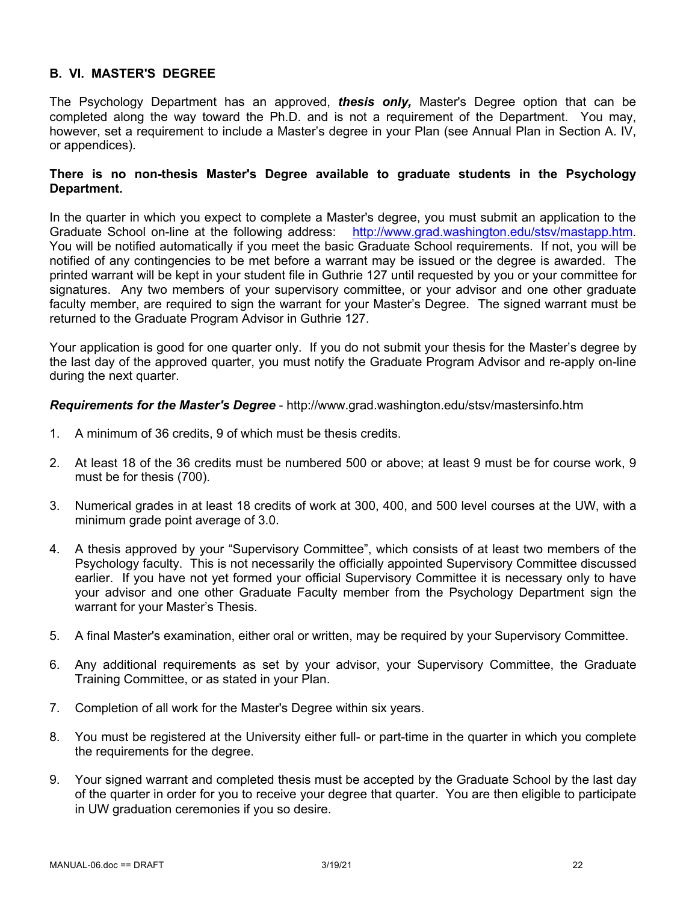# **B. VI. MASTER'S DEGREE**

The Psychology Department has an approved, *thesis only,* Master's Degree option that can be completed along the way toward the Ph.D. and is not a requirement of the Department. You may, however, set a requirement to include a Master's degree in your Plan (see Annual Plan in Section A. IV, or appendices).

#### **There is no non-thesis Master's Degree available to graduate students in the Psychology Department.**

In the quarter in which you expect to complete a Master's degree, you must submit an application to the Graduate School on-line at the following address: http://www.grad.washington.edu/stsv/mastapp.htm. You will be notified automatically if you meet the basic Graduate School requirements. If not, you will be notified of any contingencies to be met before a warrant may be issued or the degree is awarded. The printed warrant will be kept in your student file in Guthrie 127 until requested by you or your committee for signatures. Any two members of your supervisory committee, or your advisor and one other graduate faculty member, are required to sign the warrant for your Master's Degree. The signed warrant must be returned to the Graduate Program Advisor in Guthrie 127.

Your application is good for one quarter only. If you do not submit your thesis for the Master's degree by the last day of the approved quarter, you must notify the Graduate Program Advisor and re-apply on-line during the next quarter.

*Requirements for the Master's Degree* - http://www.grad.washington.edu/stsv/mastersinfo.htm

- 1. A minimum of 36 credits, 9 of which must be thesis credits.
- 2. At least 18 of the 36 credits must be numbered 500 or above; at least 9 must be for course work, 9 must be for thesis (700).
- 3. Numerical grades in at least 18 credits of work at 300, 400, and 500 level courses at the UW, with a minimum grade point average of 3.0.
- 4. A thesis approved by your "Supervisory Committee", which consists of at least two members of the Psychology faculty. This is not necessarily the officially appointed Supervisory Committee discussed earlier. If you have not yet formed your official Supervisory Committee it is necessary only to have your advisor and one other Graduate Faculty member from the Psychology Department sign the warrant for your Master's Thesis.
- 5. A final Master's examination, either oral or written, may be required by your Supervisory Committee.
- 6. Any additional requirements as set by your advisor, your Supervisory Committee, the Graduate Training Committee, or as stated in your Plan.
- 7. Completion of all work for the Master's Degree within six years.
- 8. You must be registered at the University either full- or part-time in the quarter in which you complete the requirements for the degree.
- 9. Your signed warrant and completed thesis must be accepted by the Graduate School by the last day of the quarter in order for you to receive your degree that quarter. You are then eligible to participate in UW graduation ceremonies if you so desire.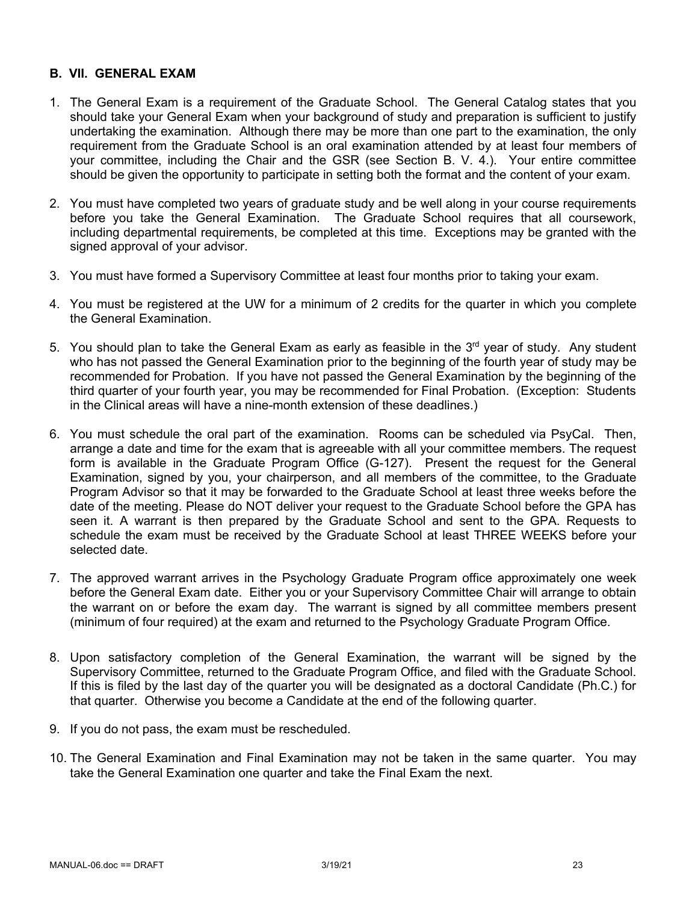# **B. VII. GENERAL EXAM**

- 1. The General Exam is a requirement of the Graduate School. The General Catalog states that you should take your General Exam when your background of study and preparation is sufficient to justify undertaking the examination. Although there may be more than one part to the examination, the only requirement from the Graduate School is an oral examination attended by at least four members of your committee, including the Chair and the GSR (see Section B. V. 4.). Your entire committee should be given the opportunity to participate in setting both the format and the content of your exam.
- 2. You must have completed two years of graduate study and be well along in your course requirements before you take the General Examination. The Graduate School requires that all coursework, including departmental requirements, be completed at this time. Exceptions may be granted with the signed approval of your advisor.
- 3. You must have formed a Supervisory Committee at least four months prior to taking your exam.
- 4. You must be registered at the UW for a minimum of 2 credits for the quarter in which you complete the General Examination.
- 5. You should plan to take the General Exam as early as feasible in the  $3<sup>rd</sup>$  year of study. Any student who has not passed the General Examination prior to the beginning of the fourth year of study may be recommended for Probation. If you have not passed the General Examination by the beginning of the third quarter of your fourth year, you may be recommended for Final Probation. (Exception: Students in the Clinical areas will have a nine-month extension of these deadlines.)
- 6. You must schedule the oral part of the examination. Rooms can be scheduled via PsyCal. Then, arrange a date and time for the exam that is agreeable with all your committee members. The request form is available in the Graduate Program Office (G-127). Present the request for the General Examination, signed by you, your chairperson, and all members of the committee, to the Graduate Program Advisor so that it may be forwarded to the Graduate School at least three weeks before the date of the meeting. Please do NOT deliver your request to the Graduate School before the GPA has seen it. A warrant is then prepared by the Graduate School and sent to the GPA. Requests to schedule the exam must be received by the Graduate School at least THREE WEEKS before your selected date.
- 7. The approved warrant arrives in the Psychology Graduate Program office approximately one week before the General Exam date. Either you or your Supervisory Committee Chair will arrange to obtain the warrant on or before the exam day. The warrant is signed by all committee members present (minimum of four required) at the exam and returned to the Psychology Graduate Program Office.
- 8. Upon satisfactory completion of the General Examination, the warrant will be signed by the Supervisory Committee, returned to the Graduate Program Office, and filed with the Graduate School. If this is filed by the last day of the quarter you will be designated as a doctoral Candidate (Ph.C.) for that quarter. Otherwise you become a Candidate at the end of the following quarter.
- 9. If you do not pass, the exam must be rescheduled.
- 10. The General Examination and Final Examination may not be taken in the same quarter. You may take the General Examination one quarter and take the Final Exam the next.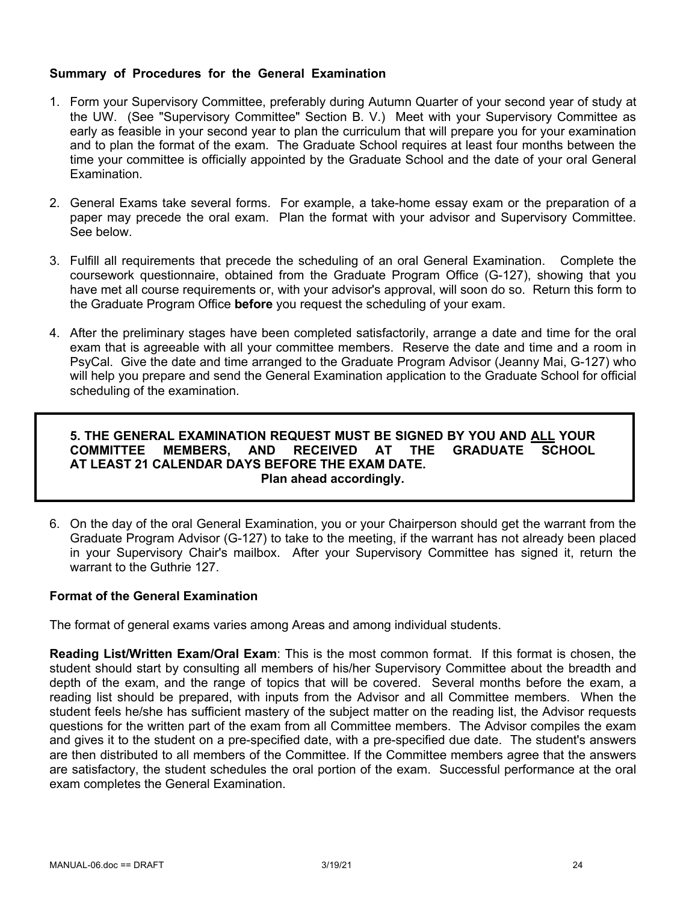# **Summary of Procedures for the General Examination**

- 1. Form your Supervisory Committee, preferably during Autumn Quarter of your second year of study at the UW. (See "Supervisory Committee" Section B. V.) Meet with your Supervisory Committee as early as feasible in your second year to plan the curriculum that will prepare you for your examination and to plan the format of the exam. The Graduate School requires at least four months between the time your committee is officially appointed by the Graduate School and the date of your oral General Examination.
- 2. General Exams take several forms. For example, a take-home essay exam or the preparation of a paper may precede the oral exam. Plan the format with your advisor and Supervisory Committee. See below.
- 3. Fulfill all requirements that precede the scheduling of an oral General Examination. Complete the coursework questionnaire, obtained from the Graduate Program Office (G-127), showing that you have met all course requirements or, with your advisor's approval, will soon do so. Return this form to the Graduate Program Office **before** you request the scheduling of your exam.
- 4. After the preliminary stages have been completed satisfactorily, arrange a date and time for the oral exam that is agreeable with all your committee members. Reserve the date and time and a room in PsyCal. Give the date and time arranged to the Graduate Program Advisor (Jeanny Mai, G-127) who will help you prepare and send the General Examination application to the Graduate School for official scheduling of the examination.

## **5. THE GENERAL EXAMINATION REQUEST MUST BE SIGNED BY YOU AND ALL YOUR COMMITTEE MEMBERS, AND RECEIVED AT THE GRADUATE SCHOOL AT LEAST 21 CALENDAR DAYS BEFORE THE EXAM DATE. Plan ahead accordingly.**

6. On the day of the oral General Examination, you or your Chairperson should get the warrant from the Graduate Program Advisor (G-127) to take to the meeting, if the warrant has not already been placed in your Supervisory Chair's mailbox. After your Supervisory Committee has signed it, return the warrant to the Guthrie 127.

# **Format of the General Examination**

The format of general exams varies among Areas and among individual students.

**Reading List/Written Exam/Oral Exam**: This is the most common format. If this format is chosen, the student should start by consulting all members of his/her Supervisory Committee about the breadth and depth of the exam, and the range of topics that will be covered. Several months before the exam, a reading list should be prepared, with inputs from the Advisor and all Committee members. When the student feels he/she has sufficient mastery of the subject matter on the reading list, the Advisor requests questions for the written part of the exam from all Committee members. The Advisor compiles the exam and gives it to the student on a pre-specified date, with a pre-specified due date. The student's answers are then distributed to all members of the Committee. If the Committee members agree that the answers are satisfactory, the student schedules the oral portion of the exam. Successful performance at the oral exam completes the General Examination.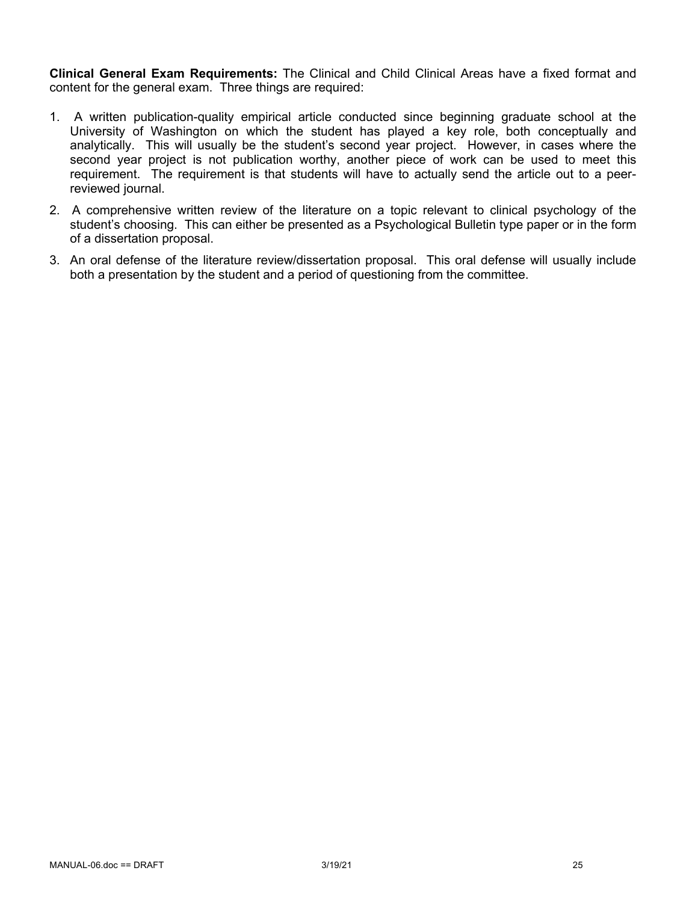**Clinical General Exam Requirements:** The Clinical and Child Clinical Areas have a fixed format and content for the general exam. Three things are required:

- 1. A written publication-quality empirical article conducted since beginning graduate school at the University of Washington on which the student has played a key role, both conceptually and analytically. This will usually be the student's second year project. However, in cases where the second year project is not publication worthy, another piece of work can be used to meet this requirement. The requirement is that students will have to actually send the article out to a peerreviewed journal.
- 2. A comprehensive written review of the literature on a topic relevant to clinical psychology of the student's choosing. This can either be presented as a Psychological Bulletin type paper or in the form of a dissertation proposal.
- 3. An oral defense of the literature review/dissertation proposal. This oral defense will usually include both a presentation by the student and a period of questioning from the committee.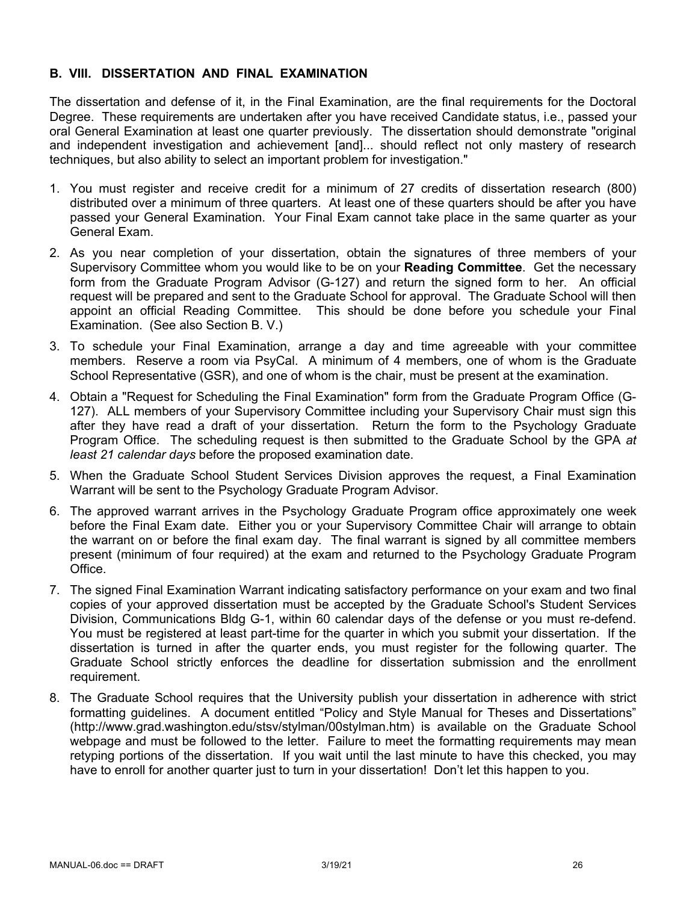## **B. VIII. DISSERTATION AND FINAL EXAMINATION**

The dissertation and defense of it, in the Final Examination, are the final requirements for the Doctoral Degree. These requirements are undertaken after you have received Candidate status, i.e., passed your oral General Examination at least one quarter previously. The dissertation should demonstrate "original and independent investigation and achievement [and]... should reflect not only mastery of research techniques, but also ability to select an important problem for investigation."

- 1. You must register and receive credit for a minimum of 27 credits of dissertation research (800) distributed over a minimum of three quarters. At least one of these quarters should be after you have passed your General Examination. Your Final Exam cannot take place in the same quarter as your General Exam.
- 2. As you near completion of your dissertation, obtain the signatures of three members of your Supervisory Committee whom you would like to be on your **Reading Committee**. Get the necessary form from the Graduate Program Advisor (G-127) and return the signed form to her. An official request will be prepared and sent to the Graduate School for approval. The Graduate School will then appoint an official Reading Committee. This should be done before you schedule your Final Examination. (See also Section B. V.)
- 3. To schedule your Final Examination, arrange a day and time agreeable with your committee members. Reserve a room via PsyCal. A minimum of 4 members, one of whom is the Graduate School Representative (GSR), and one of whom is the chair, must be present at the examination.
- 4. Obtain a "Request for Scheduling the Final Examination" form from the Graduate Program Office (G-127). ALL members of your Supervisory Committee including your Supervisory Chair must sign this after they have read a draft of your dissertation. Return the form to the Psychology Graduate Program Office. The scheduling request is then submitted to the Graduate School by the GPA *at least 21 calendar days* before the proposed examination date.
- 5. When the Graduate School Student Services Division approves the request, a Final Examination Warrant will be sent to the Psychology Graduate Program Advisor.
- 6. The approved warrant arrives in the Psychology Graduate Program office approximately one week before the Final Exam date. Either you or your Supervisory Committee Chair will arrange to obtain the warrant on or before the final exam day. The final warrant is signed by all committee members present (minimum of four required) at the exam and returned to the Psychology Graduate Program Office.
- 7. The signed Final Examination Warrant indicating satisfactory performance on your exam and two final copies of your approved dissertation must be accepted by the Graduate School's Student Services Division, Communications Bldg G-1, within 60 calendar days of the defense or you must re-defend. You must be registered at least part-time for the quarter in which you submit your dissertation. If the dissertation is turned in after the quarter ends, you must register for the following quarter. The Graduate School strictly enforces the deadline for dissertation submission and the enrollment requirement.
- 8. The Graduate School requires that the University publish your dissertation in adherence with strict formatting guidelines. A document entitled "Policy and Style Manual for Theses and Dissertations" (http://www.grad.washington.edu/stsv/stylman/00stylman.htm) is available on the Graduate School webpage and must be followed to the letter. Failure to meet the formatting requirements may mean retyping portions of the dissertation. If you wait until the last minute to have this checked, you may have to enroll for another quarter just to turn in your dissertation! Don't let this happen to you.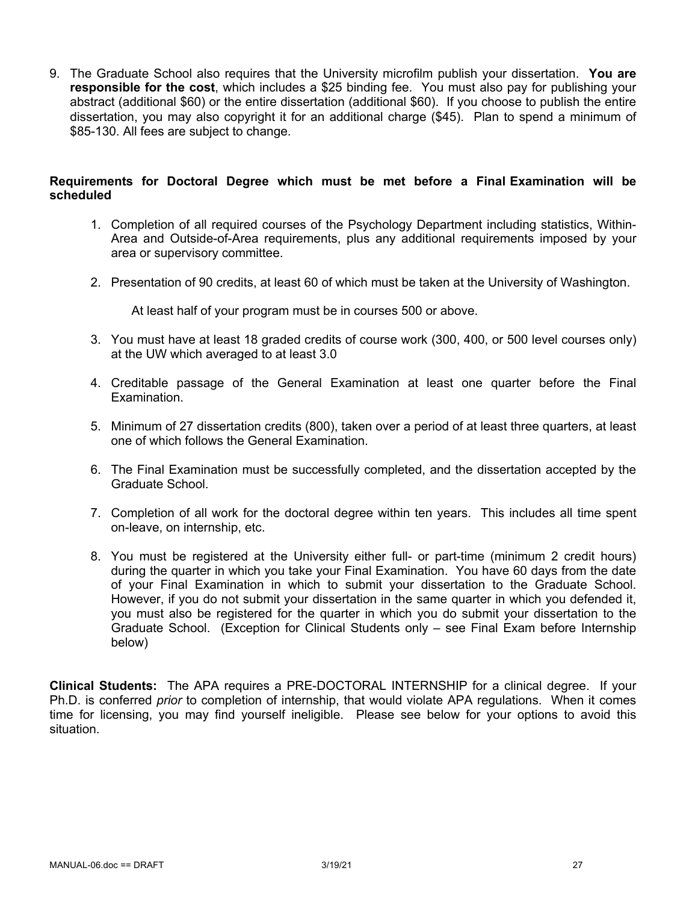9. The Graduate School also requires that the University microfilm publish your dissertation. **You are responsible for the cost**, which includes a \$25 binding fee. You must also pay for publishing your abstract (additional \$60) or the entire dissertation (additional \$60). If you choose to publish the entire dissertation, you may also copyright it for an additional charge (\$45). Plan to spend a minimum of \$85-130. All fees are subject to change.

#### **Requirements for Doctoral Degree which must be met before a Final Examination will be scheduled**

- 1. Completion of all required courses of the Psychology Department including statistics, Within-Area and Outside-of-Area requirements, plus any additional requirements imposed by your area or supervisory committee.
- 2. Presentation of 90 credits, at least 60 of which must be taken at the University of Washington.

At least half of your program must be in courses 500 or above.

- 3. You must have at least 18 graded credits of course work (300, 400, or 500 level courses only) at the UW which averaged to at least 3.0
- 4. Creditable passage of the General Examination at least one quarter before the Final Examination.
- 5. Minimum of 27 dissertation credits (800), taken over a period of at least three quarters, at least one of which follows the General Examination.
- 6. The Final Examination must be successfully completed, and the dissertation accepted by the Graduate School.
- 7. Completion of all work for the doctoral degree within ten years. This includes all time spent on-leave, on internship, etc.
- 8. You must be registered at the University either full- or part-time (minimum 2 credit hours) during the quarter in which you take your Final Examination. You have 60 days from the date of your Final Examination in which to submit your dissertation to the Graduate School. However, if you do not submit your dissertation in the same quarter in which you defended it, you must also be registered for the quarter in which you do submit your dissertation to the Graduate School. (Exception for Clinical Students only – see Final Exam before Internship below)

**Clinical Students:** The APA requires a PRE-DOCTORAL INTERNSHIP for a clinical degree. If your Ph.D. is conferred *prior* to completion of internship, that would violate APA regulations. When it comes time for licensing, you may find yourself ineligible. Please see below for your options to avoid this situation.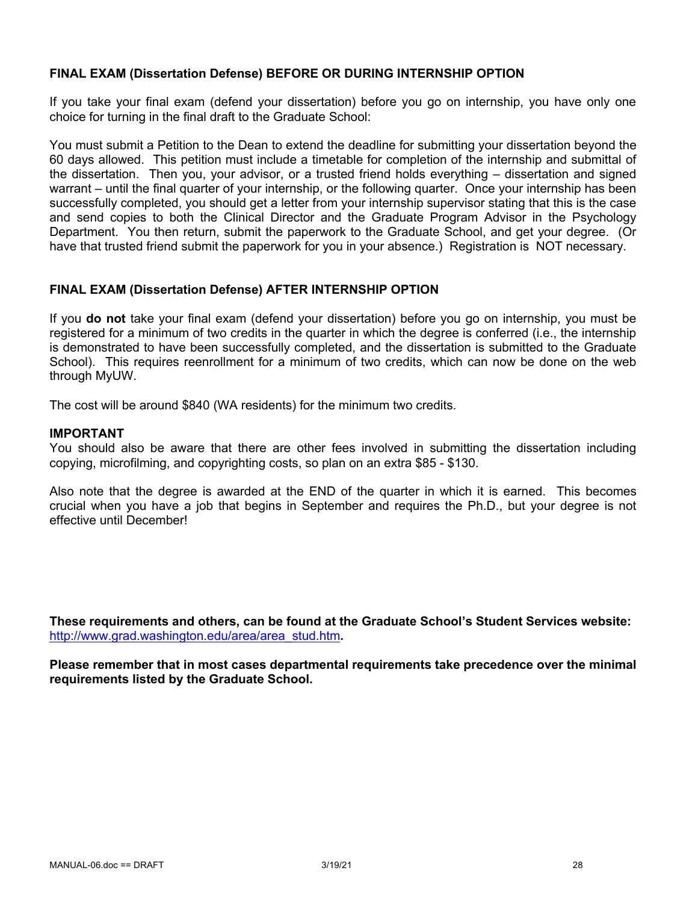## **FINAL EXAM (Dissertation Defense) BEFORE OR DURING INTERNSHIP OPTION**

If you take your final exam (defend your dissertation) before you go on internship, you have only one choice for turning in the final draft to the Graduate School:

You must submit a Petition to the Dean to extend the deadline for submitting your dissertation beyond the 60 days allowed. This petition must include a timetable for completion of the internship and submittal of the dissertation. Then you, your advisor, or a trusted friend holds everything – dissertation and signed warrant – until the final quarter of your internship, or the following quarter. Once your internship has been successfully completed, you should get a letter from your internship supervisor stating that this is the case and send copies to both the Clinical Director and the Graduate Program Advisor in the Psychology Department. You then return, submit the paperwork to the Graduate School, and get your degree. (Or have that trusted friend submit the paperwork for you in your absence.) Registration is NOT necessary.

#### **FINAL EXAM (Dissertation Defense) AFTER INTERNSHIP OPTION**

If you **do not** take your final exam (defend your dissertation) before you go on internship, you must be registered for a minimum of two credits in the quarter in which the degree is conferred (i.e., the internship is demonstrated to have been successfully completed, and the dissertation is submitted to the Graduate School). This requires reenrollment for a minimum of two credits, which can now be done on the web through MyUW.

The cost will be around \$840 (WA residents) for the minimum two credits.

#### **IMPORTANT**

You should also be aware that there are other fees involved in submitting the dissertation including copying, microfilming, and copyrighting costs, so plan on an extra \$85 - \$130.

Also note that the degree is awarded at the END of the quarter in which it is earned. This becomes crucial when you have a job that begins in September and requires the Ph.D., but your degree is not effective until December!

**These requirements and others, can be found at the Graduate School's Student Services website:** http://www.grad.washington.edu/area/area\_stud.htm**.**

**Please remember that in most cases departmental requirements take precedence over the minimal requirements listed by the Graduate School.**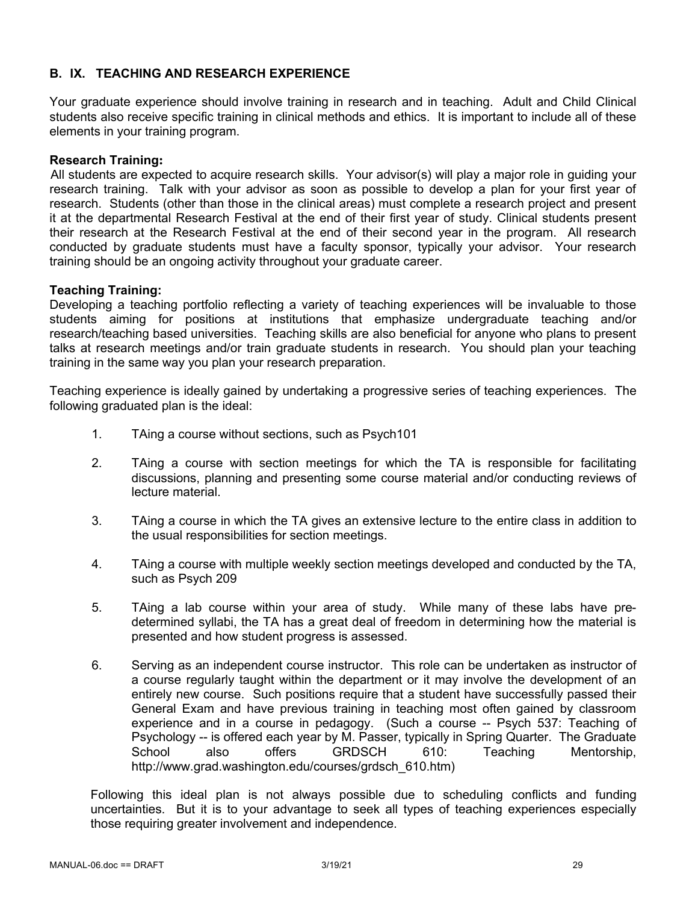# **B. IX. TEACHING AND RESEARCH EXPERIENCE**

Your graduate experience should involve training in research and in teaching. Adult and Child Clinical students also receive specific training in clinical methods and ethics. It is important to include all of these elements in your training program.

#### **Research Training:**

All students are expected to acquire research skills. Your advisor(s) will play a major role in guiding your research training. Talk with your advisor as soon as possible to develop a plan for your first year of research. Students (other than those in the clinical areas) must complete a research project and present it at the departmental Research Festival at the end of their first year of study. Clinical students present their research at the Research Festival at the end of their second year in the program. All research conducted by graduate students must have a faculty sponsor, typically your advisor. Your research training should be an ongoing activity throughout your graduate career.

## **Teaching Training:**

Developing a teaching portfolio reflecting a variety of teaching experiences will be invaluable to those students aiming for positions at institutions that emphasize undergraduate teaching and/or research/teaching based universities. Teaching skills are also beneficial for anyone who plans to present talks at research meetings and/or train graduate students in research. You should plan your teaching training in the same way you plan your research preparation.

Teaching experience is ideally gained by undertaking a progressive series of teaching experiences. The following graduated plan is the ideal:

- 1. TAing a course without sections, such as Psych101
- 2. TAing a course with section meetings for which the TA is responsible for facilitating discussions, planning and presenting some course material and/or conducting reviews of lecture material.
- 3. TAing a course in which the TA gives an extensive lecture to the entire class in addition to the usual responsibilities for section meetings.
- 4. TAing a course with multiple weekly section meetings developed and conducted by the TA, such as Psych 209
- 5. TAing a lab course within your area of study. While many of these labs have predetermined syllabi, the TA has a great deal of freedom in determining how the material is presented and how student progress is assessed.
- 6. Serving as an independent course instructor. This role can be undertaken as instructor of a course regularly taught within the department or it may involve the development of an entirely new course. Such positions require that a student have successfully passed their General Exam and have previous training in teaching most often gained by classroom experience and in a course in pedagogy. (Such a course -- Psych 537: Teaching of Psychology -- is offered each year by M. Passer, typically in Spring Quarter. The Graduate School also offers GRDSCH 610: Teaching Mentorship, http://www.grad.washington.edu/courses/grdsch\_610.htm)

Following this ideal plan is not always possible due to scheduling conflicts and funding uncertainties. But it is to your advantage to seek all types of teaching experiences especially those requiring greater involvement and independence.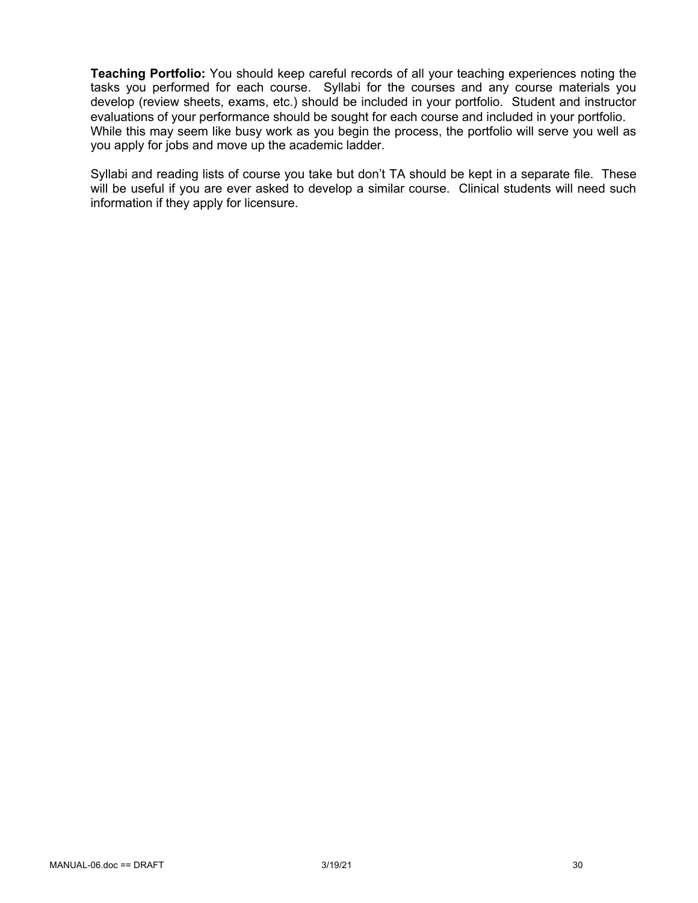**Teaching Portfolio:** You should keep careful records of all your teaching experiences noting the tasks you performed for each course. Syllabi for the courses and any course materials you develop (review sheets, exams, etc.) should be included in your portfolio. Student and instructor evaluations of your performance should be sought for each course and included in your portfolio. While this may seem like busy work as you begin the process, the portfolio will serve you well as you apply for jobs and move up the academic ladder.

Syllabi and reading lists of course you take but don't TA should be kept in a separate file. These will be useful if you are ever asked to develop a similar course. Clinical students will need such information if they apply for licensure.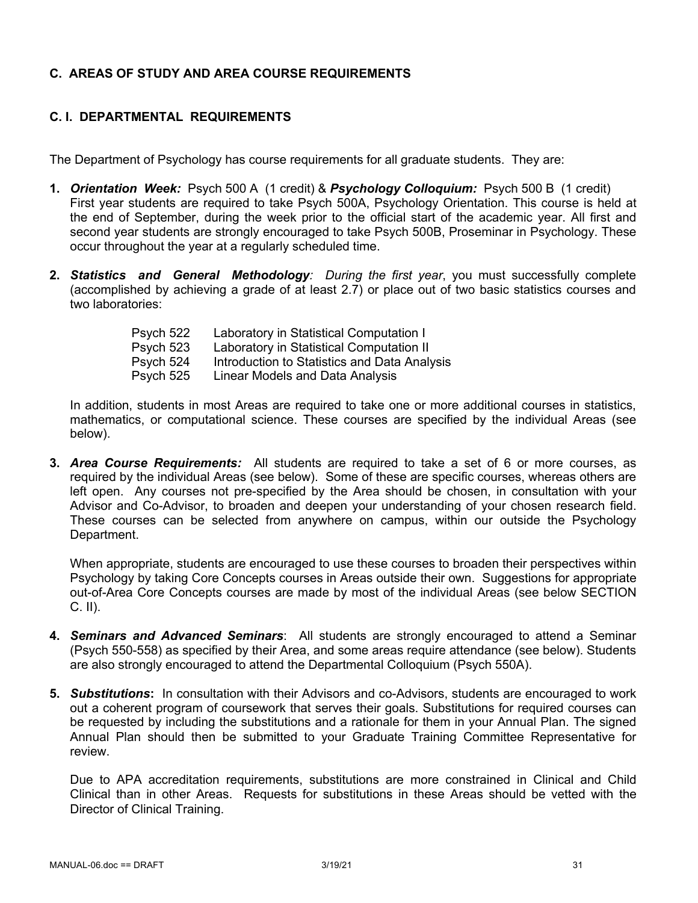# **C. AREAS OF STUDY AND AREA COURSE REQUIREMENTS**

# **C. I. DEPARTMENTAL REQUIREMENTS**

The Department of Psychology has course requirements for all graduate students. They are:

- **1.** *Orientation Week:* Psych 500 A (1 credit) & *Psychology Colloquium:* Psych 500 B (1 credit) First year students are required to take Psych 500A, Psychology Orientation. This course is held at the end of September, during the week prior to the official start of the academic year. All first and second year students are strongly encouraged to take Psych 500B, Proseminar in Psychology. These occur throughout the year at a regularly scheduled time.
- **2.** *Statistics and General Methodology: During the first year*, you must successfully complete (accomplished by achieving a grade of at least 2.7) or place out of two basic statistics courses and two laboratories:

| Psych 522 | Laboratory in Statistical Computation I      |
|-----------|----------------------------------------------|
| Psych 523 | Laboratory in Statistical Computation II     |
| Psych 524 | Introduction to Statistics and Data Analysis |
| Psych 525 | Linear Models and Data Analysis              |

In addition, students in most Areas are required to take one or more additional courses in statistics, mathematics, or computational science. These courses are specified by the individual Areas (see below).

**3.** *Area Course Requirements:* All students are required to take a set of 6 or more courses, as required by the individual Areas (see below). Some of these are specific courses, whereas others are left open. Any courses not pre-specified by the Area should be chosen, in consultation with your Advisor and Co-Advisor, to broaden and deepen your understanding of your chosen research field. These courses can be selected from anywhere on campus, within our outside the Psychology Department.

When appropriate, students are encouraged to use these courses to broaden their perspectives within Psychology by taking Core Concepts courses in Areas outside their own. Suggestions for appropriate out-of-Area Core Concepts courses are made by most of the individual Areas (see below SECTION C. II).

- **4.** *Seminars and Advanced Seminars*: All students are strongly encouraged to attend a Seminar (Psych 550-558) as specified by their Area, and some areas require attendance (see below). Students are also strongly encouraged to attend the Departmental Colloquium (Psych 550A).
- **5.** *Substitutions***:** In consultation with their Advisors and co-Advisors, students are encouraged to work out a coherent program of coursework that serves their goals. Substitutions for required courses can be requested by including the substitutions and a rationale for them in your Annual Plan. The signed Annual Plan should then be submitted to your Graduate Training Committee Representative for review.

Due to APA accreditation requirements, substitutions are more constrained in Clinical and Child Clinical than in other Areas. Requests for substitutions in these Areas should be vetted with the Director of Clinical Training.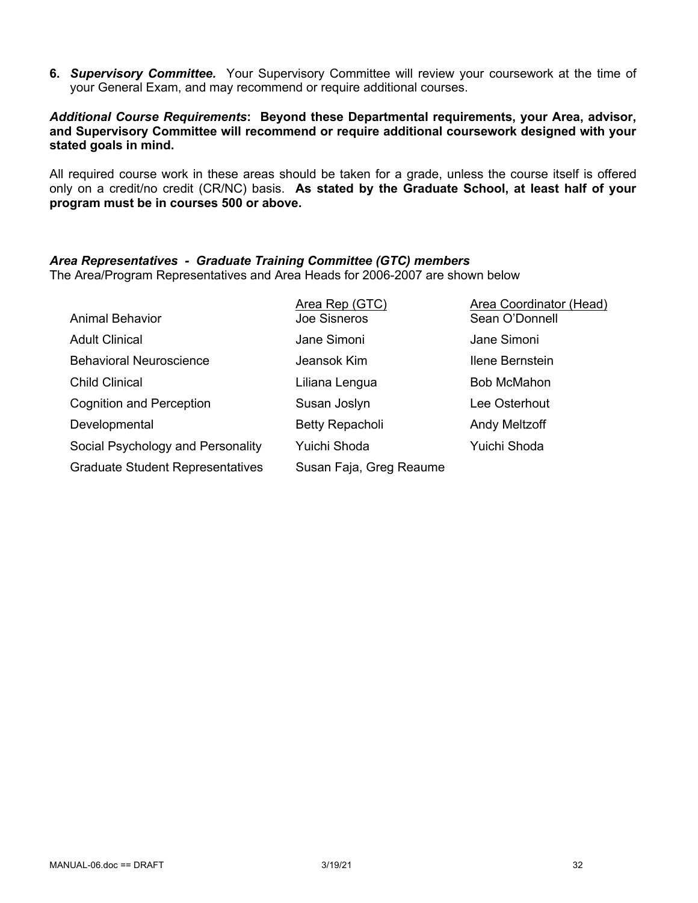**6.** *Supervisory Committee.* Your Supervisory Committee will review your coursework at the time of your General Exam, and may recommend or require additional courses.

#### *Additional Course Requirements***: Beyond these Departmental requirements, your Area, advisor, and Supervisory Committee will recommend or require additional coursework designed with your stated goals in mind.**

All required course work in these areas should be taken for a grade, unless the course itself is offered only on a credit/no credit (CR/NC) basis. **As stated by the Graduate School, at least half of your program must be in courses 500 or above.**

## *Area Representatives - Graduate Training Committee (GTC) members*

The Area/Program Representatives and Area Heads for 2006-2007 are shown below

| <b>Animal Behavior</b>                  | Area Rep (GTC)<br><b>Joe Sisneros</b> | Area Coordinator (Head)<br>Sean O'Donnell |
|-----------------------------------------|---------------------------------------|-------------------------------------------|
| <b>Adult Clinical</b>                   | Jane Simoni                           | Jane Simoni                               |
| <b>Behavioral Neuroscience</b>          | Jeansok Kim                           | Ilene Bernstein                           |
| <b>Child Clinical</b>                   | Liliana Lengua                        | <b>Bob McMahon</b>                        |
| <b>Cognition and Perception</b>         | Susan Joslyn                          | Lee Osterhout                             |
| Developmental                           | <b>Betty Repacholi</b>                | Andy Meltzoff                             |
| Social Psychology and Personality       | Yuichi Shoda                          | Yuichi Shoda                              |
| <b>Graduate Student Representatives</b> | Susan Faja, Greg Reaume               |                                           |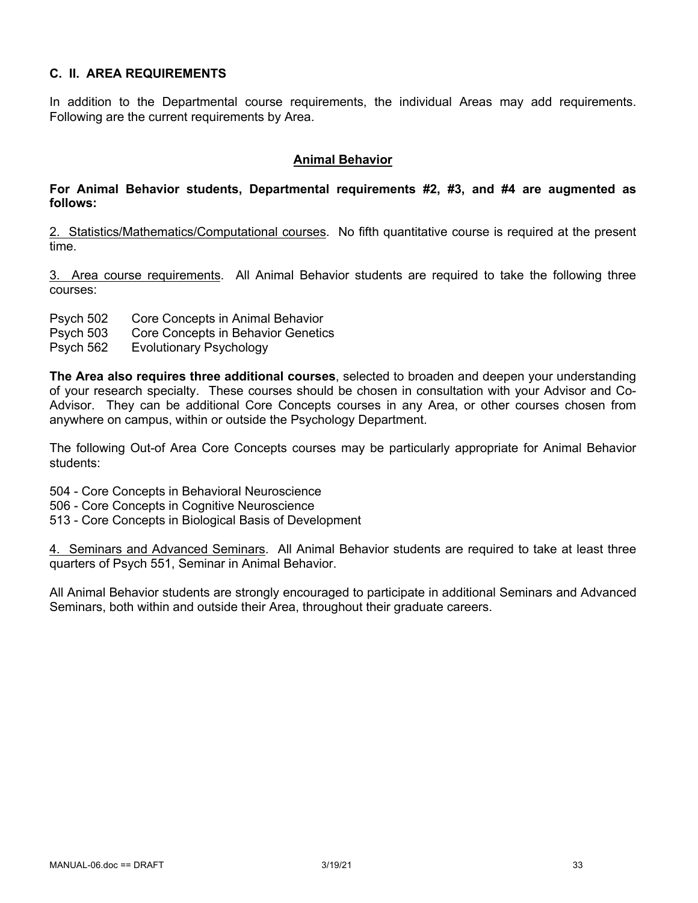# **C. II. AREA REQUIREMENTS**

In addition to the Departmental course requirements, the individual Areas may add requirements. Following are the current requirements by Area.

#### **Animal Behavior**

#### **For Animal Behavior students, Departmental requirements #2, #3, and #4 are augmented as follows:**

2. Statistics/Mathematics/Computational courses. No fifth quantitative course is required at the present time.

3. Area course requirements. All Animal Behavior students are required to take the following three courses:

- Psych 502 Core Concepts in Animal Behavior
- Psych 503 Core Concepts in Behavior Genetics
- Psych 562 Evolutionary Psychology

**The Area also requires three additional courses**, selected to broaden and deepen your understanding of your research specialty. These courses should be chosen in consultation with your Advisor and Co-Advisor. They can be additional Core Concepts courses in any Area, or other courses chosen from anywhere on campus, within or outside the Psychology Department.

The following Out-of Area Core Concepts courses may be particularly appropriate for Animal Behavior students:

504 - Core Concepts in Behavioral Neuroscience

- 506 Core Concepts in Cognitive Neuroscience
- 513 Core Concepts in Biological Basis of Development

4. Seminars and Advanced Seminars. All Animal Behavior students are required to take at least three quarters of Psych 551, Seminar in Animal Behavior.

All Animal Behavior students are strongly encouraged to participate in additional Seminars and Advanced Seminars, both within and outside their Area, throughout their graduate careers.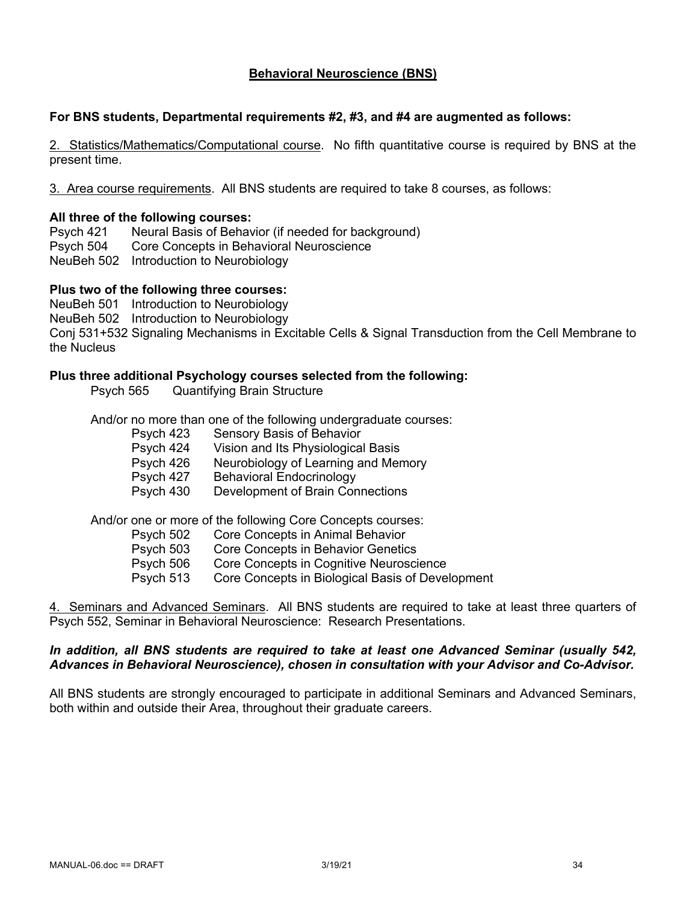# **Behavioral Neuroscience (BNS)**

#### **For BNS students, Departmental requirements #2, #3, and #4 are augmented as follows:**

2. Statistics/Mathematics/Computational course. No fifth quantitative course is required by BNS at the present time.

3. Area course requirements. All BNS students are required to take 8 courses, as follows:

#### **All three of the following courses:**

Psych 421 Neural Basis of Behavior (if needed for background) Psych 504 Core Concepts in Behavioral Neuroscience NeuBeh 502 Introduction to Neurobiology

#### **Plus two of the following three courses:**

NeuBeh 501 Introduction to Neurobiology NeuBeh 502 Introduction to Neurobiology Conj 531+532 Signaling Mechanisms in Excitable Cells & Signal Transduction from the Cell Membrane to the Nucleus

#### **Plus three additional Psychology courses selected from the following:**

Psych 565 Quantifying Brain Structure

And/or no more than one of the following undergraduate courses:

- Psych 423 Sensory Basis of Behavior
- Psych 424 Vision and Its Physiological Basis
- Psych 426 Neurobiology of Learning and Memory
- Psych 427 Behavioral Endocrinology
- Psych 430 Development of Brain Connections

And/or one or more of the following Core Concepts courses:

- Psych 502 Core Concepts in Animal Behavior
- Psych 503 Core Concepts in Behavior Genetics
- Psych 506 Core Concepts in Cognitive Neuroscience
- Psych 513 Core Concepts in Biological Basis of Development

4. Seminars and Advanced Seminars. All BNS students are required to take at least three quarters of Psych 552, Seminar in Behavioral Neuroscience: Research Presentations.

#### *In addition, all BNS students are required to take at least one Advanced Seminar (usually 542, Advances in Behavioral Neuroscience), chosen in consultation with your Advisor and Co-Advisor.*

All BNS students are strongly encouraged to participate in additional Seminars and Advanced Seminars, both within and outside their Area, throughout their graduate careers.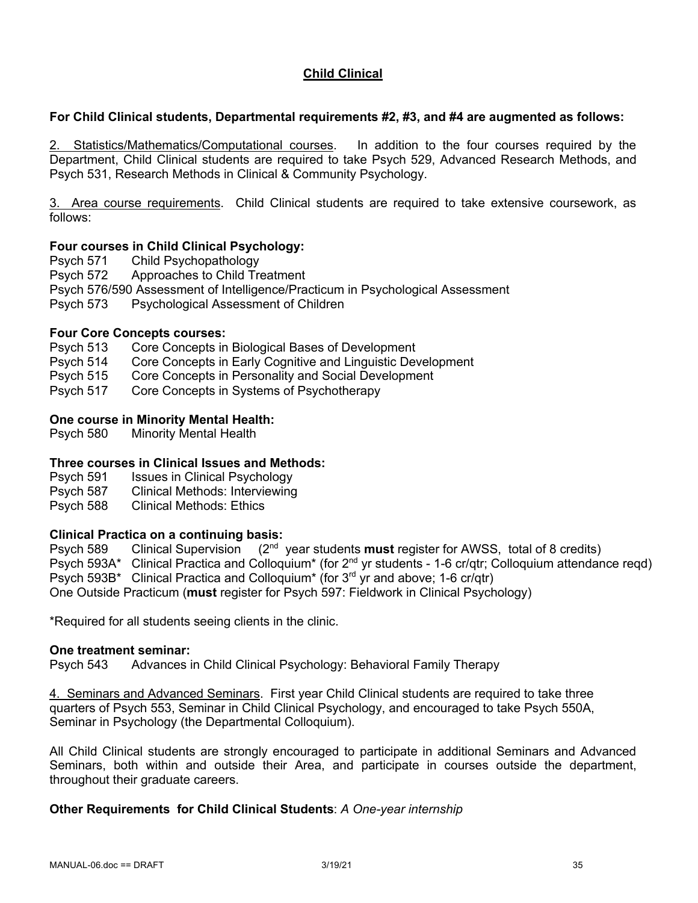# **Child Clinical**

# **For Child Clinical students, Departmental requirements #2, #3, and #4 are augmented as follows:**

2. Statistics/Mathematics/Computational courses. In addition to the four courses required by the Department, Child Clinical students are required to take Psych 529, Advanced Research Methods, and Psych 531, Research Methods in Clinical & Community Psychology.

3. Area course requirements. Child Clinical students are required to take extensive coursework, as follows:

# **Four courses in Child Clinical Psychology:**

Psych 571 Child Psychopathology

Psych 572 Approaches to Child Treatment

Psych 576/590 Assessment of Intelligence/Practicum in Psychological Assessment

Psych 573 Psychological Assessment of Children

## **Four Core Concepts courses:**

- Psych 513 Core Concepts in Biological Bases of Development
- Psych 514 Core Concepts in Early Cognitive and Linguistic Development
- Psych 515 Core Concepts in Personality and Social Development

Psych 517 Core Concepts in Systems of Psychotherapy

## **One course in Minority Mental Health:**

Psych 580 Minority Mental Health

# **Three courses in Clinical Issues and Methods:**

- Psych 591 Issues in Clinical Psychology
- Psych 587 Clinical Methods: Interviewing
- Psych 588 Clinical Methods: Ethics

# **Clinical Practica on a continuing basis:**

589 Psych 589 Clinical Supervision (2nd year students **must** register for AWSS, total of 8 credits) Psych 593A\* Clinical Practica and Colloquium<sup>\*</sup> (for 2<sup>nd</sup> yr students - 1-6 cr/qtr; Colloquium attendance regd) Psych 593B\* Clinical Practica and Colloquium\* (for 3<sup>rd</sup> yr and above; 1-6 cr/qtr) One Outside Practicum (**must** register for Psych 597: Fieldwork in Clinical Psychology)

\*Required for all students seeing clients in the clinic.

#### **One treatment seminar:**

Psych 543 Advances in Child Clinical Psychology: Behavioral Family Therapy

4. Seminars and Advanced Seminars. First year Child Clinical students are required to take three quarters of Psych 553, Seminar in Child Clinical Psychology, and encouraged to take Psych 550A, Seminar in Psychology (the Departmental Colloquium).

All Child Clinical students are strongly encouraged to participate in additional Seminars and Advanced Seminars, both within and outside their Area, and participate in courses outside the department, throughout their graduate careers.

#### **Other Requirements for Child Clinical Students**: *A One-year internship*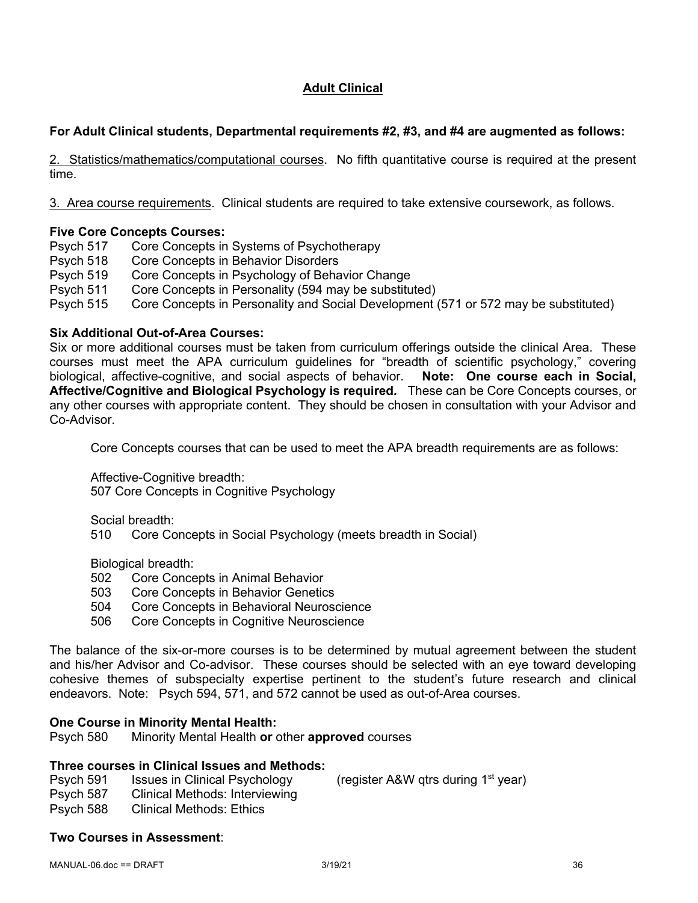# **Adult Clinical**

# **For Adult Clinical students, Departmental requirements #2, #3, and #4 are augmented as follows:**

2. Statistics/mathematics/computational courses. No fifth quantitative course is required at the present time.

3. Area course requirements. Clinical students are required to take extensive coursework, as follows.

# **Five Core Concepts Courses:**

Psych 517 Core Concepts in Systems of Psychotherapy

- Psych 518 Core Concepts in Behavior Disorders
- Psych 519 Core Concepts in Psychology of Behavior Change
- Psych 511 Core Concepts in Personality (594 may be substituted)
- Psych 515 Core Concepts in Personality and Social Development (571 or 572 may be substituted)

## **Six Additional Out-of-Area Courses:**

Six or more additional courses must be taken from curriculum offerings outside the clinical Area. These courses must meet the APA curriculum guidelines for "breadth of scientific psychology," covering biological, affective-cognitive, and social aspects of behavior. **Note: One course each in Social, Affective/Cognitive and Biological Psychology is required***.* These can be Core Concepts courses, or any other courses with appropriate content. They should be chosen in consultation with your Advisor and Co-Advisor.

Core Concepts courses that can be used to meet the APA breadth requirements are as follows:

Affective-Cognitive breadth:

507 Core Concepts in Cognitive Psychology

Social breadth:

510 Core Concepts in Social Psychology (meets breadth in Social)

Biological breadth:

- 502 Core Concepts in Animal Behavior
- 503 Core Concepts in Behavior Genetics
- 504 Core Concepts in Behavioral Neuroscience
- 506 Core Concepts in Cognitive Neuroscience

The balance of the six-or-more courses is to be determined by mutual agreement between the student and his/her Advisor and Co-advisor. These courses should be selected with an eye toward developing cohesive themes of subspecialty expertise pertinent to the student's future research and clinical endeavors. Note: Psych 594, 571, and 572 cannot be used as out-of-Area courses.

# **One Course in Minority Mental Health:**

Psych 580 Minority Mental Health **or** other **approved** courses

# **Three courses in Clinical Issues and Methods:**

- Psych 591 Issues in Clinical Psychology (register A&W gtrs during 1<sup>st</sup> year)
- Psych 587 Clinical Methods: Interviewing
- Psych 588 Clinical Methods: Ethics

# **Two Courses in Assessment**: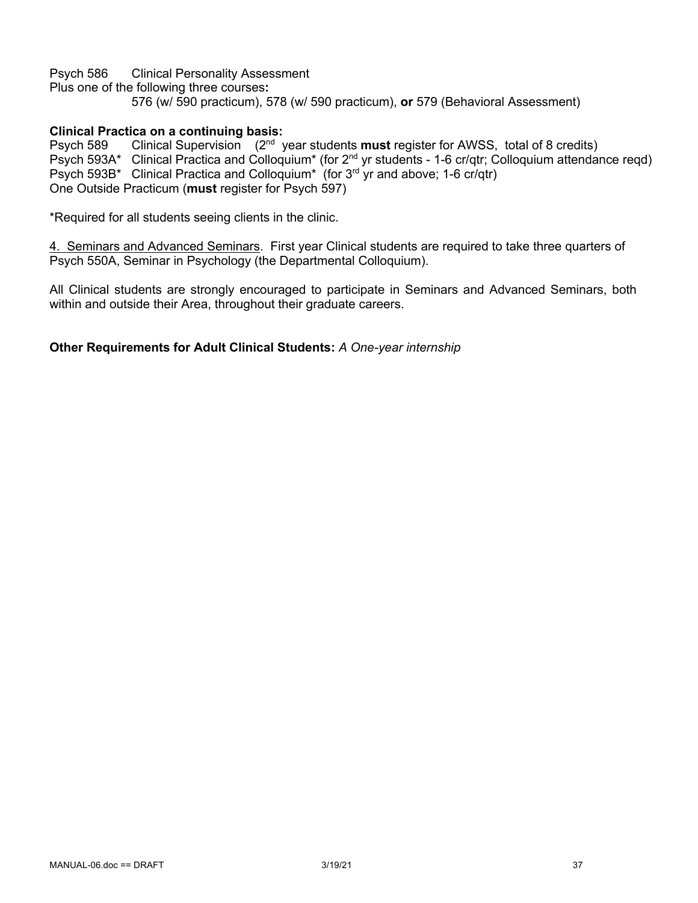Psych 586 Clinical Personality Assessment Plus one of the following three courses**:**  576 (w/ 590 practicum), 578 (w/ 590 practicum), **or** 579 (Behavioral Assessment)

# **Clinical Practica on a continuing basis:**

Psych 589 Clinical Supervision (2nd year students **must** register for AWSS, total of 8 credits) Psych 593A\* Clinical Practica and Colloquium\* (for 2nd yr students - 1-6 cr/qtr; Colloquium attendance reqd) Psych 593B\* Clinical Practica and Colloquium<sup>\*</sup> (for 3<sup>rd</sup> yr and above; 1-6 cr/qtr) One Outside Practicum (**must** register for Psych 597)

\*Required for all students seeing clients in the clinic.

4. Seminars and Advanced Seminars. First year Clinical students are required to take three quarters of Psych 550A, Seminar in Psychology (the Departmental Colloquium).

All Clinical students are strongly encouraged to participate in Seminars and Advanced Seminars, both within and outside their Area, throughout their graduate careers.

**Other Requirements for Adult Clinical Students:** *A One-year internship*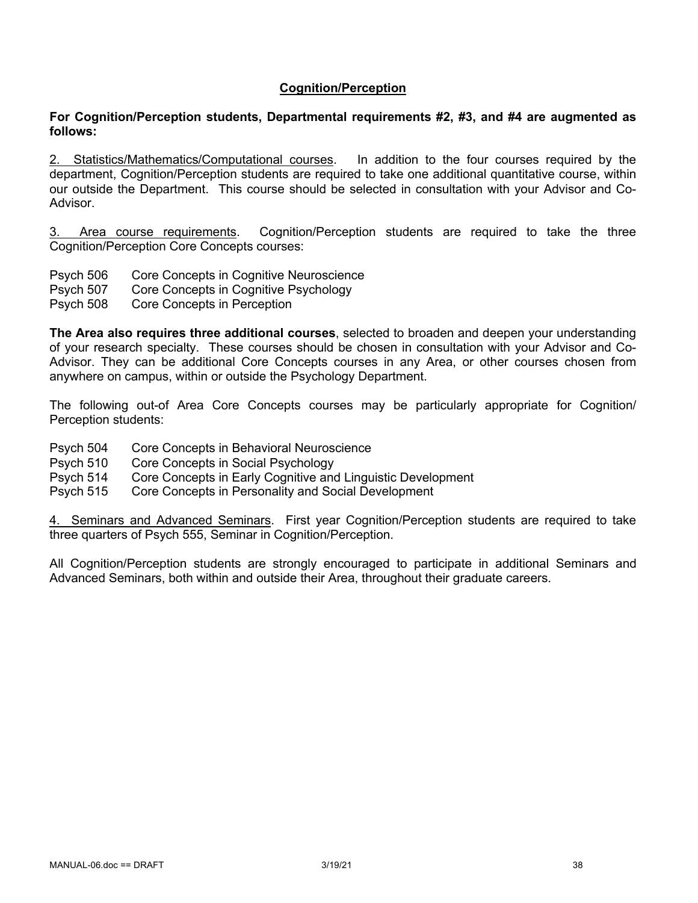# **Cognition/Perception**

#### **For Cognition/Perception students, Departmental requirements #2, #3, and #4 are augmented as follows:**

2. Statistics/Mathematics/Computational courses. In addition to the four courses required by the department, Cognition/Perception students are required to take one additional quantitative course, within our outside the Department. This course should be selected in consultation with your Advisor and Co-Advisor.

3. Area course requirements. Cognition/Perception students are required to take the three Cognition/Perception Core Concepts courses:

- Psych 506 Core Concepts in Cognitive Neuroscience
- Psych 507 Core Concepts in Cognitive Psychology
- Psych 508 Core Concepts in Perception

**The Area also requires three additional courses**, selected to broaden and deepen your understanding of your research specialty. These courses should be chosen in consultation with your Advisor and Co-Advisor. They can be additional Core Concepts courses in any Area, or other courses chosen from anywhere on campus, within or outside the Psychology Department.

The following out-of Area Core Concepts courses may be particularly appropriate for Cognition/ Perception students:

- Psych 504 Core Concepts in Behavioral Neuroscience
- Psych 510 Core Concepts in Social Psychology
- Psych 514 Core Concepts in Early Cognitive and Linguistic Development
- Psych 515 Core Concepts in Personality and Social Development

4. Seminars and Advanced Seminars. First year Cognition/Perception students are required to take three quarters of Psych 555, Seminar in Cognition/Perception.

All Cognition/Perception students are strongly encouraged to participate in additional Seminars and Advanced Seminars, both within and outside their Area, throughout their graduate careers.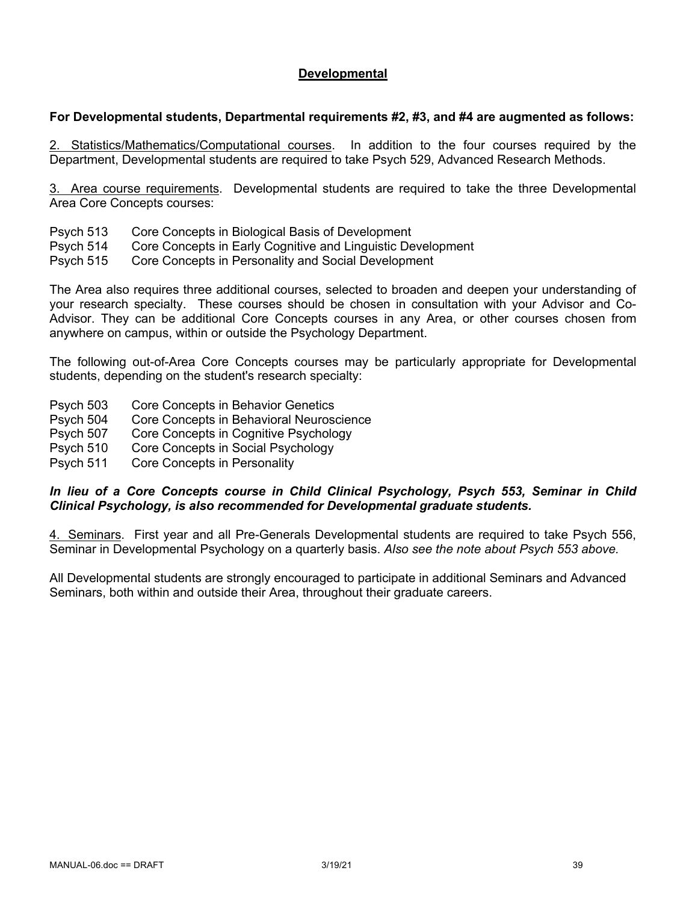# **Developmental**

### **For Developmental students, Departmental requirements #2, #3, and #4 are augmented as follows:**

2. Statistics/Mathematics/Computational courses. In addition to the four courses required by the Department, Developmental students are required to take Psych 529, Advanced Research Methods.

3. Area course requirements. Developmental students are required to take the three Developmental Area Core Concepts courses:

- Psych 513 Core Concepts in Biological Basis of Development
- Psych 514 Core Concepts in Early Cognitive and Linguistic Development
- Psych 515 Core Concepts in Personality and Social Development

The Area also requires three additional courses, selected to broaden and deepen your understanding of your research specialty. These courses should be chosen in consultation with your Advisor and Co-Advisor. They can be additional Core Concepts courses in any Area, or other courses chosen from anywhere on campus, within or outside the Psychology Department.

The following out-of-Area Core Concepts courses may be particularly appropriate for Developmental students, depending on the student's research specialty:

- Psych 503 Core Concepts in Behavior Genetics
- Psych 504 Core Concepts in Behavioral Neuroscience
- Psych 507 Core Concepts in Cognitive Psychology
- Psych 510 Core Concepts in Social Psychology
- Psych 511 Core Concepts in Personality

## *In lieu of a Core Concepts course in Child Clinical Psychology, Psych 553, Seminar in Child Clinical Psychology, is also recommended for Developmental graduate students.*

4. Seminars. First year and all Pre-Generals Developmental students are required to take Psych 556, Seminar in Developmental Psychology on a quarterly basis. *Also see the note about Psych 553 above.* 

All Developmental students are strongly encouraged to participate in additional Seminars and Advanced Seminars, both within and outside their Area, throughout their graduate careers.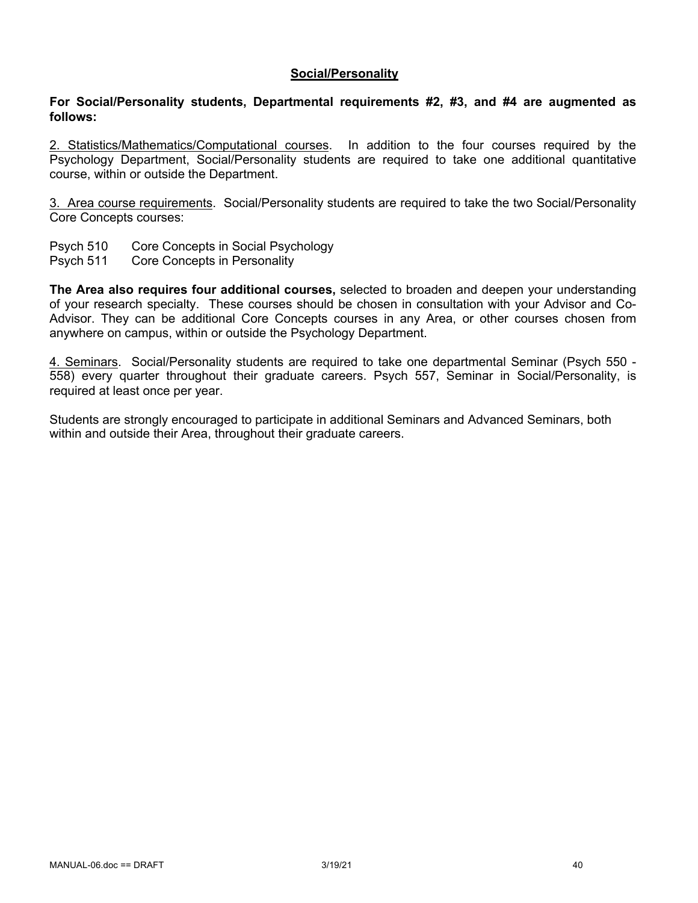#### **Social/Personality**

#### **For Social/Personality students, Departmental requirements #2, #3, and #4 are augmented as follows:**

2. Statistics/Mathematics/Computational courses. In addition to the four courses required by the Psychology Department, Social/Personality students are required to take one additional quantitative course, within or outside the Department.

3. Area course requirements. Social/Personality students are required to take the two Social/Personality Core Concepts courses:

- Psych 510 Core Concepts in Social Psychology
- Psych 511 Core Concepts in Personality

**The Area also requires four additional courses,** selected to broaden and deepen your understanding of your research specialty. These courses should be chosen in consultation with your Advisor and Co-Advisor. They can be additional Core Concepts courses in any Area, or other courses chosen from anywhere on campus, within or outside the Psychology Department.

4. Seminars. Social/Personality students are required to take one departmental Seminar (Psych 550 - 558) every quarter throughout their graduate careers. Psych 557, Seminar in Social/Personality, is required at least once per year.

Students are strongly encouraged to participate in additional Seminars and Advanced Seminars, both within and outside their Area, throughout their graduate careers.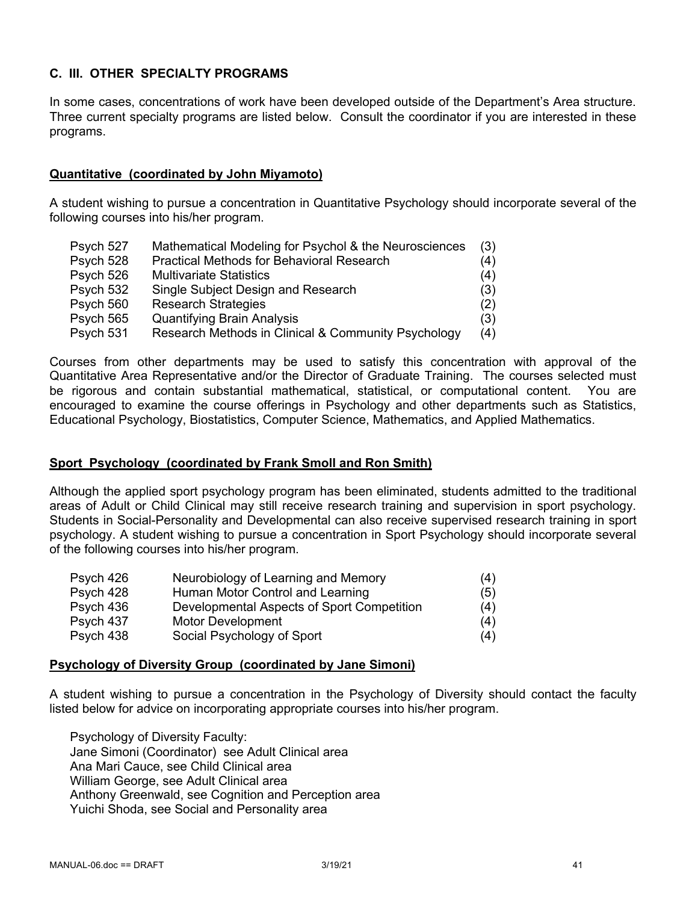# **C. III. OTHER SPECIALTY PROGRAMS**

In some cases, concentrations of work have been developed outside of the Department's Area structure. Three current specialty programs are listed below. Consult the coordinator if you are interested in these programs.

# **Quantitative (coordinated by John Miyamoto)**

A student wishing to pursue a concentration in Quantitative Psychology should incorporate several of the following courses into his/her program.

| Psych 527 | Mathematical Modeling for Psychol & the Neurosciences | (3) |
|-----------|-------------------------------------------------------|-----|
| Psych 528 | <b>Practical Methods for Behavioral Research</b>      | (4) |
| Psych 526 | <b>Multivariate Statistics</b>                        | (4) |
| Psych 532 | Single Subject Design and Research                    | (3) |
| Psych 560 | <b>Research Strategies</b>                            | (2) |
| Psych 565 | <b>Quantifying Brain Analysis</b>                     | (3) |
| Psych 531 | Research Methods in Clinical & Community Psychology   | (4) |

Courses from other departments may be used to satisfy this concentration with approval of the Quantitative Area Representative and/or the Director of Graduate Training. The courses selected must be rigorous and contain substantial mathematical, statistical, or computational content. You are encouraged to examine the course offerings in Psychology and other departments such as Statistics, Educational Psychology, Biostatistics, Computer Science, Mathematics, and Applied Mathematics.

#### **Sport Psychology (coordinated by Frank Smoll and Ron Smith)**

Although the applied sport psychology program has been eliminated, students admitted to the traditional areas of Adult or Child Clinical may still receive research training and supervision in sport psychology. Students in Social-Personality and Developmental can also receive supervised research training in sport psychology. A student wishing to pursue a concentration in Sport Psychology should incorporate several of the following courses into his/her program.

| Psych 426 | Neurobiology of Learning and Memory        | (4) |
|-----------|--------------------------------------------|-----|
| Psych 428 | Human Motor Control and Learning           | (5) |
| Psych 436 | Developmental Aspects of Sport Competition | (4) |
| Psych 437 | <b>Motor Development</b>                   | (4) |
| Psych 438 | Social Psychology of Sport                 | (4) |

#### **Psychology of Diversity Group (coordinated by Jane Simoni)**

A student wishing to pursue a concentration in the Psychology of Diversity should contact the faculty listed below for advice on incorporating appropriate courses into his/her program.

Psychology of Diversity Faculty: Jane Simoni (Coordinator) see Adult Clinical area Ana Mari Cauce, see Child Clinical area William George, see Adult Clinical area Anthony Greenwald, see Cognition and Perception area Yuichi Shoda, see Social and Personality area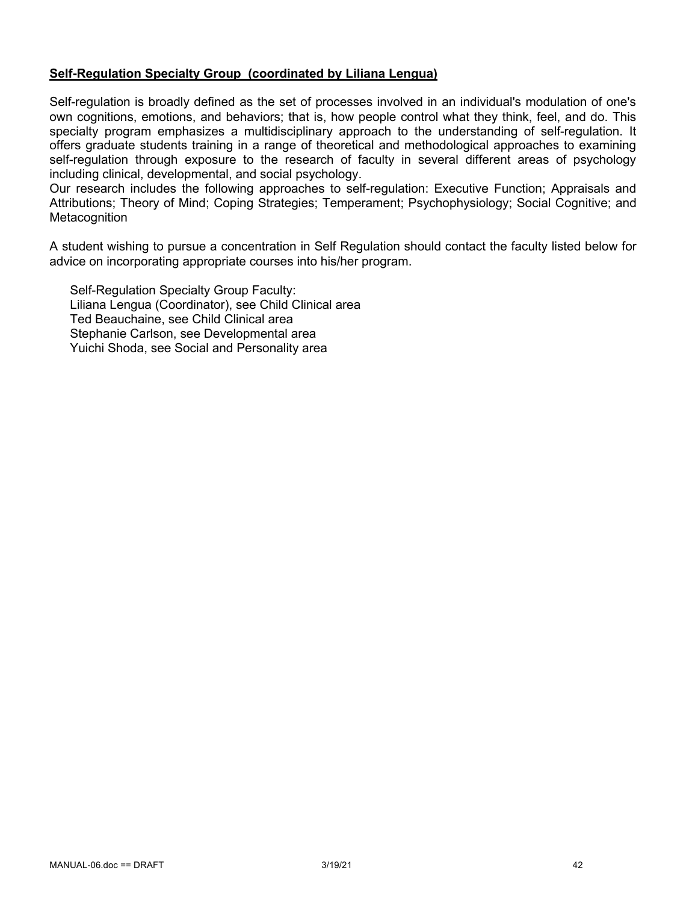## **Self-Regulation Specialty Group (coordinated by Liliana Lengua)**

Self-regulation is broadly defined as the set of processes involved in an individual's modulation of one's own cognitions, emotions, and behaviors; that is, how people control what they think, feel, and do. This specialty program emphasizes a multidisciplinary approach to the understanding of self-regulation. It offers graduate students training in a range of theoretical and methodological approaches to examining self-regulation through exposure to the research of faculty in several different areas of psychology including clinical, developmental, and social psychology.

Our research includes the following approaches to self-regulation: Executive Function; Appraisals and Attributions; Theory of Mind; Coping Strategies; Temperament; Psychophysiology; Social Cognitive; and Metacognition

A student wishing to pursue a concentration in Self Regulation should contact the faculty listed below for advice on incorporating appropriate courses into his/her program.

Self-Regulation Specialty Group Faculty: Liliana Lengua (Coordinator), see Child Clinical area Ted Beauchaine, see Child Clinical area Stephanie Carlson, see Developmental area Yuichi Shoda, see Social and Personality area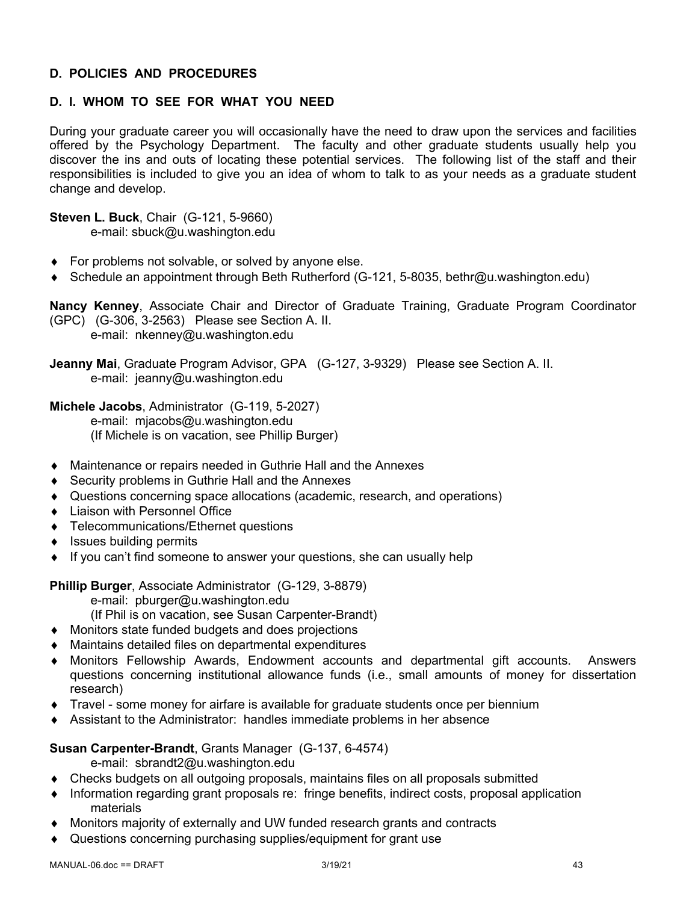# **D. POLICIES AND PROCEDURES**

# **D. I. WHOM TO SEE FOR WHAT YOU NEED**

During your graduate career you will occasionally have the need to draw upon the services and facilities offered by the Psychology Department. The faculty and other graduate students usually help you discover the ins and outs of locating these potential services. The following list of the staff and their responsibilities is included to give you an idea of whom to talk to as your needs as a graduate student change and develop.

**Steven L. Buck**, Chair (G-121, 5-9660) e-mail: sbuck@u.washington.edu

- $\bullet$  For problems not solvable, or solved by anyone else.
- ◆ Schedule an appointment through Beth Rutherford (G-121, 5-8035, bethr@u.washington.edu)

**Nancy Kenney**, Associate Chair and Director of Graduate Training, Graduate Program Coordinator (GPC) (G-306, 3-2563) Please see Section A. II. e-mail: nkenney@u.washington.edu

**Jeanny Mai**, Graduate Program Advisor, GPA (G-127, 3-9329) Please see Section A. II. e-mail: jeanny@u.washington.edu

**Michele Jacobs**, Administrator (G-119, 5-2027) e-mail: mjacobs@u.washington.edu (If Michele is on vacation, see Phillip Burger)

- Maintenance or repairs needed in Guthrie Hall and the Annexes
- $\triangle$  Security problems in Guthrie Hall and the Annexes
- Questions concerning space allocations (academic, research, and operations)
- Liaison with Personnel Office
- ◆ Telecommunications/Ethernet questions
- $\bullet$  Issues building permits
- $\bullet$  If you can't find someone to answer your questions, she can usually help

**Phillip Burger**, Associate Administrator (G-129, 3-8879)

e-mail: pburger@u.washington.edu

(If Phil is on vacation, see Susan Carpenter-Brandt)

- ◆ Monitors state funded budgets and does projections
- $\bullet$  Maintains detailed files on departmental expenditures
- Monitors Fellowship Awards, Endowment accounts and departmental gift accounts. Answers questions concerning institutional allowance funds (i.e., small amounts of money for dissertation research)
- $\bullet$  Travel some money for airfare is available for graduate students once per biennium
- Assistant to the Administrator: handles immediate problems in her absence

#### **Susan Carpenter-Brandt**, Grants Manager (G-137, 6-4574)

e-mail: sbrandt2@u.washington.edu

- Checks budgets on all outgoing proposals, maintains files on all proposals submitted
- Information regarding grant proposals re: fringe benefits, indirect costs, proposal application materials
- Monitors majority of externally and UW funded research grants and contracts
- Questions concerning purchasing supplies/equipment for grant use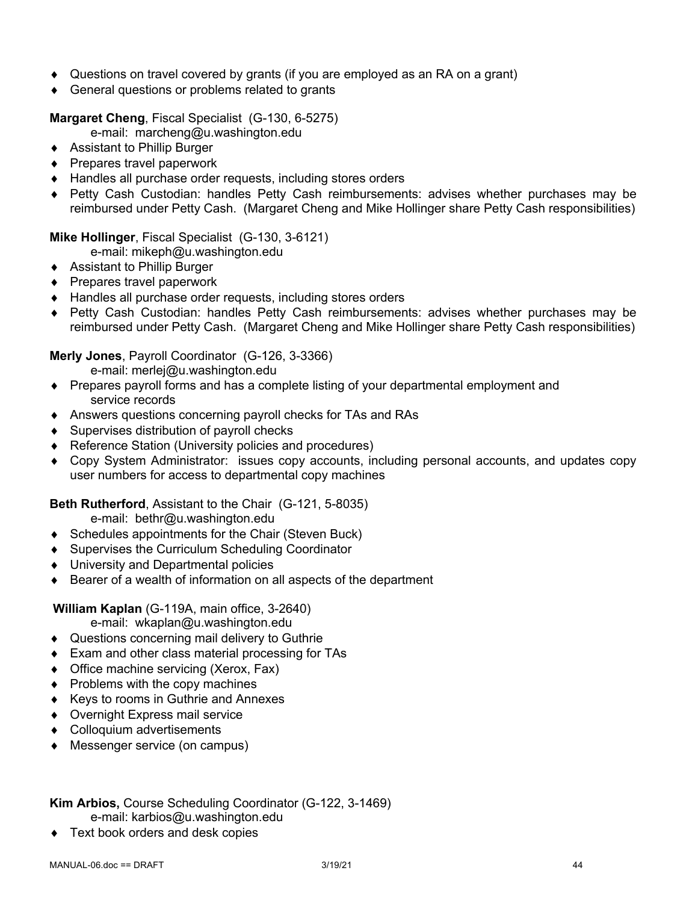- Questions on travel covered by grants (if you are employed as an RA on a grant)
- $\triangleleft$  General questions or problems related to grants

**Margaret Cheng**, Fiscal Specialist (G-130, 6-5275)

e-mail: marcheng@u.washington.edu

- ◆ Assistant to Phillip Burger
- $\triangle$  Prepares travel paperwork
- $\triangleleft$  Handles all purchase order requests, including stores orders
- ◆ Petty Cash Custodian: handles Petty Cash reimbursements: advises whether purchases may be reimbursed under Petty Cash. (Margaret Cheng and Mike Hollinger share Petty Cash responsibilities)

**Mike Hollinger**, Fiscal Specialist (G-130, 3-6121)

e-mail: mikeph@u.washington.edu

- ◆ Assistant to Phillip Burger
- $\triangle$  Prepares travel paperwork
- ◆ Handles all purchase order requests, including stores orders
- ◆ Petty Cash Custodian: handles Petty Cash reimbursements: advises whether purchases may be reimbursed under Petty Cash. (Margaret Cheng and Mike Hollinger share Petty Cash responsibilities)

## **Merly Jones**, Payroll Coordinator (G-126, 3-3366)

e-mail: merlej@u.washington.edu

- Prepares payroll forms and has a complete listing of your departmental employment and service records
- Answers questions concerning payroll checks for TAs and RAs
- $\triangleleft$  Supervises distribution of payroll checks
- ◆ Reference Station (University policies and procedures)
- Copy System Administrator: issues copy accounts, including personal accounts, and updates copy user numbers for access to departmental copy machines

**Beth Rutherford**, Assistant to the Chair (G-121, 5-8035)

e-mail: bethr@u.washington.edu

- $\bullet$  Schedules appointments for the Chair (Steven Buck)
- ◆ Supervises the Curriculum Scheduling Coordinator
- ◆ University and Departmental policies
- $\bullet$  Bearer of a wealth of information on all aspects of the department

**William Kaplan** (G-119A, main office, 3-2640)

- e-mail: wkaplan@u.washington.edu
- ◆ Questions concerning mail delivery to Guthrie
- $\bullet$  Exam and other class material processing for TAs
- $\bullet$  Office machine servicing (Xerox, Fax)
- $\bullet$  Problems with the copy machines
- ◆ Keys to rooms in Guthrie and Annexes
- ◆ Overnight Express mail service
- Colloquium advertisements
- ◆ Messenger service (on campus)

# **Kim Arbios,** Course Scheduling Coordinator (G-122, 3-1469)

- e-mail: karbios@u.washington.edu
- Text book orders and desk copies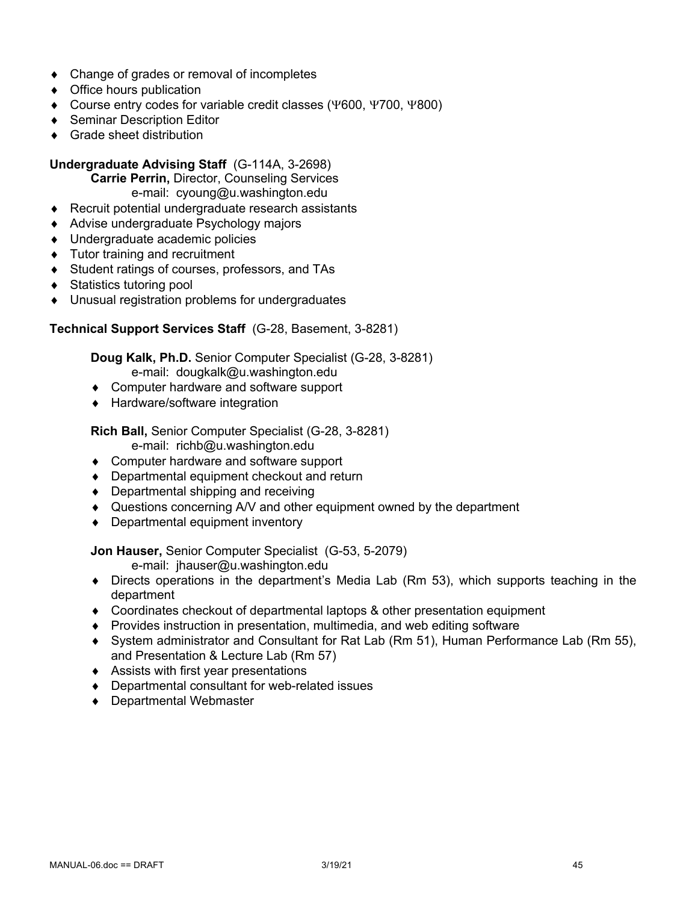- $\bullet$  Change of grades or removal of incompletes
- $\triangleleft$  Office hours publication
- $\bullet$  Course entry codes for variable credit classes (Y600, Y700, Y800)
- ◆ Seminar Description Editor
- $\triangleleft$  Grade sheet distribution

# **Undergraduate Advising Staff** (G-114A, 3-2698)

**Carrie Perrin,** Director, Counseling Services e-mail: cyoung@u.washington.edu

- $\triangle$  Recruit potential undergraduate research assistants
- ◆ Advise undergraduate Psychology majors
- ◆ Undergraduate academic policies
- $\bullet$  Tutor training and recruitment
- ◆ Student ratings of courses, professors, and TAs
- ◆ Statistics tutoring pool
- $\bullet$  Unusual registration problems for undergraduates

## **Technical Support Services Staff** (G-28, Basement, 3-8281)

**Doug Kalk, Ph.D.** Senior Computer Specialist (G-28, 3-8281) e-mail: dougkalk@u.washington.edu

- Computer hardware and software support
- ◆ Hardware/software integration

# **Rich Ball,** Senior Computer Specialist (G-28, 3-8281)

e-mail: richb@u.washington.edu

- ◆ Computer hardware and software support
- $\bullet$  Departmental equipment checkout and return
- $\bullet$  Departmental shipping and receiving
- ◆ Questions concerning A/V and other equipment owned by the department
- $\bullet$  Departmental equipment inventory

**Jon Hauser,** Senior Computer Specialist (G-53, 5-2079)

e-mail: jhauser@u.washington.edu

- $\bullet$  Directs operations in the department's Media Lab (Rm 53), which supports teaching in the department
- ◆ Coordinates checkout of departmental laptops & other presentation equipment
- ◆ Provides instruction in presentation, multimedia, and web editing software
- ¨ System administrator and Consultant for Rat Lab (Rm 51), Human Performance Lab (Rm 55), and Presentation & Lecture Lab (Rm 57)
- $\triangleleft$  Assists with first year presentations
- $\bullet$  Departmental consultant for web-related issues
- ◆ Departmental Webmaster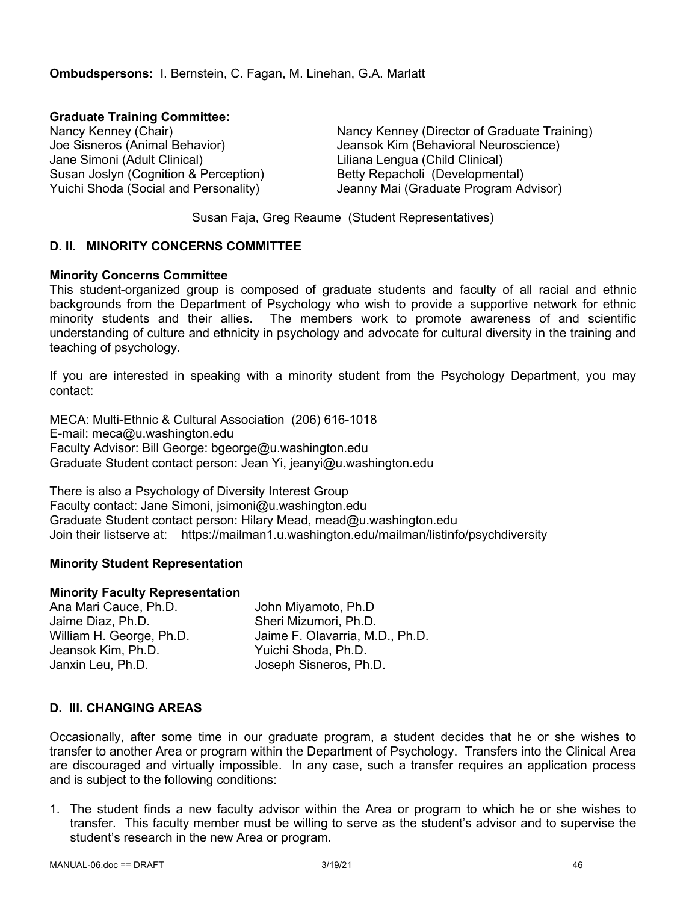**Graduate Training Committee:** Jane Simoni (Adult Clinical) Liliana Lengua (Child Clinical) Susan Joslyn (Cognition & Perception) Betty Repacholi (Developmental)

Nancy Kenney (Chair) Nancy Kenney (Director of Graduate Training) Joe Sisneros (Animal Behavior) Jeansok Kim (Behavioral Neuroscience) Yuichi Shoda (Social and Personality) Jeanny Mai (Graduate Program Advisor)

Susan Faja, Greg Reaume (Student Representatives)

## **D. II. MINORITY CONCERNS COMMITTEE**

#### **Minority Concerns Committee**

This student-organized group is composed of graduate students and faculty of all racial and ethnic backgrounds from the Department of Psychology who wish to provide a supportive network for ethnic minority students and their allies. The members work to promote awareness of and scientific understanding of culture and ethnicity in psychology and advocate for cultural diversity in the training and teaching of psychology.

If you are interested in speaking with a minority student from the Psychology Department, you may contact:

MECA: Multi-Ethnic & Cultural Association (206) 616-1018 E-mail: meca@u.washington.edu Faculty Advisor: Bill George: bgeorge@u.washington.edu Graduate Student contact person: Jean Yi, jeanyi@u.washington.edu

There is also a Psychology of Diversity Interest Group Faculty contact: Jane Simoni, jsimoni@u.washington.edu Graduate Student contact person: Hilary Mead, mead@u.washington.edu Join their listserve at: https://mailman1.u.washington.edu/mailman/listinfo/psychdiversity

#### **Minority Student Representation**

#### **Minority Faculty Representation**

Ana Mari Cauce, Ph.D. John Miyamoto, Ph.D Jaime Diaz, Ph.D. Sheri Mizumori, Ph.D. William H. George, Ph.D. Jaime F. Olavarria, M.D., Ph.D. Jeansok Kim, Ph.D. Yuichi Shoda, Ph.D. Janxin Leu, Ph.D. Joseph Sisneros, Ph.D.

# **D. III. CHANGING AREAS**

Occasionally, after some time in our graduate program, a student decides that he or she wishes to transfer to another Area or program within the Department of Psychology. Transfers into the Clinical Area are discouraged and virtually impossible. In any case, such a transfer requires an application process and is subject to the following conditions:

1. The student finds a new faculty advisor within the Area or program to which he or she wishes to transfer. This faculty member must be willing to serve as the student's advisor and to supervise the student's research in the new Area or program.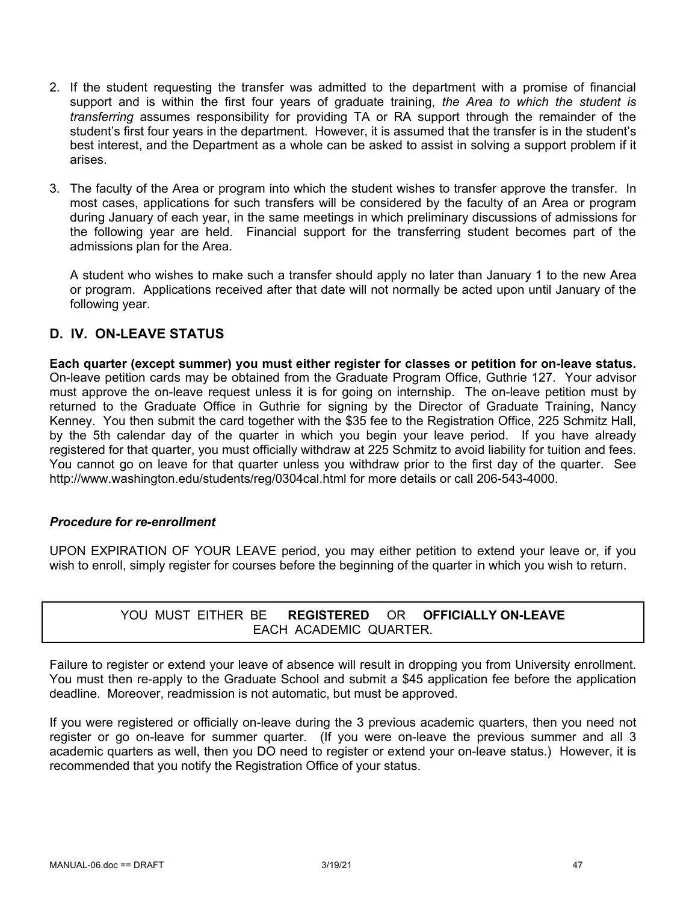- 2. If the student requesting the transfer was admitted to the department with a promise of financial support and is within the first four years of graduate training, *the Area to which the student is transferring* assumes responsibility for providing TA or RA support through the remainder of the student's first four years in the department. However, it is assumed that the transfer is in the student's best interest, and the Department as a whole can be asked to assist in solving a support problem if it arises.
- 3. The faculty of the Area or program into which the student wishes to transfer approve the transfer. In most cases, applications for such transfers will be considered by the faculty of an Area or program during January of each year, in the same meetings in which preliminary discussions of admissions for the following year are held. Financial support for the transferring student becomes part of the admissions plan for the Area.

A student who wishes to make such a transfer should apply no later than January 1 to the new Area or program. Applications received after that date will not normally be acted upon until January of the following year.

# **D. IV. ON-LEAVE STATUS**

**Each quarter (except summer) you must either register for classes or petition for on-leave status.** On-leave petition cards may be obtained from the Graduate Program Office, Guthrie 127. Your advisor must approve the on-leave request unless it is for going on internship. The on-leave petition must by returned to the Graduate Office in Guthrie for signing by the Director of Graduate Training, Nancy Kenney. You then submit the card together with the \$35 fee to the Registration Office, 225 Schmitz Hall, by the 5th calendar day of the quarter in which you begin your leave period. If you have already registered for that quarter, you must officially withdraw at 225 Schmitz to avoid liability for tuition and fees. You cannot go on leave for that quarter unless you withdraw prior to the first day of the quarter. See http://www.washington.edu/students/reg/0304cal.html for more details or call 206-543-4000.

# *Procedure for re-enrollment*

UPON EXPIRATION OF YOUR LEAVE period, you may either petition to extend your leave or, if you wish to enroll, simply register for courses before the beginning of the quarter in which you wish to return.

# YOU MUST EITHER BE **REGISTERED** OR **OFFICIALLY ON-LEAVE** EACH ACADEMIC QUARTER.

Failure to register or extend your leave of absence will result in dropping you from University enrollment. You must then re-apply to the Graduate School and submit a \$45 application fee before the application deadline. Moreover, readmission is not automatic, but must be approved.

If you were registered or officially on-leave during the 3 previous academic quarters, then you need not register or go on-leave for summer quarter. (If you were on-leave the previous summer and all 3 academic quarters as well, then you DO need to register or extend your on-leave status.) However, it is recommended that you notify the Registration Office of your status.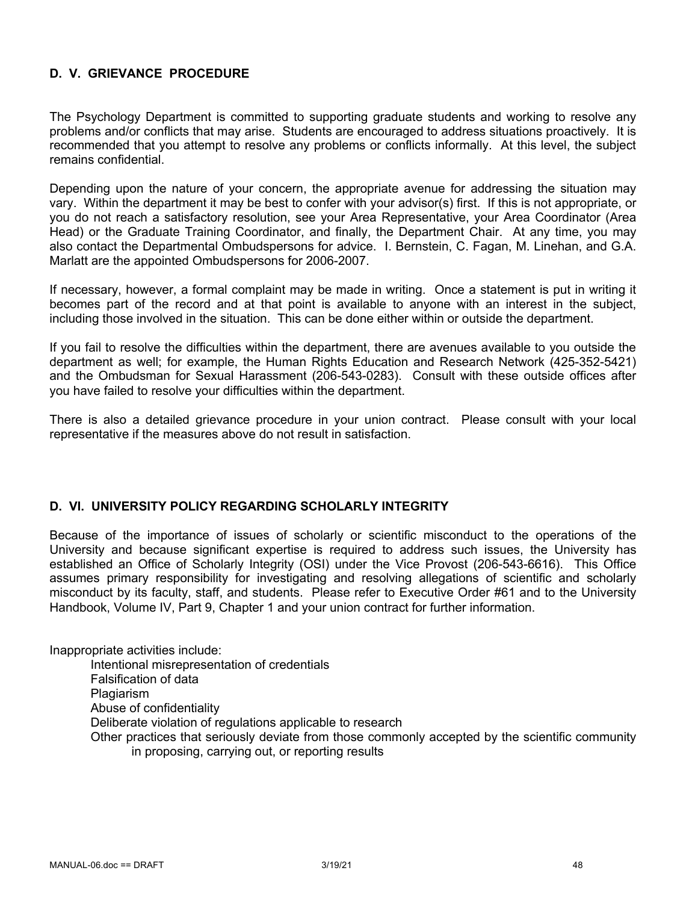# **D. V. GRIEVANCE PROCEDURE**

The Psychology Department is committed to supporting graduate students and working to resolve any problems and/or conflicts that may arise. Students are encouraged to address situations proactively. It is recommended that you attempt to resolve any problems or conflicts informally. At this level, the subject remains confidential.

Depending upon the nature of your concern, the appropriate avenue for addressing the situation may vary. Within the department it may be best to confer with your advisor(s) first. If this is not appropriate, or you do not reach a satisfactory resolution, see your Area Representative, your Area Coordinator (Area Head) or the Graduate Training Coordinator, and finally, the Department Chair. At any time, you may also contact the Departmental Ombudspersons for advice. I. Bernstein, C. Fagan, M. Linehan, and G.A. Marlatt are the appointed Ombudspersons for 2006-2007.

If necessary, however, a formal complaint may be made in writing. Once a statement is put in writing it becomes part of the record and at that point is available to anyone with an interest in the subject, including those involved in the situation. This can be done either within or outside the department.

If you fail to resolve the difficulties within the department, there are avenues available to you outside the department as well; for example, the Human Rights Education and Research Network (425-352-5421) and the Ombudsman for Sexual Harassment (206-543-0283). Consult with these outside offices after you have failed to resolve your difficulties within the department.

There is also a detailed grievance procedure in your union contract. Please consult with your local representative if the measures above do not result in satisfaction.

#### **D. VI. UNIVERSITY POLICY REGARDING SCHOLARLY INTEGRITY**

Because of the importance of issues of scholarly or scientific misconduct to the operations of the University and because significant expertise is required to address such issues, the University has established an Office of Scholarly Integrity (OSI) under the Vice Provost (206-543-6616). This Office assumes primary responsibility for investigating and resolving allegations of scientific and scholarly misconduct by its faculty, staff, and students. Please refer to Executive Order #61 and to the University Handbook, Volume IV, Part 9, Chapter 1 and your union contract for further information.

Inappropriate activities include:

Intentional misrepresentation of credentials Falsification of data **Plagiarism** Abuse of confidentiality Deliberate violation of regulations applicable to research Other practices that seriously deviate from those commonly accepted by the scientific community in proposing, carrying out, or reporting results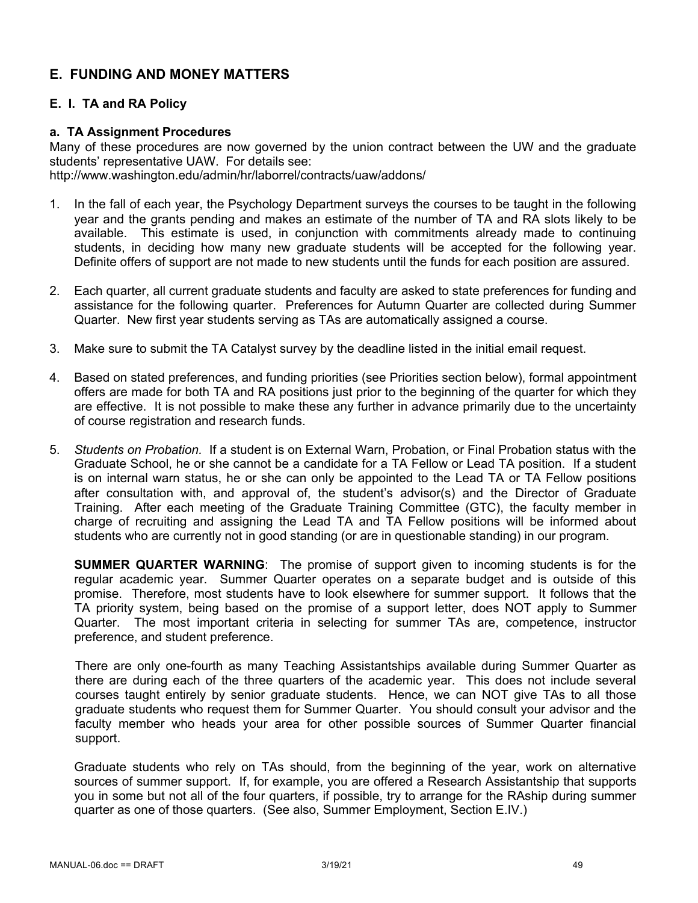# **E. FUNDING AND MONEY MATTERS**

# **E. I. TA and RA Policy**

## **a. TA Assignment Procedures**

Many of these procedures are now governed by the union contract between the UW and the graduate students' representative UAW. For details see: http://www.washington.edu/admin/hr/laborrel/contracts/uaw/addons/

- 1. In the fall of each year, the Psychology Department surveys the courses to be taught in the following year and the grants pending and makes an estimate of the number of TA and RA slots likely to be available. This estimate is used, in conjunction with commitments already made to continuing students, in deciding how many new graduate students will be accepted for the following year. Definite offers of support are not made to new students until the funds for each position are assured.
- 2. Each quarter, all current graduate students and faculty are asked to state preferences for funding and assistance for the following quarter. Preferences for Autumn Quarter are collected during Summer Quarter. New first year students serving as TAs are automatically assigned a course.
- 3. Make sure to submit the TA Catalyst survey by the deadline listed in the initial email request.
- 4. Based on stated preferences, and funding priorities (see Priorities section below), formal appointment offers are made for both TA and RA positions just prior to the beginning of the quarter for which they are effective. It is not possible to make these any further in advance primarily due to the uncertainty of course registration and research funds.
- 5. *Students on Probation.* If a student is on External Warn, Probation, or Final Probation status with the Graduate School, he or she cannot be a candidate for a TA Fellow or Lead TA position. If a student is on internal warn status, he or she can only be appointed to the Lead TA or TA Fellow positions after consultation with, and approval of, the student's advisor(s) and the Director of Graduate Training. After each meeting of the Graduate Training Committee (GTC), the faculty member in charge of recruiting and assigning the Lead TA and TA Fellow positions will be informed about students who are currently not in good standing (or are in questionable standing) in our program.

**SUMMER QUARTER WARNING**: The promise of support given to incoming students is for the regular academic year. Summer Quarter operates on a separate budget and is outside of this promise. Therefore, most students have to look elsewhere for summer support. It follows that the TA priority system, being based on the promise of a support letter, does NOT apply to Summer Quarter. The most important criteria in selecting for summer TAs are, competence, instructor preference, and student preference.

There are only one-fourth as many Teaching Assistantships available during Summer Quarter as there are during each of the three quarters of the academic year. This does not include several courses taught entirely by senior graduate students. Hence, we can NOT give TAs to all those graduate students who request them for Summer Quarter. You should consult your advisor and the faculty member who heads your area for other possible sources of Summer Quarter financial support.

Graduate students who rely on TAs should, from the beginning of the year, work on alternative sources of summer support. If, for example, you are offered a Research Assistantship that supports you in some but not all of the four quarters, if possible, try to arrange for the RAship during summer quarter as one of those quarters. (See also, Summer Employment, Section E.IV.)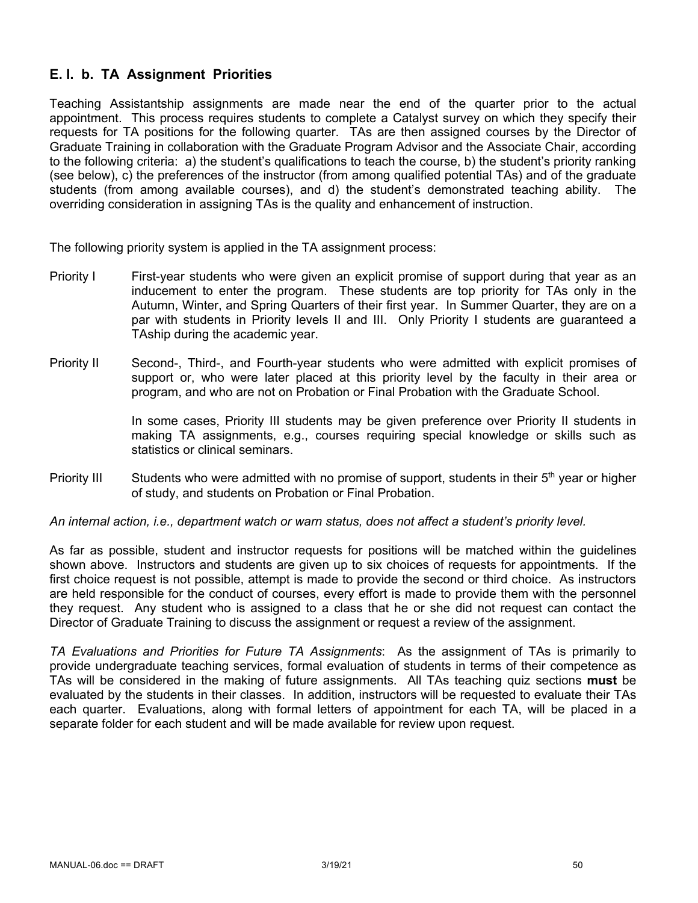# **E. I. b. TA Assignment Priorities**

Teaching Assistantship assignments are made near the end of the quarter prior to the actual appointment. This process requires students to complete a Catalyst survey on which they specify their requests for TA positions for the following quarter. TAs are then assigned courses by the Director of Graduate Training in collaboration with the Graduate Program Advisor and the Associate Chair, according to the following criteria: a) the student's qualifications to teach the course, b) the student's priority ranking (see below), c) the preferences of the instructor (from among qualified potential TAs) and of the graduate students (from among available courses), and d) the student's demonstrated teaching ability. The overriding consideration in assigning TAs is the quality and enhancement of instruction.

The following priority system is applied in the TA assignment process:

- Priority I First-year students who were given an explicit promise of support during that year as an inducement to enter the program. These students are top priority for TAs only in the Autumn, Winter, and Spring Quarters of their first year. In Summer Quarter, they are on a par with students in Priority levels II and III. Only Priority I students are guaranteed a TAship during the academic year.
- Priority II Second-, Third-, and Fourth-year students who were admitted with explicit promises of support or, who were later placed at this priority level by the faculty in their area or program, and who are not on Probation or Final Probation with the Graduate School.

In some cases, Priority III students may be given preference over Priority II students in making TA assignments, e.g., courses requiring special knowledge or skills such as statistics or clinical seminars.

Priority III Students who were admitted with no promise of support, students in their  $5<sup>th</sup>$  year or higher of study, and students on Probation or Final Probation.

#### *An internal action, i.e., department watch or warn status, does not affect a student's priority level.*

As far as possible, student and instructor requests for positions will be matched within the guidelines shown above. Instructors and students are given up to six choices of requests for appointments. If the first choice request is not possible, attempt is made to provide the second or third choice. As instructors are held responsible for the conduct of courses, every effort is made to provide them with the personnel they request. Any student who is assigned to a class that he or she did not request can contact the Director of Graduate Training to discuss the assignment or request a review of the assignment.

*TA Evaluations and Priorities for Future TA Assignments*: As the assignment of TAs is primarily to provide undergraduate teaching services, formal evaluation of students in terms of their competence as TAs will be considered in the making of future assignments. All TAs teaching quiz sections **must** be evaluated by the students in their classes. In addition, instructors will be requested to evaluate their TAs each quarter. Evaluations, along with formal letters of appointment for each TA, will be placed in a separate folder for each student and will be made available for review upon request.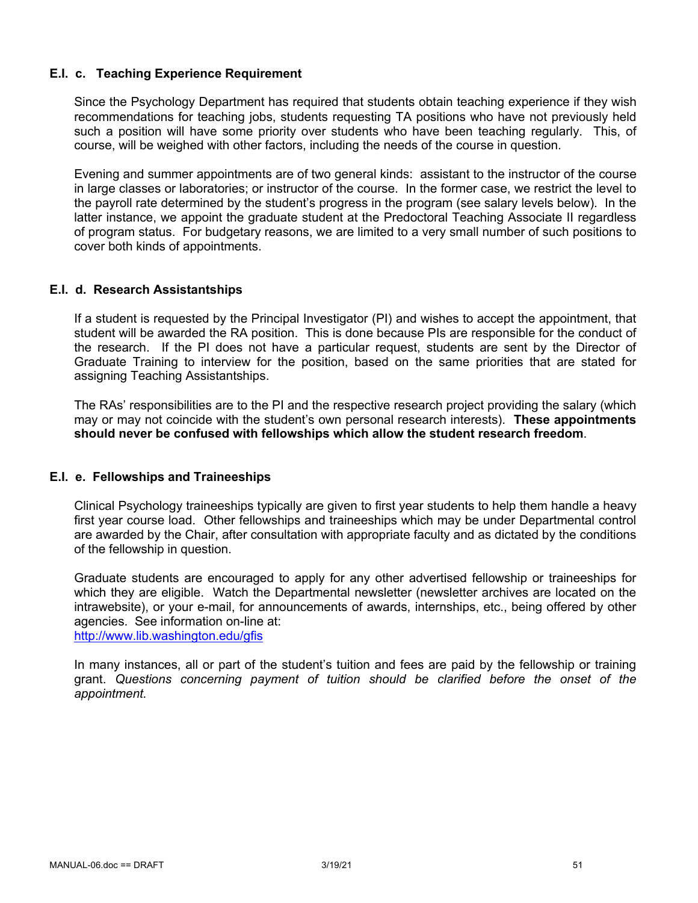## **E.I. c. Teaching Experience Requirement**

Since the Psychology Department has required that students obtain teaching experience if they wish recommendations for teaching jobs, students requesting TA positions who have not previously held such a position will have some priority over students who have been teaching regularly. This, of course, will be weighed with other factors, including the needs of the course in question.

Evening and summer appointments are of two general kinds: assistant to the instructor of the course in large classes or laboratories; or instructor of the course. In the former case, we restrict the level to the payroll rate determined by the student's progress in the program (see salary levels below). In the latter instance, we appoint the graduate student at the Predoctoral Teaching Associate II regardless of program status. For budgetary reasons, we are limited to a very small number of such positions to cover both kinds of appointments.

#### **E.I. d. Research Assistantships**

If a student is requested by the Principal Investigator (PI) and wishes to accept the appointment, that student will be awarded the RA position. This is done because PIs are responsible for the conduct of the research. If the PI does not have a particular request, students are sent by the Director of Graduate Training to interview for the position, based on the same priorities that are stated for assigning Teaching Assistantships.

The RAs' responsibilities are to the PI and the respective research project providing the salary (which may or may not coincide with the student's own personal research interests). **These appointments should never be confused with fellowships which allow the student research freedom**.

# **E.I. e. Fellowships and Traineeships**

Clinical Psychology traineeships typically are given to first year students to help them handle a heavy first year course load. Other fellowships and traineeships which may be under Departmental control are awarded by the Chair, after consultation with appropriate faculty and as dictated by the conditions of the fellowship in question.

Graduate students are encouraged to apply for any other advertised fellowship or traineeships for which they are eligible. Watch the Departmental newsletter (newsletter archives are located on the intrawebsite), or your e-mail, for announcements of awards, internships, etc., being offered by other agencies. See information on-line at: http://www.lib.washington.edu/gfis

In many instances, all or part of the student's tuition and fees are paid by the fellowship or training grant. *Questions concerning payment of tuition should be clarified before the onset of the appointment.*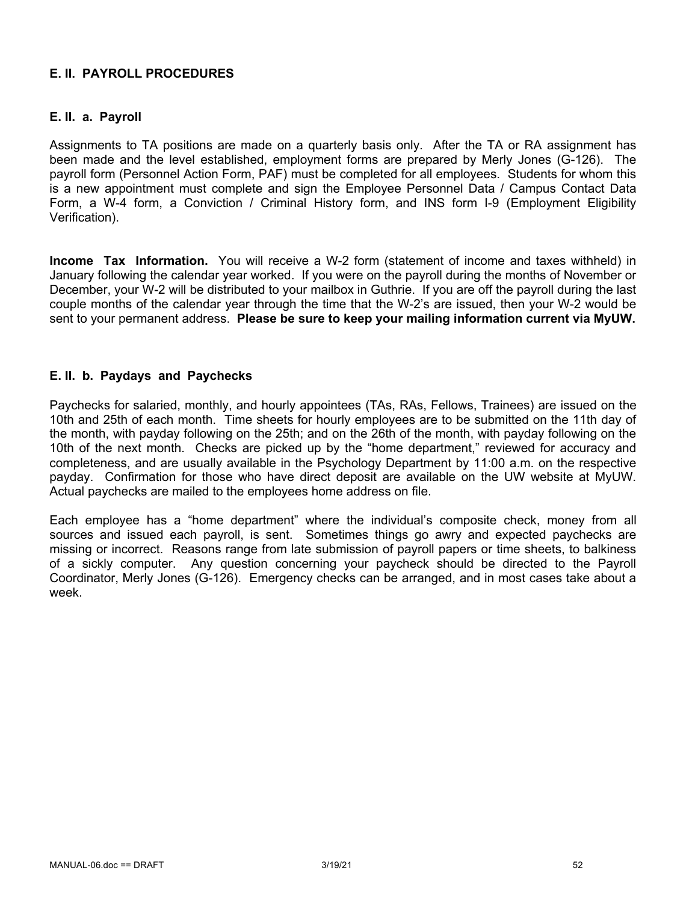# **E. II. PAYROLL PROCEDURES**

# **E. II. a. Payroll**

Assignments to TA positions are made on a quarterly basis only. After the TA or RA assignment has been made and the level established, employment forms are prepared by Merly Jones (G-126). The payroll form (Personnel Action Form, PAF) must be completed for all employees. Students for whom this is a new appointment must complete and sign the Employee Personnel Data / Campus Contact Data Form, a W-4 form, a Conviction / Criminal History form, and INS form I-9 (Employment Eligibility Verification).

**Income Tax Information.** You will receive a W-2 form (statement of income and taxes withheld) in January following the calendar year worked. If you were on the payroll during the months of November or December, your W-2 will be distributed to your mailbox in Guthrie. If you are off the payroll during the last couple months of the calendar year through the time that the W-2's are issued, then your W-2 would be sent to your permanent address. **Please be sure to keep your mailing information current via MyUW.**

## **E. II. b. Paydays and Paychecks**

Paychecks for salaried, monthly, and hourly appointees (TAs, RAs, Fellows, Trainees) are issued on the 10th and 25th of each month. Time sheets for hourly employees are to be submitted on the 11th day of the month, with payday following on the 25th; and on the 26th of the month, with payday following on the 10th of the next month. Checks are picked up by the "home department," reviewed for accuracy and completeness, and are usually available in the Psychology Department by 11:00 a.m. on the respective payday. Confirmation for those who have direct deposit are available on the UW website at MyUW. Actual paychecks are mailed to the employees home address on file.

Each employee has a "home department" where the individual's composite check, money from all sources and issued each payroll, is sent. Sometimes things go awry and expected paychecks are missing or incorrect. Reasons range from late submission of payroll papers or time sheets, to balkiness of a sickly computer. Any question concerning your paycheck should be directed to the Payroll Coordinator, Merly Jones (G-126). Emergency checks can be arranged, and in most cases take about a week.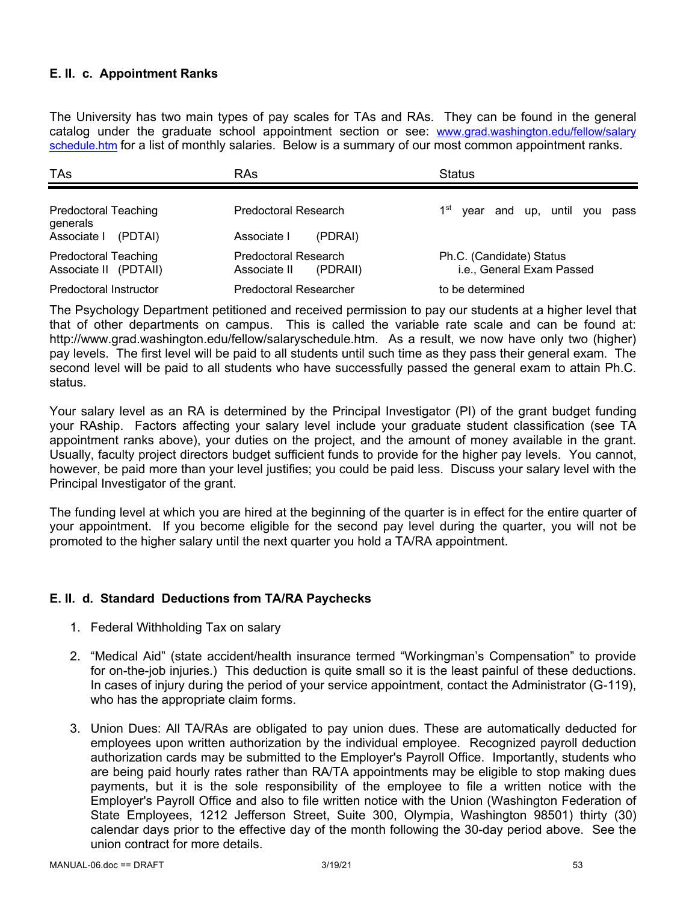# **E. II. c. Appointment Ranks**

The University has two main types of pay scales for TAs and RAs. They can be found in the general catalog under the graduate school appointment section or see: www.grad.washington.edu/fellow/salary schedule.htm for a list of monthly salaries. Below is a summary of our most common appointment ranks.

| TAs                                                  | RAs                                              | <b>Status</b>                                         |
|------------------------------------------------------|--------------------------------------------------|-------------------------------------------------------|
| <b>Predoctoral Teaching</b><br>generals              | Predoctoral Research                             | 1 <sup>st</sup><br>year and up, until you<br>pass     |
| Associate I<br>(PDTAI)                               | Associate I<br>(PDRAI)                           |                                                       |
| <b>Predoctoral Teaching</b><br>Associate II (PDTAII) | Predoctoral Research<br>Associate II<br>(PDRAII) | Ph.C. (Candidate) Status<br>i.e., General Exam Passed |
| Predoctoral Instructor                               | <b>Predoctoral Researcher</b>                    | to be determined                                      |

The Psychology Department petitioned and received permission to pay our students at a higher level that that of other departments on campus. This is called the variable rate scale and can be found at: http://www.grad.washington.edu/fellow/salaryschedule.htm. As a result, we now have only two (higher) pay levels. The first level will be paid to all students until such time as they pass their general exam. The second level will be paid to all students who have successfully passed the general exam to attain Ph.C. status.

Your salary level as an RA is determined by the Principal Investigator (PI) of the grant budget funding your RAship. Factors affecting your salary level include your graduate student classification (see TA appointment ranks above), your duties on the project, and the amount of money available in the grant. Usually, faculty project directors budget sufficient funds to provide for the higher pay levels. You cannot, however, be paid more than your level justifies; you could be paid less. Discuss your salary level with the Principal Investigator of the grant.

The funding level at which you are hired at the beginning of the quarter is in effect for the entire quarter of your appointment. If you become eligible for the second pay level during the quarter, you will not be promoted to the higher salary until the next quarter you hold a TA/RA appointment.

# **E. II. d. Standard Deductions from TA/RA Paychecks**

- 1. Federal Withholding Tax on salary
- 2. "Medical Aid" (state accident/health insurance termed "Workingman's Compensation" to provide for on-the-job injuries.) This deduction is quite small so it is the least painful of these deductions. In cases of injury during the period of your service appointment, contact the Administrator (G-119), who has the appropriate claim forms.
- 3. Union Dues: All TA/RAs are obligated to pay union dues. These are automatically deducted for employees upon written authorization by the individual employee. Recognized payroll deduction authorization cards may be submitted to the Employer's Payroll Office. Importantly, students who are being paid hourly rates rather than RA/TA appointments may be eligible to stop making dues payments, but it is the sole responsibility of the employee to file a written notice with the Employer's Payroll Office and also to file written notice with the Union (Washington Federation of State Employees, 1212 Jefferson Street, Suite 300, Olympia, Washington 98501) thirty (30) calendar days prior to the effective day of the month following the 30-day period above. See the union contract for more details.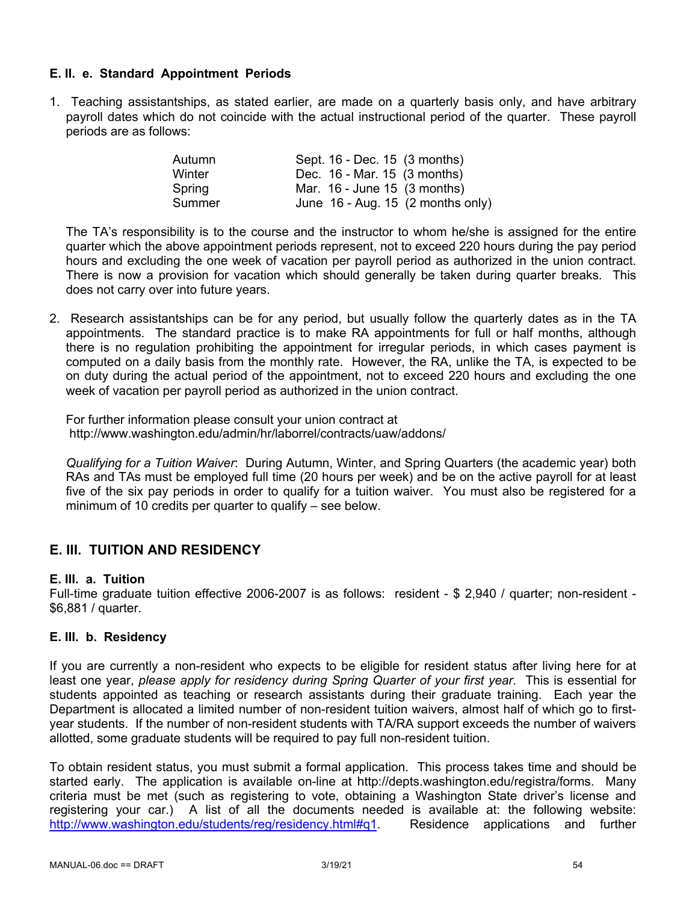# **E. II. e. Standard Appointment Periods**

1. Teaching assistantships, as stated earlier, are made on a quarterly basis only, and have arbitrary payroll dates which do not coincide with the actual instructional period of the quarter. These payroll periods are as follows:

| Autumn | Sept. 16 - Dec. 15 (3 months)                 |
|--------|-----------------------------------------------|
| Winter | Dec. 16 - Mar. 15 (3 months)                  |
| Spring | Mar. $16$ - June 15 $(3$ months)              |
| Summer | June $16$ - Aug. 15 $(2 \text{ months only})$ |

The TA's responsibility is to the course and the instructor to whom he/she is assigned for the entire quarter which the above appointment periods represent, not to exceed 220 hours during the pay period hours and excluding the one week of vacation per payroll period as authorized in the union contract. There is now a provision for vacation which should generally be taken during quarter breaks. This does not carry over into future years.

2. Research assistantships can be for any period, but usually follow the quarterly dates as in the TA appointments. The standard practice is to make RA appointments for full or half months, although there is no regulation prohibiting the appointment for irregular periods, in which cases payment is computed on a daily basis from the monthly rate. However, the RA, unlike the TA, is expected to be on duty during the actual period of the appointment, not to exceed 220 hours and excluding the one week of vacation per payroll period as authorized in the union contract.

For further information please consult your union contract at http://www.washington.edu/admin/hr/laborrel/contracts/uaw/addons/

*Qualifying for a Tuition Waiver*: During Autumn, Winter, and Spring Quarters (the academic year) both RAs and TAs must be employed full time (20 hours per week) and be on the active payroll for at least five of the six pay periods in order to qualify for a tuition waiver. You must also be registered for a minimum of 10 credits per quarter to qualify – see below.

# **E. III. TUITION AND RESIDENCY**

#### **E. III. a. Tuition**

Full-time graduate tuition effective 2006-2007 is as follows: resident - \$ 2,940 / quarter; non-resident - \$6,881 / quarter.

#### **E. III. b. Residency**

If you are currently a non-resident who expects to be eligible for resident status after living here for at least one year, *please apply for residency during Spring Quarter of your first year*. This is essential for students appointed as teaching or research assistants during their graduate training. Each year the Department is allocated a limited number of non-resident tuition waivers, almost half of which go to firstyear students. If the number of non-resident students with TA/RA support exceeds the number of waivers allotted, some graduate students will be required to pay full non-resident tuition.

To obtain resident status, you must submit a formal application. This process takes time and should be started early. The application is available on-line at http://depts.washington.edu/registra/forms. Many criteria must be met (such as registering to vote, obtaining a Washington State driver's license and registering your car.) A list of all the documents needed is available at: the following website: http://www.washington.edu/students/reg/residency.html#q1. Residence applications and further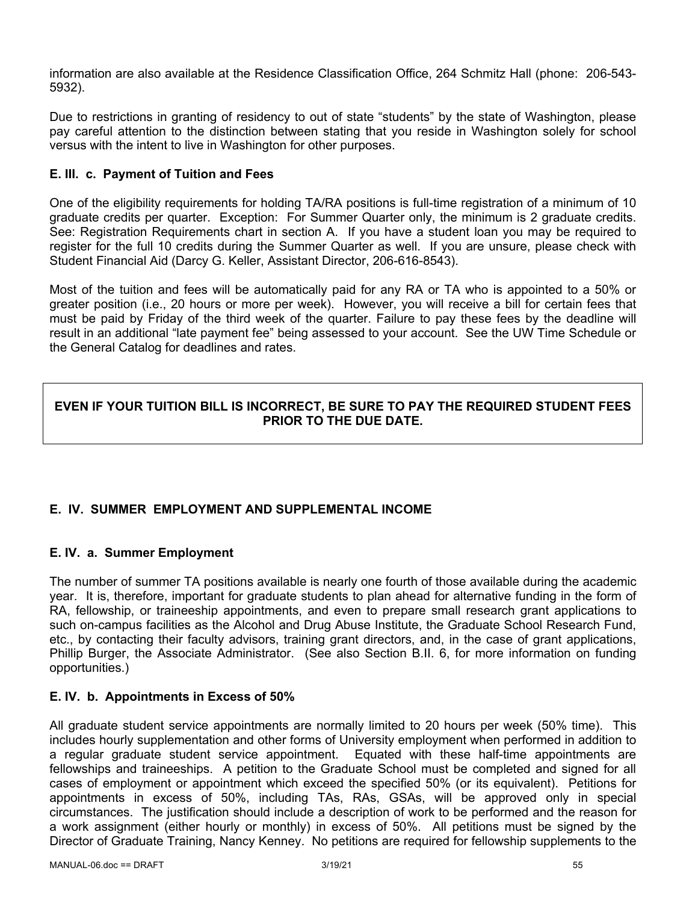information are also available at the Residence Classification Office, 264 Schmitz Hall (phone: 206-543- 5932).

Due to restrictions in granting of residency to out of state "students" by the state of Washington, please pay careful attention to the distinction between stating that you reside in Washington solely for school versus with the intent to live in Washington for other purposes.

# **E. III. c. Payment of Tuition and Fees**

One of the eligibility requirements for holding TA/RA positions is full-time registration of a minimum of 10 graduate credits per quarter. Exception: For Summer Quarter only, the minimum is 2 graduate credits. See: Registration Requirements chart in section A. If you have a student loan you may be required to register for the full 10 credits during the Summer Quarter as well. If you are unsure, please check with Student Financial Aid (Darcy G. Keller, Assistant Director, 206-616-8543).

Most of the tuition and fees will be automatically paid for any RA or TA who is appointed to a 50% or greater position (i.e., 20 hours or more per week). However, you will receive a bill for certain fees that must be paid by Friday of the third week of the quarter. Failure to pay these fees by the deadline will result in an additional "late payment fee" being assessed to your account. See the UW Time Schedule or the General Catalog for deadlines and rates.

# **EVEN IF YOUR TUITION BILL IS INCORRECT, BE SURE TO PAY THE REQUIRED STUDENT FEES PRIOR TO THE DUE DATE.**

# **E. IV. SUMMER EMPLOYMENT AND SUPPLEMENTAL INCOME**

# **E. IV. a. Summer Employment**

The number of summer TA positions available is nearly one fourth of those available during the academic year. It is, therefore, important for graduate students to plan ahead for alternative funding in the form of RA, fellowship, or traineeship appointments, and even to prepare small research grant applications to such on-campus facilities as the Alcohol and Drug Abuse Institute, the Graduate School Research Fund, etc., by contacting their faculty advisors, training grant directors, and, in the case of grant applications, Phillip Burger, the Associate Administrator. (See also Section B.II. 6, for more information on funding opportunities.)

# **E. IV. b. Appointments in Excess of 50%**

All graduate student service appointments are normally limited to 20 hours per week (50% time). This includes hourly supplementation and other forms of University employment when performed in addition to a regular graduate student service appointment. Equated with these half-time appointments are fellowships and traineeships. A petition to the Graduate School must be completed and signed for all cases of employment or appointment which exceed the specified 50% (or its equivalent). Petitions for appointments in excess of 50%, including TAs, RAs, GSAs, will be approved only in special circumstances. The justification should include a description of work to be performed and the reason for a work assignment (either hourly or monthly) in excess of 50%. All petitions must be signed by the Director of Graduate Training, Nancy Kenney. No petitions are required for fellowship supplements to the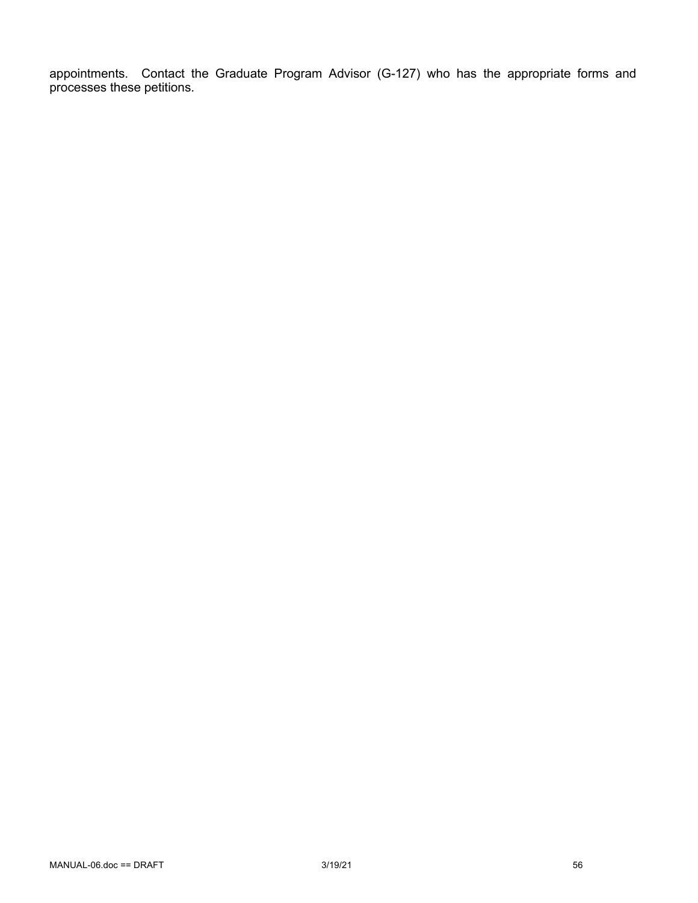appointments. Contact the Graduate Program Advisor (G-127) who has the appropriate forms and processes these petitions.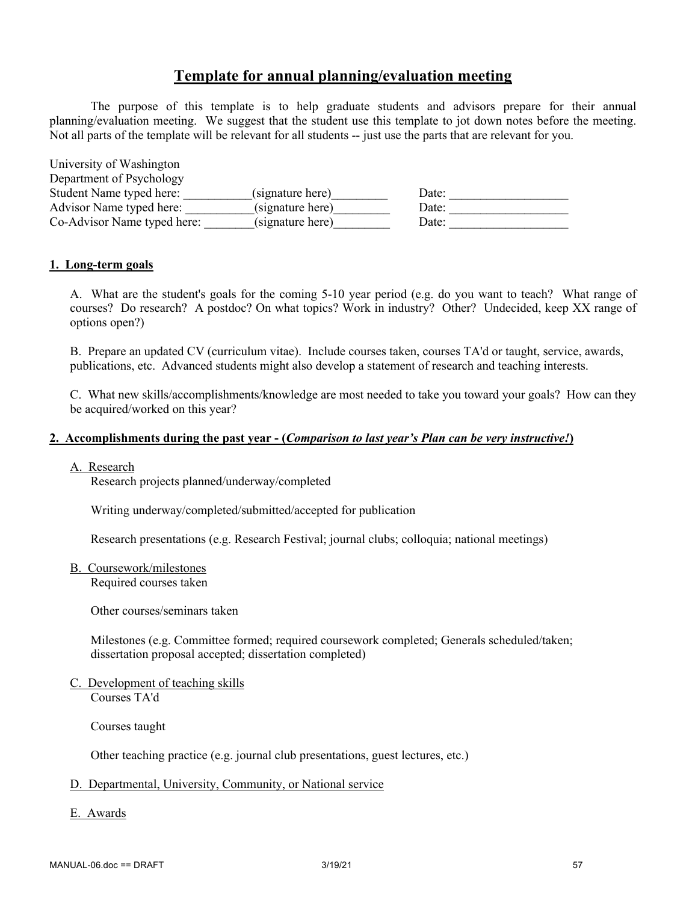# **Template for annual planning/evaluation meeting**

The purpose of this template is to help graduate students and advisors prepare for their annual planning/evaluation meeting. We suggest that the student use this template to jot down notes before the meeting. Not all parts of the template will be relevant for all students -- just use the parts that are relevant for you.

| University of Washington    |                  |       |
|-----------------------------|------------------|-------|
| Department of Psychology    |                  |       |
| Student Name typed here:    | (signature here) | Date: |
| Advisor Name typed here:    | (signature here) | Date: |
| Co-Advisor Name typed here: | (signature here) | Date: |

#### **1. Long-term goals**

A. What are the student's goals for the coming 5-10 year period (e.g. do you want to teach? What range of courses? Do research? A postdoc? On what topics? Work in industry? Other? Undecided, keep XX range of options open?)

B. Prepare an updated CV (curriculum vitae). Include courses taken, courses TA'd or taught, service, awards, publications, etc. Advanced students might also develop a statement of research and teaching interests.

C. What new skills/accomplishments/knowledge are most needed to take you toward your goals? How can they be acquired/worked on this year?

#### **2. Accomplishments during the past year - (***Comparison to last year's Plan can be very instructive!***)**

#### A. Research

Research projects planned/underway/completed

Writing underway/completed/submitted/accepted for publication

Research presentations (e.g. Research Festival; journal clubs; colloquia; national meetings)

B. Coursework/milestones

Required courses taken

Other courses/seminars taken

Milestones (e.g. Committee formed; required coursework completed; Generals scheduled/taken; dissertation proposal accepted; dissertation completed)

C. Development of teaching skills Courses TA'd

Courses taught

Other teaching practice (e.g. journal club presentations, guest lectures, etc.)

#### D. Departmental, University, Community, or National service

E. Awards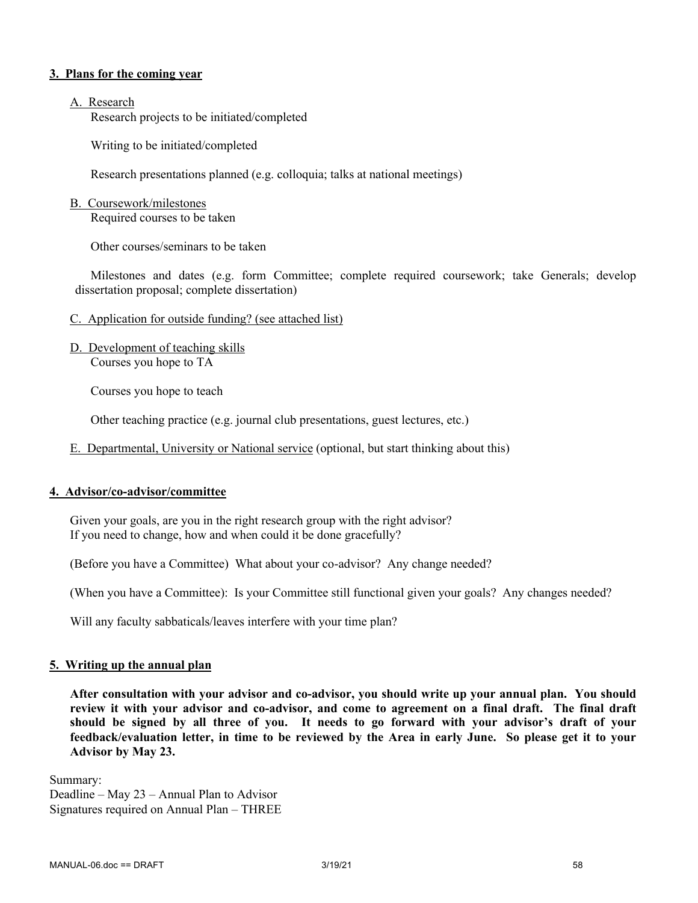#### **3. Plans for the coming year**

#### A. Research

Research projects to be initiated/completed

Writing to be initiated/completed

Research presentations planned (e.g. colloquia; talks at national meetings)

#### B. Coursework/milestones

Required courses to be taken

Other courses/seminars to be taken

Milestones and dates (e.g. form Committee; complete required coursework; take Generals; develop dissertation proposal; complete dissertation)

- C. Application for outside funding? (see attached list)
- D. Development of teaching skills Courses you hope to TA

Courses you hope to teach

Other teaching practice (e.g. journal club presentations, guest lectures, etc.)

E. Departmental, University or National service (optional, but start thinking about this)

#### **4. Advisor/co-advisor/committee**

Given your goals, are you in the right research group with the right advisor? If you need to change, how and when could it be done gracefully?

(Before you have a Committee) What about your co-advisor? Any change needed?

(When you have a Committee): Is your Committee still functional given your goals? Any changes needed?

Will any faculty sabbaticals/leaves interfere with your time plan?

#### **5. Writing up the annual plan**

**After consultation with your advisor and co-advisor, you should write up your annual plan. You should review it with your advisor and co-advisor, and come to agreement on a final draft. The final draft should be signed by all three of you. It needs to go forward with your advisor's draft of your feedback/evaluation letter, in time to be reviewed by the Area in early June. So please get it to your Advisor by May 23.**

Summary: Deadline – May 23 – Annual Plan to Advisor Signatures required on Annual Plan – THREE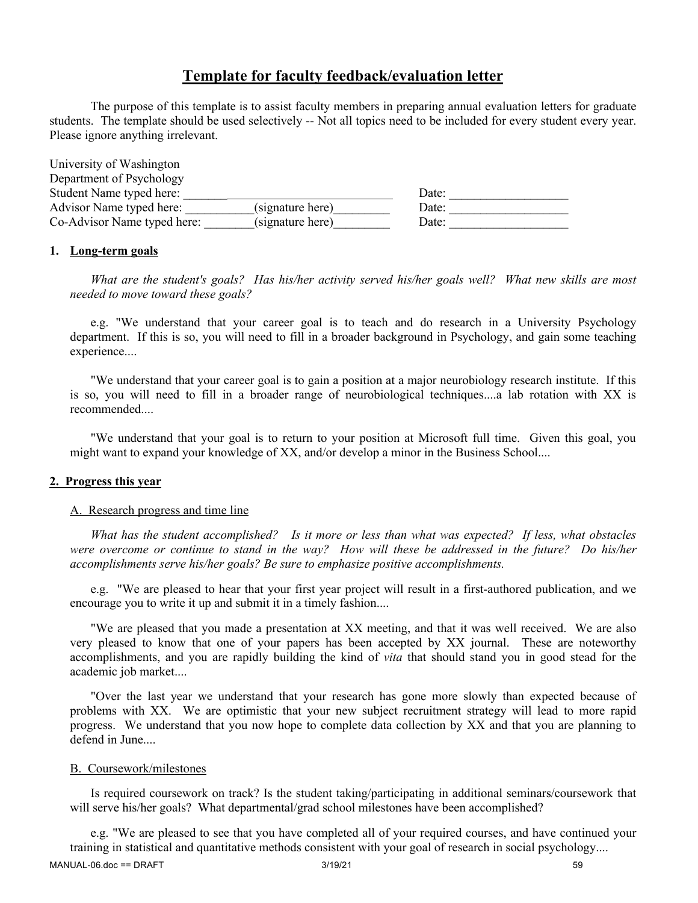# **Template for faculty feedback/evaluation letter**

The purpose of this template is to assist faculty members in preparing annual evaluation letters for graduate students. The template should be used selectively -- Not all topics need to be included for every student every year. Please ignore anything irrelevant.

| University of Washington    |                  |       |  |
|-----------------------------|------------------|-------|--|
| Department of Psychology    |                  |       |  |
| Student Name typed here:    |                  | Date: |  |
| Advisor Name typed here:    | (signature here) | Date: |  |
| Co-Advisor Name typed here: | (signature here) | Date: |  |

#### **1. Long-term goals**

*What are the student's goals? Has his/her activity served his/her goals well? What new skills are most needed to move toward these goals?*

e.g. "We understand that your career goal is to teach and do research in a University Psychology department. If this is so, you will need to fill in a broader background in Psychology, and gain some teaching experience....

"We understand that your career goal is to gain a position at a major neurobiology research institute. If this is so, you will need to fill in a broader range of neurobiological techniques....a lab rotation with XX is recommended....

"We understand that your goal is to return to your position at Microsoft full time. Given this goal, you might want to expand your knowledge of XX, and/or develop a minor in the Business School....

#### **2. Progress this year**

#### A. Research progress and time line

*What has the student accomplished? Is it more or less than what was expected? If less, what obstacles were overcome or continue to stand in the way? How will these be addressed in the future? Do his/her accomplishments serve his/her goals? Be sure to emphasize positive accomplishments.*

e.g. "We are pleased to hear that your first year project will result in a first-authored publication, and we encourage you to write it up and submit it in a timely fashion....

"We are pleased that you made a presentation at XX meeting, and that it was well received. We are also very pleased to know that one of your papers has been accepted by XX journal. These are noteworthy accomplishments, and you are rapidly building the kind of *vita* that should stand you in good stead for the academic job market....

"Over the last year we understand that your research has gone more slowly than expected because of problems with XX. We are optimistic that your new subject recruitment strategy will lead to more rapid progress. We understand that you now hope to complete data collection by XX and that you are planning to defend in June....

#### B. Coursework/milestones

Is required coursework on track? Is the student taking/participating in additional seminars/coursework that will serve his/her goals? What departmental/grad school milestones have been accomplished?

e.g. "We are pleased to see that you have completed all of your required courses, and have continued your training in statistical and quantitative methods consistent with your goal of research in social psychology....